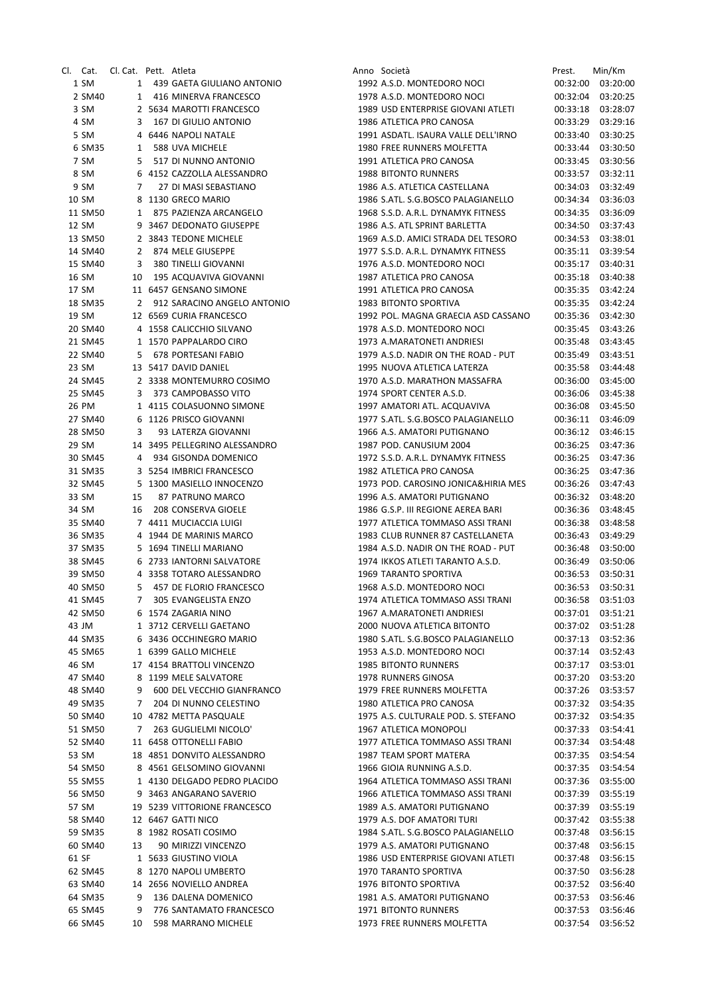| CI. I |         | Cat. Cl. Cat. Pett. Atleta |   |                               |
|-------|---------|----------------------------|---|-------------------------------|
|       | 1 SM    |                            |   | 1 439 GAETA GIULIANO ANTONIO  |
|       | 2 SM40  |                            |   | 1 416 MINERVA FRANCESCO       |
|       | 3 SM    |                            |   | 2 5634 MAROTTI FRANCESCO      |
|       | 4 SM    | 3                          |   | 167 DI GIULIO ANTONIO         |
|       | 5 SM    |                            |   | 4 6446 NAPOLI NATALE          |
|       | 6 SM35  |                            |   | 1 588 UVA MICHELE             |
|       | 7 SM    |                            |   | 5 517 DI NUNNO ANTONIO        |
|       | 8 SM    |                            |   | 6 4152 CAZZOLLA ALESSANDRO    |
|       | 9 SM    |                            | 7 | 27 DI MASI SEBASTIANO         |
|       | 10 SM   | 8                          |   | 1130 GRECO MARIO              |
|       | 11 SM50 |                            |   | 1 875 PAZIENZA ARCANGELO      |
|       | 12 SM   |                            |   | 9 3467 DEDONATO GIUSEPPE      |
|       | 13 SM50 |                            |   | 2 3843 TEDONE MICHELE         |
|       | 14 SM40 | 2                          |   | 874 MELE GIUSEPPE             |
|       | 15 SM40 | 3                          |   | 380 TINELLI GIOVANNI          |
|       | 16 SM   | 10                         |   | 195 ACQUAVIVA GIOVANNI        |
|       | 17 SM   |                            |   | 11 6457 GENSANO SIMONE        |
|       | 18 SM35 | $\overline{2}$             |   | 912 SARACINO ANGELO ANTONIO   |
|       | 19 SM   |                            |   | 12 6569 CURIA FRANCESCO       |
|       | 20 SM40 |                            |   | 4 1558 CALICCHIO SILVANO      |
|       | 21 SM45 |                            |   | 1 1570 PAPPALARDO CIRO        |
|       | 22 SM40 |                            |   | 5 678 PORTESANI FABIO         |
|       | 23 SM   |                            |   | 13 5417 DAVID DANIEL          |
|       | 24 SM45 |                            |   | 2 3338 MONTEMURRO COSIMO      |
|       | 25 SM45 |                            |   | 3 373 CAMPOBASSO VITO         |
|       | 26 PM   |                            |   | 1 4115 COLASUONNO SIMONE      |
|       | 27 SM40 |                            |   | 6 1126 PRISCO GIOVANNI        |
|       | 28 SM50 |                            | 3 | 93 LATERZA GIOVANNI           |
|       | 29 SM   |                            |   | 14 3495 PELLEGRINO ALESSANDRO |
|       | 30 SM45 |                            |   | 4 934 GISONDA DOMENICO        |
|       | 31 SM35 |                            |   | 3 5254 IMBRICI FRANCESCO      |
|       | 32 SM45 |                            |   | 5 1300 MASIELLO INNOCENZO     |
|       | 33 SM   | 15                         |   | 87 PATRUNO MARCO              |
|       | 34 SM   |                            |   | 16 208 CONSERVA GIOELE        |
|       | 35 SM40 |                            |   | 7 4411 MUCIACCIA LUIGI        |
|       | 36 SM35 |                            |   | 4 1944 DE MARINIS MARCO       |
|       | 37 SM35 |                            |   | 5 1694 TINELLI MARIANO        |
|       | 38 SM45 |                            |   | 6 2733 IANTORNI SALVATORE     |
|       | 39 SM50 |                            |   | 4 3358 TOTARO ALESSANDRO      |
|       | 40 SM50 |                            |   | 5 457 DE FLORIO FRANCESCO     |
|       | 41 SM45 | 7                          |   | 305 EVANGELISTA ENZO          |
|       | 42 SM50 | 6                          |   | 1574 ZAGARIA NINO             |
|       | 43 JM   | $\mathbf{1}$               |   | 3712 CERVELLI GAETANO         |
|       | 44 SM35 | 6.                         |   | 3436 OCCHINEGRO MARIO         |
|       | 45 SM65 |                            |   | 1 6399 GALLO MICHELE          |
|       | 46 SM   |                            |   | 17 4154 BRATTOLI VINCENZO     |
|       | 47 SM40 | 8                          |   | 1199 MELE SALVATORE           |
|       | 48 SM40 | 9                          |   | 600 DEL VECCHIO GIANFRANCO    |
|       | 49 SM35 | 7                          |   | 204 DI NUNNO CELESTINO        |
|       | 50 SM40 | 10                         |   | 4782 METTA PASQUALE           |
|       | 51 SM50 | 7                          |   | 263 GUGLIELMI NICOLO'         |
|       | 52 SM40 | 11                         |   | <b>6458 OTTONELLI FABIO</b>   |
|       | 53 SM   |                            |   | 18 4851 DONVITO ALESSANDRO    |
|       | 54 SM50 |                            |   | 8 4561 GELSOMINO GIOVANNI     |
|       | 55 SM55 |                            |   | 1 4130 DELGADO PEDRO PLACIDO  |
|       | 56 SM50 | 9                          |   | 3463 ANGARANO SAVERIO         |
|       | 57 SM   |                            |   | 19 5239 VITTORIONE FRANCESCO  |
|       | 58 SM40 |                            |   | 12 6467 GATTI NICO            |
|       | 59 SM35 | 8                          |   | 1982 ROSATI COSIMO            |
|       | 60 SM40 | 13                         |   | 90 MIRIZZI VINCENZO           |
| 61 SF |         | 1                          |   | 5633 GIUSTINO VIOLA           |
|       | 62 SM45 | 8                          |   | 1270 NAPOLI UMBERTO           |
|       | 63 SM40 | 14                         |   | 2656 NOVIELLO ANDREA          |
|       | 64 SM35 | 9                          |   | 136 DALENA DOMENICO           |
|       | 65 SM45 | 9                          |   | 776 SANTAMATO FRANCESCO       |
|       | 66 SM45 | 10                         |   | 598 MARRANO MICHELE           |
|       |         |                            |   |                               |

|         | Cl. Cat. Cl. Cat. Pett. Atleta |                |                               | Anno Società                        | Prest.   | Min/Km   |
|---------|--------------------------------|----------------|-------------------------------|-------------------------------------|----------|----------|
| 1 SM    |                                |                | 1 439 GAETA GIULIANO ANTONIO  | 1992 A.S.D. MONTEDORO NOCI          | 00:32:00 | 03:20:00 |
| 2 SM40  |                                |                | 1 416 MINERVA FRANCESCO       | 1978 A.S.D. MONTEDORO NOCI          | 00:32:04 | 03:20:25 |
| 3 SM    |                                |                | 2 5634 MAROTTI FRANCESCO      | 1989 USD ENTERPRISE GIOVANI ATLETI  | 00:33:18 | 03:28:07 |
| 4 SM    |                                |                | 3 167 DI GIULIO ANTONIO       | 1986 ATLETICA PRO CANOSA            | 00:33:29 | 03:29:16 |
| 5 SM    |                                |                | 4 6446 NAPOLI NATALE          | 1991 ASDATL. ISAURA VALLE DELL'IRNO | 00:33:40 | 03:30:25 |
| 6 SM35  |                                |                | 1 588 UVA MICHELE             | 1980 FREE RUNNERS MOLFETTA          | 00:33:44 | 03:30:50 |
| 7 SM    |                                |                | 5 517 DI NUNNO ANTONIO        | 1991 ATLETICA PRO CANOSA            | 00:33:45 | 03:30:56 |
| 8 SM    |                                |                | 6 4152 CAZZOLLA ALESSANDRO    | 1988 BITONTO RUNNERS                | 00:33:57 | 03:32:11 |
| 9 SM    |                                | $7^{\circ}$    | 27 DI MASI SEBASTIANO         | 1986 A.S. ATLETICA CASTELLANA       | 00:34:03 | 03:32:49 |
| 10 SM   |                                |                | 8 1130 GRECO MARIO            | 1986 S.ATL. S.G.BOSCO PALAGIANELLO  | 00:34:34 | 03:36:03 |
| 11 SM50 |                                |                | 1 875 PAZIENZA ARCANGELO      | 1968 S.S.D. A.R.L. DYNAMYK FITNESS  | 00:34:35 | 03:36:09 |
| 12 SM   |                                |                | 9 3467 DEDONATO GIUSEPPE      | 1986 A.S. ATL SPRINT BARLETTA       | 00:34:50 | 03:37:43 |
| 13 SM50 |                                |                | 2 3843 TEDONE MICHELE         | 1969 A.S.D. AMICI STRADA DEL TESORO | 00:34:53 | 03:38:01 |
| 14 SM40 |                                |                | 2 874 MELE GIUSEPPE           | 1977 S.S.D. A.R.L. DYNAMYK FITNESS  | 00:35:11 | 03:39:54 |
| 15 SM40 |                                | 3              | 380 TINELLI GIOVANNI          | 1976 A.S.D. MONTEDORO NOCI          | 00:35:17 | 03:40:31 |
| 16 SM   |                                | 10             | 195 ACQUAVIVA GIOVANNI        | 1987 ATLETICA PRO CANOSA            | 00:35:18 | 03:40:38 |
| 17 SM   |                                |                | 11 6457 GENSANO SIMONE        | 1991 ATLETICA PRO CANOSA            | 00:35:35 | 03:42:24 |
| 18 SM35 |                                |                | 2 912 SARACINO ANGELO ANTONIO | 1983 BITONTO SPORTIVA               | 00:35:35 | 03:42:24 |
| 19 SM   |                                |                | 12 6569 CURIA FRANCESCO       | 1992 POL. MAGNA GRAECIA ASD CASSANO | 00:35:36 | 03:42:30 |
| 20 SM40 |                                |                | 4 1558 CALICCHIO SILVANO      | 1978 A.S.D. MONTEDORO NOCI          | 00:35:45 | 03:43:26 |
| 21 SM45 |                                |                | 1 1570 PAPPALARDO CIRO        | 1973 A.MARATONETI ANDRIESI          | 00:35:48 | 03:43:45 |
| 22 SM40 |                                |                | 5 678 PORTESANI FABIO         | 1979 A.S.D. NADIR ON THE ROAD - PUT | 00:35:49 | 03:43:51 |
| 23 SM   |                                |                | 13 5417 DAVID DANIEL          | 1995 NUOVA ATLETICA LATERZA         | 00:35:58 | 03:44:48 |
| 24 SM45 |                                |                | 2 3338 MONTEMURRO COSIMO      | 1970 A.S.D. MARATHON MASSAFRA       | 00:36:00 | 03:45:00 |
| 25 SM45 |                                |                | 3 373 CAMPOBASSO VITO         | 1974 SPORT CENTER A.S.D.            | 00:36:06 | 03:45:38 |
| 26 PM   |                                |                | 1 4115 COLASUONNO SIMONE      | 1997 AMATORI ATL. ACQUAVIVA         | 00:36:08 | 03:45:50 |
| 27 SM40 |                                |                | 6 1126 PRISCO GIOVANNI        | 1977 S.ATL. S.G.BOSCO PALAGIANELLO  | 00:36:11 | 03:46:09 |
| 28 SM50 | 3                              |                | 93 LATERZA GIOVANNI           | 1966 A.S. AMATORI PUTIGNANO         | 00:36:12 | 03:46:15 |
| 29 SM   |                                |                | 14 3495 PELLEGRINO ALESSANDRO | 1987 POD. CANUSIUM 2004             | 00:36:25 | 03:47:36 |
| 30 SM45 |                                |                | 4 934 GISONDA DOMENICO        | 1972 S.S.D. A.R.L. DYNAMYK FITNESS  | 00:36:25 | 03:47:36 |
| 31 SM35 |                                |                | 3 5254 IMBRICI FRANCESCO      | 1982 ATLETICA PRO CANOSA            | 00:36:25 | 03:47:36 |
| 32 SM45 |                                |                | 5 1300 MASIELLO INNOCENZO     | 1973 POD. CAROSINO JONICA&HIRIA MES | 00:36:26 | 03:47:43 |
| 33 SM   | 15                             |                | 87 PATRUNO MARCO              | 1996 A.S. AMATORI PUTIGNANO         | 00:36:32 | 03:48:20 |
| 34 SM   | 16                             |                | 208 CONSERVA GIOELE           | 1986 G.S.P. III REGIONE AEREA BARI  | 00:36:36 | 03:48:45 |
| 35 SM40 |                                |                | 7 4411 MUCIACCIA LUIGI        | 1977 ATLETICA TOMMASO ASSI TRANI    | 00:36:38 | 03:48:58 |
| 36 SM35 |                                |                | 4 1944 DE MARINIS MARCO       | 1983 CLUB RUNNER 87 CASTELLANETA    | 00:36:43 | 03:49:29 |
| 37 SM35 |                                |                | 5 1694 TINELLI MARIANO        | 1984 A.S.D. NADIR ON THE ROAD - PUT | 00:36:48 | 03:50:00 |
| 38 SM45 |                                |                | 6 2733 IANTORNI SALVATORE     | 1974 IKKOS ATLETI TARANTO A.S.D.    | 00:36:49 | 03:50:06 |
| 39 SM50 |                                |                | 4 3358 TOTARO ALESSANDRO      | 1969 TARANTO SPORTIVA               | 00:36:53 | 03:50:31 |
| 40 SM50 |                                |                | 5 457 DE FLORIO FRANCESCO     | 1968 A.S.D. MONTEDORO NOCI          | 00:36:53 | 03:50:31 |
| 41 SM45 |                                | 7              | 305 EVANGELISTA ENZO          | 1974 ATLETICA TOMMASO ASSI TRANI    | 00:36:58 | 03:51:03 |
| 42 SM50 |                                |                | 6 1574 ZAGARIA NINO           | 1967 A.MARATONETI ANDRIESI          | 00:37:01 | 03:51:21 |
| 43 JM   |                                |                | 1 3712 CERVELLI GAETANO       | 2000 NUOVA ATLETICA BITONTO         | 00:37:02 | 03:51:28 |
| 44 SM35 |                                |                | 6 3436 OCCHINEGRO MARIO       | 1980 S.ATL. S.G.BOSCO PALAGIANELLO  | 00:37:13 | 03:52:36 |
| 45 SM65 |                                |                | 1 6399 GALLO MICHELE          | 1953 A.S.D. MONTEDORO NOCI          | 00:37:14 | 03:52:43 |
| 46 SM   |                                |                | 17 4154 BRATTOLI VINCENZO     | 1985 BITONTO RUNNERS                | 00:37:17 | 03:53:01 |
| 47 SM40 |                                |                | 8 1199 MELE SALVATORE         | 1978 RUNNERS GINOSA                 | 00:37:20 | 03:53:20 |
| 48 SM40 | 9                              |                | 600 DEL VECCHIO GIANFRANCO    | 1979 FREE RUNNERS MOLFETTA          | 00:37:26 | 03:53:57 |
| 49 SM35 |                                | $\overline{7}$ | 204 DI NUNNO CELESTINO        | 1980 ATLETICA PRO CANOSA            | 00:37:32 | 03:54:35 |
| 50 SM40 |                                |                | 10 4782 METTA PASQUALE        | 1975 A.S. CULTURALE POD. S. STEFANO | 00:37:32 | 03:54:35 |
| 51 SM50 |                                | 7              | 263 GUGLIELMI NICOLO'         | 1967 ATLETICA MONOPOLI              | 00:37:33 | 03:54:41 |
| 52 SM40 |                                |                | 11 6458 OTTONELLI FABIO       | 1977 ATLETICA TOMMASO ASSI TRANI    | 00:37:34 | 03:54:48 |
| 53 SM   |                                |                | 18 4851 DONVITO ALESSANDRO    | 1987 TEAM SPORT MATERA              | 00:37:35 | 03:54:54 |
| 54 SM50 |                                |                | 8 4561 GELSOMINO GIOVANNI     | 1966 GIOIA RUNNING A.S.D.           | 00:37:35 | 03:54:54 |
| 55 SM55 |                                |                | 1 4130 DELGADO PEDRO PLACIDO  | 1964 ATLETICA TOMMASO ASSI TRANI    | 00:37:36 | 03:55:00 |
| 56 SM50 |                                |                | 9 3463 ANGARANO SAVERIO       | 1966 ATLETICA TOMMASO ASSI TRANI    | 00:37:39 | 03:55:19 |
| 57 SM   |                                |                | 19 5239 VITTORIONE FRANCESCO  | 1989 A.S. AMATORI PUTIGNANO         | 00:37:39 | 03:55:19 |
| 58 SM40 |                                |                | 12 6467 GATTI NICO            | 1979 A.S. DOF AMATORI TURI          | 00:37:42 | 03:55:38 |
| 59 SM35 |                                |                | 8 1982 ROSATI COSIMO          | 1984 S.ATL. S.G.BOSCO PALAGIANELLO  | 00:37:48 | 03:56:15 |
| 60 SM40 | 13                             |                | 90 MIRIZZI VINCENZO           | 1979 A.S. AMATORI PUTIGNANO         | 00:37:48 | 03:56:15 |
| 61 SF   |                                |                | 1 5633 GIUSTINO VIOLA         | 1986 USD ENTERPRISE GIOVANI ATLETI  | 00:37:48 | 03:56:15 |
| 62 SM45 |                                |                | 8 1270 NAPOLI UMBERTO         | 1970 TARANTO SPORTIVA               | 00:37:50 | 03:56:28 |
|         |                                |                |                               |                                     |          |          |
| 63 SM40 | 9                              |                | 14 2656 NOVIELLO ANDREA       | 1976 BITONTO SPORTIVA               | 00:37:52 | 03:56:40 |
| 64 SM35 |                                |                | 136 DALENA DOMENICO           | 1981 A.S. AMATORI PUTIGNANO         | 00:37:53 | 03:56:46 |
| 65 SM45 | 9                              |                | 776 SANTAMATO FRANCESCO       | 1971 BITONTO RUNNERS                | 00:37:53 | 03:56:46 |
| 66 SM45 | 10                             |                | 598 MARRANO MICHELE           | 1973 FREE RUNNERS MOLFETTA          | 00:37:54 | 03:56:52 |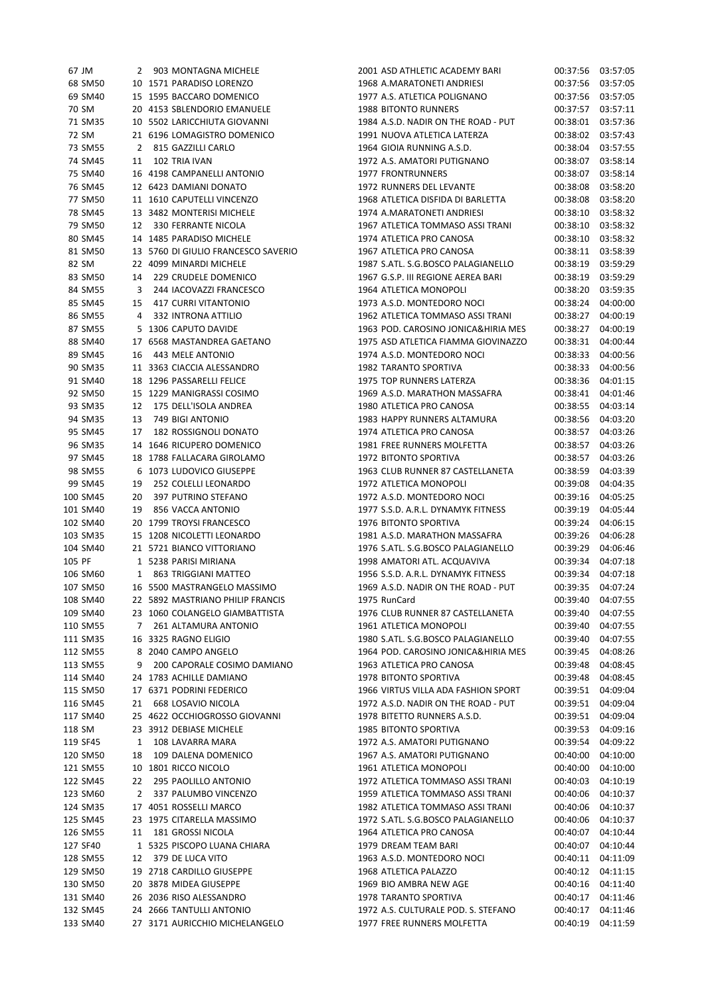| 67 JM    | 2            | 903 MONTAGNA MICHELE                                               | 2001 ASD ATHLETIC ACADEMY BARI      | 00:37:56 | 03:57:05 |
|----------|--------------|--------------------------------------------------------------------|-------------------------------------|----------|----------|
| 68 SM50  |              | 10 1571 PARADISO LORENZO                                           | 1968 A.MARATONETI ANDRIESI          | 00:37:56 | 03:57:05 |
| 69 SM40  |              | 15 1595 BACCARO DOMENICO                                           | 1977 A.S. ATLETICA POLIGNANO        | 00:37:56 | 03:57:05 |
| 70 SM    |              | 20 4153 SBLENDORIO EMANUELE                                        | <b>1988 BITONTO RUNNERS</b>         | 00:37:57 | 03:57:11 |
| 71 SM35  |              | 10 5502 LARICCHIUTA GIOVANNI                                       | 1984 A.S.D. NADIR ON THE ROAD - PUT | 00:38:01 | 03:57:36 |
| 72 SM    |              | 21 6196 LOMAGISTRO DOMENICO                                        | 1991 NUOVA ATLETICA LATERZA         | 00:38:02 | 03:57:43 |
| 73 SM55  |              | 2 815 GAZZILLI CARLO                                               | 1964 GIOIA RUNNING A.S.D.           | 00:38:04 | 03:57:55 |
| 74 SM45  | 11           | 102 TRIA IVAN                                                      | 1972 A.S. AMATORI PUTIGNANO         | 00:38:07 | 03:58:14 |
|          |              | 16 4198 CAMPANELLI ANTONIO                                         | 1977 FRONTRUNNERS                   | 00:38:07 | 03:58:14 |
| 75 SM40  |              |                                                                    |                                     |          |          |
| 76 SM45  |              | 12 6423 DAMIANI DONATO                                             | 1972 RUNNERS DEL LEVANTE            | 00:38:08 | 03:58:20 |
| 77 SM50  |              | 11 1610 CAPUTELLI VINCENZO                                         | 1968 ATLETICA DISFIDA DI BARLETTA   | 00:38:08 | 03:58:20 |
| 78 SM45  |              | 13 3482 MONTERISI MICHELE                                          | 1974 A.MARATONETI ANDRIESI          | 00:38:10 | 03:58:32 |
| 79 SM50  |              | 12 330 FERRANTE NICOLA                                             | 1967 ATLETICA TOMMASO ASSI TRANI    | 00:38:10 | 03:58:32 |
| 80 SM45  |              | 14 1485 PARADISO MICHELE                                           | 1974 ATLETICA PRO CANOSA            | 00:38:10 | 03:58:32 |
| 81 SM50  |              | 13 5760 DI GIULIO FRANCESCO SAVERIO                                | 1967 ATLETICA PRO CANOSA            | 00:38:11 | 03:58:39 |
| 82 SM    |              | 22 4099 MINARDI MICHELE                                            | 1987 S.ATL. S.G.BOSCO PALAGIANELLO  | 00:38:19 | 03:59:29 |
| 83 SM50  | 14           | 229 CRUDELE DOMENICO                                               | 1967 G.S.P. III REGIONE AEREA BARI  | 00:38:19 | 03:59:29 |
| 84 SM55  | 3            | 244 IACOVAZZI FRANCESCO                                            | 1964 ATLETICA MONOPOLI              | 00:38:20 | 03:59:35 |
| 85 SM45  | 15           | 417 CURRI VITANTONIO                                               | 1973 A.S.D. MONTEDORO NOCI          | 00:38:24 | 04:00:00 |
| 86 SM55  | 4            | 332 INTRONA ATTILIO                                                | 1962 ATLETICA TOMMASO ASSI TRANI    | 00:38:27 | 04:00:19 |
| 87 SM55  |              | 5 1306 CAPUTO DAVIDE                                               | 1963 POD. CAROSINO JONICA&HIRIA MES | 00:38:27 | 04:00:19 |
| 88 SM40  |              | 17 6568 MASTANDREA GAETANO                                         | 1975 ASD ATLETICA FIAMMA GIOVINAZZO | 00:38:31 | 04:00:44 |
| 89 SM45  | 16           | 443 MELE ANTONIO                                                   | 1974 A.S.D. MONTEDORO NOCI          | 00:38:33 | 04:00:56 |
| 90 SM35  |              | 11 3363 CIACCIA ALESSANDRO                                         | 1982 TARANTO SPORTIVA               | 00:38:33 | 04:00:56 |
|          |              | 18 1296 PASSARELLI FELICE                                          | 1975 TOP RUNNERS LATERZA            |          |          |
| 91 SM40  |              |                                                                    |                                     | 00:38:36 | 04:01:15 |
| 92 SM50  |              | 15 1229 MANIGRASSI COSIMO                                          | 1969 A.S.D. MARATHON MASSAFRA       | 00:38:41 | 04:01:46 |
| 93 SM35  |              | 12 175 DELL'ISOLA ANDREA                                           | 1980 ATLETICA PRO CANOSA            | 00:38:55 | 04:03:14 |
| 94 SM35  | 13           | 749 BIGI ANTONIO                                                   | 1983 HAPPY RUNNERS ALTAMURA         | 00:38:56 | 04:03:20 |
| 95 SM45  | 17           | 182 ROSSIGNOLI DONATO                                              | 1974 ATLETICA PRO CANOSA            | 00:38:57 | 04:03:26 |
| 96 SM35  |              | 14 1646 RICUPERO DOMENICO                                          | 1981 FREE RUNNERS MOLFETTA          | 00:38:57 | 04:03:26 |
| 97 SM45  |              | 18 1788 FALLACARA GIROLAMO                                         | 1972 BITONTO SPORTIVA               | 00:38:57 | 04:03:26 |
| 98 SM55  |              | 6 1073 LUDOVICO GIUSEPPE                                           | 1963 CLUB RUNNER 87 CASTELLANETA    | 00:38:59 | 04:03:39 |
| 99 SM45  | 19           | 252 COLELLI LEONARDO                                               | 1972 ATLETICA MONOPOLI              | 00:39:08 | 04:04:35 |
| 100 SM45 | 20           | 397 PUTRINO STEFANO                                                | 1972 A.S.D. MONTEDORO NOCI          | 00:39:16 | 04:05:25 |
| 101 SM40 | 19           | 856 VACCA ANTONIO                                                  | 1977 S.S.D. A.R.L. DYNAMYK FITNESS  | 00:39:19 | 04:05:44 |
| 102 SM40 |              | 20 1799 TROYSI FRANCESCO                                           | 1976 BITONTO SPORTIVA               | 00:39:24 | 04:06:15 |
| 103 SM35 |              | 15 1208 NICOLETTI LEONARDO                                         | 1981 A.S.D. MARATHON MASSAFRA       | 00:39:26 | 04:06:28 |
| 104 SM40 |              | 21 5721 BIANCO VITTORIANO                                          | 1976 S.ATL. S.G.BOSCO PALAGIANELLO  | 00:39:29 | 04:06:46 |
| 105 PF   |              | 1 5238 PARISI MIRIANA                                              | 1998 AMATORI ATL. ACQUAVIVA         | 00:39:34 | 04:07:18 |
| 106 SM60 | $\mathbf{1}$ | 863 TRIGGIANI MATTEO                                               | 1956 S.S.D. A.R.L. DYNAMYK FITNESS  | 00:39:34 | 04:07:18 |
| 107 SM50 |              | 16 5500 MASTRANGELO MASSIMO                                        | 1969 A.S.D. NADIR ON THE ROAD - PUT | 00:39:35 | 04:07:24 |
|          |              |                                                                    |                                     |          |          |
| 108 SM40 |              | 22 5892 MASTRIANO PHILIP FRANCIS<br>23 1060 COLANGELO GIAMBATTISTA | 1975 RunCard                        | 00:39:40 | 04:07:55 |
| 109 SM40 |              |                                                                    | 1976 CLUB RUNNER 87 CASTELLANETA    | 00:39:40 | 04:07:55 |
| 110 SM55 | 7            | 261 ALTAMURA ANTONIO                                               | 1961 ATLETICA MONOPOLI              | 00:39:40 | 04:07:55 |
| 111 SM35 |              | 16 3325 RAGNO ELIGIO                                               | 1980 S.ATL. S.G.BOSCO PALAGIANELLO  | 00:39:40 | 04:07:55 |
| 112 SM55 |              | 8 2040 CAMPO ANGELO                                                | 1964 POD. CAROSINO JONICA&HIRIA MES | 00:39:45 | 04:08:26 |
| 113 SM55 | 9            | 200 CAPORALE COSIMO DAMIANO                                        | 1963 ATLETICA PRO CANOSA            | 00:39:48 | 04:08:45 |
| 114 SM40 |              | 24 1783 ACHILLE DAMIANO                                            | 1978 BITONTO SPORTIVA               | 00:39:48 | 04:08:45 |
| 115 SM50 |              | 17 6371 PODRINI FEDERICO                                           | 1966 VIRTUS VILLA ADA FASHION SPORT | 00:39:51 | 04:09:04 |
| 116 SM45 | 21           | 668 LOSAVIO NICOLA                                                 | 1972 A.S.D. NADIR ON THE ROAD - PUT | 00:39:51 | 04:09:04 |
| 117 SM40 |              | 25 4622 OCCHIOGROSSO GIOVANNI                                      | 1978 BITETTO RUNNERS A.S.D.         | 00:39:51 | 04:09:04 |
| 118 SM   |              | 23 3912 DEBIASE MICHELE                                            | 1985 BITONTO SPORTIVA               | 00:39:53 | 04:09:16 |
| 119 SF45 | 1            | 108 LAVARRA MARA                                                   | 1972 A.S. AMATORI PUTIGNANO         | 00:39:54 | 04:09:22 |
| 120 SM50 | 18           | 109 DALENA DOMENICO                                                | 1967 A.S. AMATORI PUTIGNANO         | 00:40:00 | 04:10:00 |
| 121 SM55 |              | 10 1801 RICCO NICOLO                                               | 1961 ATLETICA MONOPOLI              | 00:40:00 | 04:10:00 |
| 122 SM45 | 22           | 295 PAOLILLO ANTONIO                                               | 1972 ATLETICA TOMMASO ASSI TRANI    | 00:40:03 | 04:10:19 |
| 123 SM60 | 2            | 337 PALUMBO VINCENZO                                               | 1959 ATLETICA TOMMASO ASSI TRANI    | 00:40:06 | 04:10:37 |
| 124 SM35 |              | 17 4051 ROSSELLI MARCO                                             | 1982 ATLETICA TOMMASO ASSI TRANI    | 00:40:06 | 04:10:37 |
| 125 SM45 |              | 23 1975 CITARELLA MASSIMO                                          | 1972 S.ATL. S.G.BOSCO PALAGIANELLO  | 00:40:06 | 04:10:37 |
|          |              | 181 GROSSI NICOLA                                                  | 1964 ATLETICA PRO CANOSA            |          |          |
| 126 SM55 | 11           |                                                                    |                                     | 00:40:07 | 04:10:44 |
| 127 SF40 |              | 1 5325 PISCOPO LUANA CHIARA                                        | 1979 DREAM TEAM BARI                | 00:40:07 | 04:10:44 |
| 128 SM55 | 12           | 379 DE LUCA VITO                                                   | 1963 A.S.D. MONTEDORO NOCI          | 00:40:11 | 04:11:09 |
| 129 SM50 |              | 19 2718 CARDILLO GIUSEPPE                                          | 1968 ATLETICA PALAZZO               | 00:40:12 | 04:11:15 |
| 130 SM50 |              | 20 3878 MIDEA GIUSEPPE                                             | 1969 BIO AMBRA NEW AGE              | 00:40:16 | 04:11:40 |
| 131 SM40 |              | 26 2036 RISO ALESSANDRO                                            | 1978 TARANTO SPORTIVA               | 00:40:17 | 04:11:46 |
| 132 SM45 |              | 24 2666 TANTULLI ANTONIO                                           | 1972 A.S. CULTURALE POD. S. STEFANO | 00:40:17 | 04:11:46 |
| 133 SM40 |              | 27 3171 AURICCHIO MICHELANGELO                                     | 1977 FREE RUNNERS MOLFETTA          | 00:40:19 | 04:11:59 |
|          |              |                                                                    |                                     |          |          |

| 001 ASD ATHLETIC ACADEMY BARI                      | 00:37:56             | 03:57:05             |
|----------------------------------------------------|----------------------|----------------------|
| 968 A.MARATONETI ANDRIESI                          | 00:37:56             | 03:57:05             |
| 977 A.S. ATLETICA POLIGNANO                        | 00:37:56             | 03:57:05             |
| 988 BITONTO RUNNERS                                | 00:37:57             | 03:57:11             |
| 984 A.S.D. NADIR ON THE ROAD - PUT                 | 00:38:01             | 03:57:36             |
| 991 NUOVA ATLETICA LATERZA                         | 00:38:02             | 03:57:43             |
| 964 GIOIA RUNNING A.S.D.                           | 00:38:04             | 03:57:55             |
| 972 A.S. AMATORI PUTIGNANO                         | 00:38:07             | 03:58:14             |
| 977 FRONTRUNNERS                                   | 00:38:07             | 03:58:14             |
| 972 RUNNERS DEL LEVANTE                            | 00:38:08             | 03:58:20             |
| 968 ATLETICA DISFIDA DI BARLETTA                   | 00:38:08             | 03:58:20             |
| 974 A.MARATONETI ANDRIESI                          | 00:38:10             | 03:58:32             |
| 967 ATLETICA TOMMASO ASSI TRANI                    | 00:38:10             | 03:58:32             |
| 974 ATLETICA PRO CANOSA                            | 00:38:10             | 03:58:32             |
| 967 ATLETICA PRO CANOSA                            | 00:38:11             | 03:58:39             |
| 987 S.ATL. S.G.BOSCO PALAGIANELLO                  | 00:38:19             | 03:59:29             |
| 967 G.S.P. III REGIONE AEREA BARI                  | 00:38:19             | 03:59:29             |
| 964 ATLETICA MONOPOLI                              | 00:38:20             | 03:59:35             |
| 973 A.S.D. MONTEDORO NOCI                          | 00:38:24             | 04:00:00             |
| 962 ATLETICA TOMMASO ASSI TRANI                    | 00:38:27             | 04:00:19             |
| 963 POD. CAROSINO JONICA&HIRIA MES                 | 00:38:27             | 04:00:19             |
| 975 ASD ATLETICA FIAMMA GIOVINAZZO                 | 00:38:31             | 04:00:44             |
| 974 A.S.D. MONTEDORO NOCI                          | 00:38:33             | 04:00:56             |
| 982 TARANTO SPORTIVA                               | 00:38:33             | 04:00:56             |
| 975 TOP RUNNERS LATERZA                            | 00:38:36             | 04:01:15             |
| 969 A.S.D. MARATHON MASSAFRA                       | 00:38:41             | 04:01:46             |
| 980 ATLETICA PRO CANOSA                            | 00:38:55             | 04:03:14             |
| 983 HAPPY RUNNERS ALTAMURA                         | 00:38:56             | 04:03:20             |
| 974 ATLETICA PRO CANOSA                            | 00:38:57             | 04:03:26             |
| 981 FREE RUNNERS MOLFETTA                          | 00:38:57             | 04:03:26             |
| 972 BITONTO SPORTIVA                               | 00:38:57             | 04:03:26             |
| 963 CLUB RUNNER 87 CASTELLANETA                    | 00:38:59             | 04:03:39             |
|                                                    |                      |                      |
| 972 ATLETICA MONOPOLI<br>972 A.S.D. MONTEDORO NOCI | 00:39:08             | 04:04:35             |
| 977 S.S.D. A.R.L. DYNAMYK FITNESS                  | 00:39:16<br>00:39:19 | 04:05:25<br>04:05:44 |
| 976 BITONTO SPORTIVA                               | 00:39:24             |                      |
| 981 A.S.D. MARATHON MASSAFRA                       | 00:39:26             | 04:06:15<br>04:06:28 |
|                                                    |                      |                      |
| 976 S.ATL. S.G.BOSCO PALAGIANELLO                  | 00:39:29             | 04:06:46             |
| 998 AMATORI ATL. ACQUAVIVA                         | 00:39:34             | 04:07:18             |
| 956 S.S.D. A.R.L. DYNAMYK FITNESS                  | 00:39:34             | 04:07:18             |
| 969 A.S.D. NADIR ON THE ROAD - PUT                 | 00:39:35             | 04:07:24             |
| 975 RunCard                                        | 00:39:40             | 04:07:55             |
| 976 CLUB RUNNER 87 CASTELLANETA                    | 00:39:40             | 04:07:55             |
| 961 ATLETICA MONOPOLI                              | 00:39:40             | 04:07:55             |
| 980 S.ATL. S.G.BOSCO PALAGIANELLO                  | 00:39:40             | 04:07:55             |
| 964 POD. CAROSINO JONICA&HIRIA MES                 | 00:39:45             | 04:08:26             |
| 963 ATLETICA PRO CANOSA                            | 00:39:48             | 04:08:45             |
| 978 BITONTO SPORTIVA                               | 00:39:48             | 04:08:45             |
| 966 VIRTUS VILLA ADA FASHION SPORT                 | 00:39:51             | 04:09:04             |
| 972 A.S.D. NADIR ON THE ROAD - PUT                 | 00:39:51             | 04:09:04             |
| 978 BITETTO RUNNERS A.S.D.                         | 00:39:51             | 04:09:04             |
| 985 BITONTO SPORTIVA                               | 00:39:53             | 04:09:16             |
| 972 A.S. AMATORI PUTIGNANO                         | 00:39:54             | 04:09:22             |
| 967 A.S. AMATORI PUTIGNANO                         | 00:40:00             | 04:10:00             |
| 961 ATLETICA MONOPOLI                              | 00:40:00             | 04:10:00             |
| 972 ATLETICA TOMMASO ASSI TRANI                    | 00:40:03             | 04:10:19             |
| 959 ATLETICA TOMMASO ASSI TRANI                    | 00:40:06             | 04:10:37             |
| 982 ATLETICA TOMMASO ASSI TRANI                    | 00:40:06             | 04:10:37             |
| 972 S.ATL. S.G.BOSCO PALAGIANELLO                  | 00:40:06             | 04:10:37             |
| 964 ATLETICA PRO CANOSA                            | 00:40:07             | 04:10:44             |
| 979 DREAM TEAM BARI                                | 00:40:07             | 04:10:44             |
| 963 A.S.D. MONTEDORO NOCI                          | 00:40:11             | 04:11:09             |
| 968 ATLETICA PALAZZO                               | 00:40:12             | 04:11:15             |
| 969 BIO AMBRA NEW AGE                              | 00:40:16             | 04:11:40             |
| 978 TARANTO SPORTIVA                               | 00:40:17             | 04:11:46             |
| 972 A.S. CULTURALE POD. S. STEFANO                 | 00:40:17             | 04:11:46             |
| 977 FREE RUNNERS MOLFETTA                          | 00:40:19             | 04:11:59             |
|                                                    |                      |                      |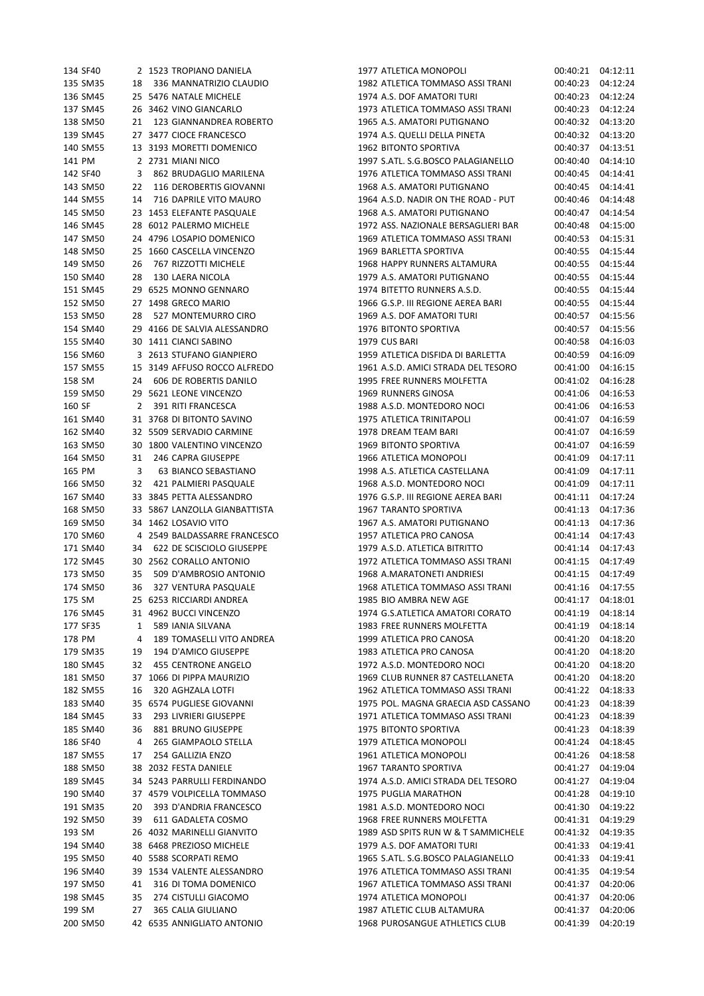|        | 134 SF40           |                                        | 2 1523 TROPIANO DANIELA                                |
|--------|--------------------|----------------------------------------|--------------------------------------------------------|
|        | 135 SM35           |                                        | 18 336 MANNATRIZIO CLAUDIO                             |
|        | 136 SM45           |                                        | 25 5476 NATALE MICHELE                                 |
|        | 137 SM45           | 26                                     | 3462 VINO GIANCARLO                                    |
|        |                    | $21$                                   |                                                        |
|        | 138 SM50           |                                        | 123 GIANNANDREA ROBERTO                                |
|        | 139 SM45           | 27                                     | 3477 CIOCE FRANCESCO                                   |
|        |                    |                                        | 140 SM55 13 3193 MORETTI DOMENICO                      |
|        | 141 PM             |                                        | 2 2731 MIANI NICO                                      |
|        | 142 SF40           | $\overline{\mathbf{3}}$                | 862 BRUDAGLIO MARILENA                                 |
|        | 143 SM50           | $\mathbf{22}$                          | 116 DEROBERTIS GIOVANNI                                |
|        | 144 SM55           |                                        | 14 716 DAPRILE VITO MAURO                              |
|        |                    |                                        |                                                        |
|        | 145 SM50           |                                        | 23 1453 ELEFANTE PASQUALE                              |
|        |                    |                                        | 146 SM45 28 6012 PALERMO MICHELE                       |
|        | 147 SM50           |                                        | 24 4796 LOSAPIO DOMENICO                               |
|        | 148 SM50           | 25                                     | 1660 CASCELLA VINCENZO                                 |
|        | 149 SM50           | $26\phantom{.0}$                       | 767 RIZZOTTI MICHELE                                   |
|        | 150 SM40           |                                        | 28 130 LAERA NICOLA                                    |
|        | 151 SM45           |                                        | 29 6525 MONNO GENNARO                                  |
|        |                    |                                        |                                                        |
|        |                    |                                        | 152 SM50 27 1498 GRECO MARIO                           |
|        | 153 SM50           |                                        | 28  527 MONTEMURRO CIRO<br>29  4166 DE SALVIA ALESSAND |
|        | 154 SM40           |                                        | 4166 DE SALVIA ALESSANDRO                              |
|        | 155 SM40           |                                        | 30 1411 CIANCI SABINO                                  |
|        | 156 SM60           | $\overline{\mathbf{3}}$                | 2613 STUFANO GIANPIERO                                 |
|        |                    |                                        | 157 SM55 15 3149 AFFUSO ROCCO ALFREDO                  |
|        | 158 SM             |                                        | 24 606 DE ROBERTIS DANILO                              |
|        |                    | 29                                     |                                                        |
|        | 159 SM50           |                                        | 5621 LEONE VINCENZO                                    |
| 160 SF |                    | $\overline{2}$                         | 391 RITI FRANCESCA                                     |
|        |                    | 161 SM40 31                            | 3768 DI BITONTO SAVINO                                 |
|        | 162 SM40           |                                        | 32 5509 SERVADIO CARMINE                               |
|        | 163 SM50           |                                        | 30 1800 VALENTINO VINCENZO                             |
|        | 164 SM50           |                                        | 31 246 CAPRA GIUSEPPE                                  |
| 165 PM |                    | $\overline{\mathbf{3}}$                | 63 BIANCO SEBASTIANO                                   |
|        | 166 SM50           |                                        | 32 421 PALMIERI PASQUALE                               |
|        |                    |                                        |                                                        |
|        | 167 SM40           |                                        | 33 3845 PETTA ALESSANDRO                               |
|        | 168 SM50           |                                        | 33 5867 LANZOLLA GIANBATTISTA                          |
|        |                    |                                        | 169 SM50 34 1462 LOSAVIO VITO                          |
|        | 170 SM60           | $\begin{array}{c} 4 \\ 34 \end{array}$ | 2549 BALDASSARRE FRANCESCO                             |
|        | 171 SM40           |                                        | <b>622 DE SCISCIOLO GIUSEPPE</b>                       |
|        | 172 SM45           |                                        | 30 2562 CORALLO ANTONIO                                |
|        |                    |                                        | 173 SM50 35 509 D'AMBROSIO ANTONIO                     |
|        |                    |                                        |                                                        |
|        |                    |                                        | 174 SM50 36 327 VENTURA PASQUALE                       |
| 175 SM |                    |                                        | 25 6253 RICCIARDI ANDREA                               |
|        | 176 SM45           |                                        | 31 4962 BUCCI VINCENZO                                 |
|        | 177 SF35           | $\mathbf{1}$                           | 589 IANIA SILVANA                                      |
|        | 178 PM             |                                        | 4 189 TOMASELLI VITO ANDREA                            |
|        | 179 SM35           |                                        | 19 194 D'AMICO GIUSEPPE                                |
|        | 180 SM45           |                                        | 32 455 CENTRONE ANGELO                                 |
|        | 181 SM50           |                                        | 37 1066 DI PIPPA MAURIZIO                              |
|        |                    |                                        |                                                        |
|        |                    |                                        |                                                        |
|        | 182 SM55           | 16                                     | 320 AGHZALA LOTFI                                      |
|        | 183 SM40           |                                        | 35 6574 PUGLIESE GIOVANNI                              |
|        | 184 SM45           |                                        | 33 293 LIVRIERI GIUSEPPE                               |
|        | 185 SM40           |                                        | 36 881 BRUNO GIUSEPPE                                  |
|        | 186 SF40           | $\overline{4}$                         |                                                        |
|        | 187 SM55           | 17                                     | 265 GIAMPAOLO STELLA<br>254 GALLIZIA ENZO              |
|        |                    |                                        |                                                        |
|        | 188 SM50           | 38                                     | 2032 FESTA DANIELE                                     |
|        | 189 SM45           | 34                                     | 5243 PARRULLI FERDINANDO                               |
|        | 190 SM40           |                                        | 37 4579 VOLPICELLA TOMMASO                             |
|        | 191 SM35           | 20                                     | 393 D'ANDRIA FRANCESCO                                 |
|        | 192 SM50           | 39                                     | 611 GADALETA COSMO                                     |
|        | 193 SM             |                                        | 26 4032 MARINELLI GIANVITO                             |
|        | 194 SM40           | 38                                     | 6468 PREZIOSO MICHELE                                  |
|        | 195 SM50           |                                        |                                                        |
|        |                    |                                        | 40 5588 SCORPATI REMO                                  |
|        | 196 SM40           |                                        | 39 1534 VALENTE ALESSANDRO                             |
|        | 197 SM50           |                                        | 41 316 DI TOMA DOMENICO                                |
|        | 198 SM45           | 35                                     | 274 CISTULLI GIACOMO                                   |
|        | 199 SM<br>200 SM50 | 27                                     | 365 CALIA GIULIANO<br>42 6535 ANNIGLIATO ANTONIO       |

| 134 SF40             |    | 2 1523 TROPIANO DANIELA                                  | 1977 ATLETICA MONOPOLI                                            | 00:40:21             | 04:12:11             |
|----------------------|----|----------------------------------------------------------|-------------------------------------------------------------------|----------------------|----------------------|
| 135 SM35             | 18 | 336 MANNATRIZIO CLAUDIO                                  | 1982 ATLETICA TOMMASO ASSI TRANI                                  | 00:40:23             | 04:12:24             |
| 136 SM45             |    | 25 5476 NATALE MICHELE                                   | 1974 A.S. DOF AMATORI TURI                                        | 00:40:23             | 04:12:24             |
| 137 SM45             |    | 26 3462 VINO GIANCARLO                                   | 1973 ATLETICA TOMMASO ASSI TRANI                                  | 00:40:23             | 04:12:24             |
| 138 SM50             | 21 | 123 GIANNANDREA ROBERTO                                  | 1965 A.S. AMATORI PUTIGNANO                                       | 00:40:32             | 04:13:20             |
| 139 SM45             |    | 27 3477 CIOCE FRANCESCO                                  | 1974 A.S. QUELLI DELLA PINETA                                     | 00:40:32             | 04:13:20             |
| 140 SM55             |    | 13 3193 MORETTI DOMENICO                                 | 1962 BITONTO SPORTIVA                                             | 00:40:37             | 04:13:51             |
| 141 PM               |    | 2 2731 MIANI NICO                                        | 1997 S.ATL. S.G.BOSCO PALAGIANELLO                                | 00:40:40             | 04:14:10             |
| 142 SF40             | 3  | 862 BRUDAGLIO MARILENA                                   | 1976 ATLETICA TOMMASO ASSI TRANI                                  | 00:40:45             | 04:14:41             |
| 143 SM50             | 22 | 116 DEROBERTIS GIOVANNI                                  | 1968 A.S. AMATORI PUTIGNANO                                       | 00:40:45             | 04:14:41             |
| 144 SM55             | 14 | 716 DAPRILE VITO MAURO                                   | 1964 A.S.D. NADIR ON THE ROAD - PUT                               | 00:40:46             | 04:14:48             |
| 145 SM50             |    | 23 1453 ELEFANTE PASQUALE                                | 1968 A.S. AMATORI PUTIGNANO                                       | 00:40:47             | 04:14:54             |
| 146 SM45             |    | 28 6012 PALERMO MICHELE                                  | 1972 ASS. NAZIONALE BERSAGLIERI BAR                               | 00:40:48             | 04:15:00             |
| 147 SM50             |    | 24 4796 LOSAPIO DOMENICO                                 | 1969 ATLETICA TOMMASO ASSI TRANI                                  | 00:40:53             | 04:15:31             |
| 148 SM50             |    | 25 1660 CASCELLA VINCENZO                                | 1969 BARLETTA SPORTIVA                                            | 00:40:55             | 04:15:44             |
| 149 SM50             | 26 | 767 RIZZOTTI MICHELE                                     | 1968 HAPPY RUNNERS ALTAMURA                                       | 00:40:55             | 04:15:44             |
| 150 SM40             | 28 | 130 LAERA NICOLA                                         | 1979 A.S. AMATORI PUTIGNANO                                       | 00:40:55             | 04:15:44             |
| 151 SM45             |    | 29 6525 MONNO GENNARO                                    | 1974 BITETTO RUNNERS A.S.D.                                       | 00:40:55             | 04:15:44             |
| 152 SM50             |    | 27 1498 GRECO MARIO                                      | 1966 G.S.P. III REGIONE AEREA BARI                                | 00:40:55             | 04:15:44             |
| 153 SM50             | 28 | 527 MONTEMURRO CIRO                                      | 1969 A.S. DOF AMATORI TURI                                        | 00:40:57             | 04:15:56             |
| 154 SM40             |    | 29 4166 DE SALVIA ALESSANDRO                             | 1976 BITONTO SPORTIVA                                             | 00:40:57             | 04:15:56             |
| 155 SM40             |    | 30 1411 CIANCI SABINO                                    | 1979 CUS BARI                                                     | 00:40:58             | 04:16:03             |
| 156 SM60<br>157 SM55 |    | 3 2613 STUFANO GIANPIERO<br>15 3149 AFFUSO ROCCO ALFREDO | 1959 ATLETICA DISFIDA DI BARLETTA                                 | 00:40:59             | 04:16:09             |
|                      |    |                                                          | 1961 A.S.D. AMICI STRADA DEL TESORO                               | 00:41:00             | 04:16:15             |
| 158 SM               | 24 | 606 DE ROBERTIS DANILO<br>29 5621 LEONE VINCENZO         | 1995 FREE RUNNERS MOLFETTA<br>1969 RUNNERS GINOSA                 | 00:41:02<br>00:41:06 | 04:16:28<br>04:16:53 |
| 159 SM50<br>160 SF   | 2  | 391 RITI FRANCESCA                                       | 1988 A.S.D. MONTEDORO NOCI                                        | 00:41:06             | 04:16:53             |
| 161 SM40             |    | 31 3768 DI BITONTO SAVINO                                | 1975 ATLETICA TRINITAPOLI                                         | 00:41:07             | 04:16:59             |
| 162 SM40             |    | 32 5509 SERVADIO CARMINE                                 | 1978 DREAM TEAM BARI                                              | 00:41:07             | 04:16:59             |
| 163 SM50             |    | 30 1800 VALENTINO VINCENZO                               | 1969 BITONTO SPORTIVA                                             | 00:41:07             | 04:16:59             |
| 164 SM50             | 31 | 246 CAPRA GIUSEPPE                                       | 1966 ATLETICA MONOPOLI                                            | 00:41:09             | 04:17:11             |
| 165 PM               | 3  | 63 BIANCO SEBASTIANO                                     | 1998 A.S. ATLETICA CASTELLANA                                     | 00:41:09             | 04:17:11             |
| 166 SM50             | 32 | 421 PALMIERI PASQUALE                                    | 1968 A.S.D. MONTEDORO NOCI                                        | 00:41:09             | 04:17:11             |
| 167 SM40             |    | 33 3845 PETTA ALESSANDRO                                 | 1976 G.S.P. III REGIONE AEREA BARI                                | 00:41:11             | 04:17:24             |
| 168 SM50             |    | 33 5867 LANZOLLA GIANBATTISTA                            | 1967 TARANTO SPORTIVA                                             | 00:41:13             | 04:17:36             |
| 169 SM50             |    | 34 1462 LOSAVIO VITO                                     | 1967 A.S. AMATORI PUTIGNANO                                       | 00:41:13             | 04:17:36             |
| 170 SM60             |    | 4 2549 BALDASSARRE FRANCESCO                             | 1957 ATLETICA PRO CANOSA                                          | 00:41:14             | 04:17:43             |
| 171 SM40             |    | 34 622 DE SCISCIOLO GIUSEPPE                             | 1979 A.S.D. ATLETICA BITRITTO                                     | 00:41:14             | 04:17:43             |
| 172 SM45             |    | 30 2562 CORALLO ANTONIO                                  | 1972 ATLETICA TOMMASO ASSI TRANI                                  | 00:41:15             | 04:17:49             |
| 173 SM50             | 35 | 509 D'AMBROSIO ANTONIO                                   | 1968 A.MARATONETI ANDRIESI                                        | 00:41:15             | 04:17:49             |
| 174 SM50             |    | 36 327 VENTURA PASQUALE                                  | 1968 ATLETICA TOMMASO ASSI TRANI                                  | 00:41:16 04:17:55    |                      |
| 175 SM               |    | 25 6253 RICCIARDI ANDREA                                 | 1985 BIO AMBRA NEW AGE                                            | 00:41:17             | 04:18:01             |
| 176 SM45             |    | 31 4962 BUCCI VINCENZO                                   | 1974 G.S.ATLETICA AMATORI CORATO                                  | 00:41:19             | 04:18:14             |
| 177 SF35             | 1  | 589 IANIA SILVANA                                        | 1983 FREE RUNNERS MOLFETTA                                        | 00:41:19             | 04:18:14             |
| 178 PM               | 4  | 189 TOMASELLI VITO ANDREA                                | 1999 ATLETICA PRO CANOSA                                          | 00:41:20             | 04:18:20             |
| 179 SM35             | 19 | 194 D'AMICO GIUSEPPE                                     | 1983 ATLETICA PRO CANOSA                                          | 00:41:20             | 04:18:20             |
| 180 SM45             | 32 | 455 CENTRONE ANGELO                                      | 1972 A.S.D. MONTEDORO NOCI                                        | 00:41:20             | 04:18:20             |
| 181 SM50             |    | 37 1066 DI PIPPA MAURIZIO                                | 1969 CLUB RUNNER 87 CASTELLANETA                                  | 00:41:20             | 04:18:20             |
| 182 SM55             | 16 | 320 AGHZALA LOTFI                                        | 1962 ATLETICA TOMMASO ASSI TRANI                                  | 00:41:22             | 04:18:33             |
| 183 SM40             |    | 35 6574 PUGLIESE GIOVANNI                                | 1975 POL. MAGNA GRAECIA ASD CASSANO                               | 00:41:23             | 04:18:39             |
| 184 SM45             | 33 | 293 LIVRIERI GIUSEPPE                                    | 1971 ATLETICA TOMMASO ASSI TRANI                                  | 00:41:23             | 04:18:39             |
| 185 SM40             | 36 | 881 BRUNO GIUSEPPE                                       | 1975 BITONTO SPORTIVA                                             | 00:41:23             | 04:18:39             |
| 186 SF40             | 4  | 265 GIAMPAOLO STELLA                                     | 1979 ATLETICA MONOPOLI                                            | 00:41:24             | 04:18:45             |
| 187 SM55             | 17 | 254 GALLIZIA ENZO                                        | 1961 ATLETICA MONOPOLI                                            | 00:41:26             | 04:18:58             |
| 188 SM50             |    | 38 2032 FESTA DANIELE                                    | 1967 TARANTO SPORTIVA                                             | 00:41:27             | 04:19:04             |
| 189 SM45             |    | 34 5243 PARRULLI FERDINANDO                              | 1974 A.S.D. AMICI STRADA DEL TESORO                               | 00:41:27             | 04:19:04             |
| 190 SM40             |    | 37 4579 VOLPICELLA TOMMASO                               | 1975 PUGLIA MARATHON                                              | 00:41:28             | 04:19:10             |
| 191 SM35             | 20 | 393 D'ANDRIA FRANCESCO                                   | 1981 A.S.D. MONTEDORO NOCI                                        | 00:41:30             | 04:19:22             |
| 192 SM50             | 39 | 611 GADALETA COSMO                                       | 1968 FREE RUNNERS MOLFETTA                                        | 00:41:31             | 04:19:29             |
| 193 SM<br>194 SM40   |    | 26 4032 MARINELLI GIANVITO<br>38 6468 PREZIOSO MICHELE   | 1989 ASD SPITS RUN W & T SAMMICHELE<br>1979 A.S. DOF AMATORI TURI | 00:41:32<br>00:41:33 | 04:19:35<br>04:19:41 |
| 195 SM50             |    | 40 5588 SCORPATI REMO                                    | 1965 S.ATL. S.G.BOSCO PALAGIANELLO                                | 00:41:33             | 04:19:41             |
| 196 SM40             |    | 39 1534 VALENTE ALESSANDRO                               | 1976 ATLETICA TOMMASO ASSI TRANI                                  | 00:41:35             | 04:19:54             |
| 197 SM50             | 41 | 316 DI TOMA DOMENICO                                     | 1967 ATLETICA TOMMASO ASSI TRANI                                  | 00:41:37             | 04:20:06             |
| 198 SM45             | 35 | 274 CISTULLI GIACOMO                                     | 1974 ATLETICA MONOPOLI                                            | 00:41:37             | 04:20:06             |
| 199 SM               | 27 | 365 CALIA GIULIANO                                       | 1987 ATLETIC CLUB ALTAMURA                                        | 00:41:37             | 04:20:06             |
| 200 SM50             |    | 42 6535 ANNIGLIATO ANTONIO                               | 1968 PUROSANGUE ATHLETICS CLUB                                    | 00:41:39             | 04:20:19             |
|                      |    |                                                          |                                                                   |                      |                      |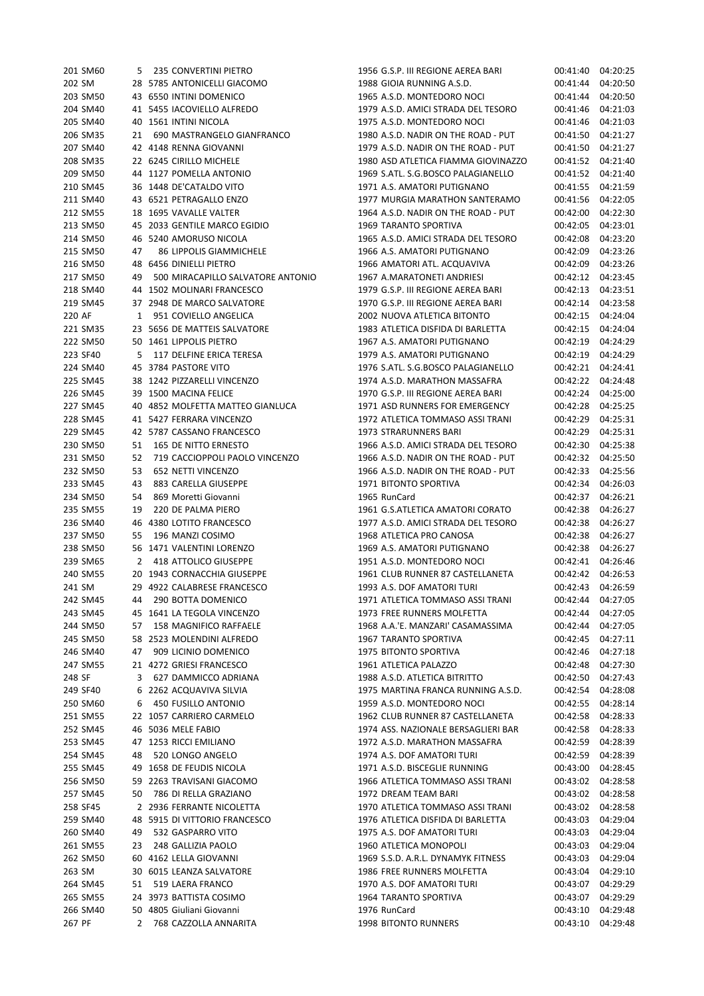| <b>SIMPO</b> |    | 5 235 CONVERTINI PIETRO           | 1956 G.S.P. III REGIUNE AEREA BARI  | UU:41:40          | 04:20:25          |
|--------------|----|-----------------------------------|-------------------------------------|-------------------|-------------------|
| 202 SM       |    | 28 5785 ANTONICELLI GIACOMO       | 1988 GIOIA RUNNING A.S.D.           | 00:41:44          | 04:20:50          |
| 203 SM50     |    | 43 6550 INTINI DOMENICO           | 1965 A.S.D. MONTEDORO NOCI          | 00:41:44          | 04:20:50          |
| 204 SM40     |    | 41 5455 IACOVIELLO ALFREDO        | 1979 A.S.D. AMICI STRADA DEL TESORO | 00:41:46          | 04:21:03          |
| 205 SM40     |    | 40 1561 INTINI NICOLA             | 1975 A.S.D. MONTEDORO NOCI          | 00:41:46          | 04:21:03          |
|              |    |                                   |                                     |                   |                   |
| 206 SM35     | 21 | 690 MASTRANGELO GIANFRANCO        | 1980 A.S.D. NADIR ON THE ROAD - PUT | 00:41:50          | 04:21:27          |
| 207 SM40     |    | 42 4148 RENNA GIOVANNI            | 1979 A.S.D. NADIR ON THE ROAD - PUT | 00:41:50          | 04:21:27          |
| 208 SM35     |    | 22 6245 CIRILLO MICHELE           | 1980 ASD ATLETICA FIAMMA GIOVINAZZO | 00:41:52          | 04:21:40          |
| 209 SM50     |    | 44 1127 POMELLA ANTONIO           | 1969 S.ATL. S.G.BOSCO PALAGIANELLO  | 00:41:52          | 04:21:40          |
| 210 SM45     |    | 36 1448 DE'CATALDO VITO           | 1971 A.S. AMATORI PUTIGNANO         | 00:41:55          | 04:21:59          |
| 211 SM40     |    | 43 6521 PETRAGALLO ENZO           | 1977 MURGIA MARATHON SANTERAMO      | 00:41:56          | 04:22:05          |
| 212 SM55     |    | 18 1695 VAVALLE VALTER            | 1964 A.S.D. NADIR ON THE ROAD - PUT | 00:42:00          | 04:22:30          |
| 213 SM50     |    | 45 2033 GENTILE MARCO EGIDIO      | 1969 TARANTO SPORTIVA               | 00:42:05          | 04:23:01          |
|              |    |                                   |                                     |                   |                   |
| 214 SM50     |    | 46 5240 AMORUSO NICOLA            | 1965 A.S.D. AMICI STRADA DEL TESORO | 00:42:08          | 04:23:20          |
| 215 SM50     | 47 | 86 LIPPOLIS GIAMMICHELE           | 1966 A.S. AMATORI PUTIGNANO         | 00:42:09          | 04:23:26          |
| 216 SM50     |    | 48 6456 DINIELLI PIETRO           | 1966 AMATORI ATL. ACQUAVIVA         | 00:42:09          | 04:23:26          |
| 217 SM50     | 49 | 500 MIRACAPILLO SALVATORE ANTONIO | 1967 A.MARATONETI ANDRIESI          | 00:42:12          | 04:23:45          |
| 218 SM40     |    | 44 1502 MOLINARI FRANCESCO        | 1979 G.S.P. III REGIONE AEREA BARI  | 00:42:13          | 04:23:51          |
| 219 SM45     |    | 37 2948 DE MARCO SALVATORE        | 1970 G.S.P. III REGIONE AEREA BARI  | 00:42:14          | 04:23:58          |
| 220 AF       |    | 1 951 COVIELLO ANGELICA           | 2002 NUOVA ATLETICA BITONTO         | 00:42:15          | 04:24:04          |
| 221 SM35     |    | 23 5656 DE MATTEIS SALVATORE      | 1983 ATLETICA DISFIDA DI BARLETTA   | 00:42:15          | 04:24:04          |
| 222 SM50     |    | 50 1461 LIPPOLIS PIETRO           | 1967 A.S. AMATORI PUTIGNANO         | 00:42:19          | 04:24:29          |
|              |    |                                   |                                     |                   |                   |
| 223 SF40     |    | 5 117 DELFINE ERICA TERESA        | 1979 A.S. AMATORI PUTIGNANO         | 00:42:19          | 04:24:29          |
| 224 SM40     |    | 45 3784 PASTORE VITO              | 1976 S.ATL. S.G.BOSCO PALAGIANELLO  | 00:42:21          | 04:24:41          |
| 225 SM45     |    | 38 1242 PIZZARELLI VINCENZO       | 1974 A.S.D. MARATHON MASSAFRA       | 00:42:22          | 04:24:48          |
| 226 SM45     |    | 39 1500 MACINA FELICE             | 1970 G.S.P. III REGIONE AEREA BARI  | 00:42:24          | 04:25:00          |
| 227 SM45     |    | 40 4852 MOLFETTA MATTEO GIANLUCA  | 1971 ASD RUNNERS FOR EMERGENCY      | 00:42:28          | 04:25:25          |
| 228 SM45     |    | 41 5427 FERRARA VINCENZO          | 1972 ATLETICA TOMMASO ASSI TRANI    | 00:42:29          | 04:25:31          |
| 229 SM45     |    | 42 5787 CASSANO FRANCESCO         | 1973 STRARUNNERS BARI               | 00:42:29          | 04:25:31          |
|              |    |                                   |                                     |                   |                   |
| 230 SM50     | 51 | 165 DE NITTO ERNESTO              | 1966 A.S.D. AMICI STRADA DEL TESORO | 00:42:30          | 04:25:38          |
| 231 SM50     | 52 | 719 CACCIOPPOLI PAOLO VINCENZO    | 1966 A.S.D. NADIR ON THE ROAD - PUT | 00:42:32          | 04:25:50          |
| 232 SM50     | 53 | 652 NETTI VINCENZO                | 1966 A.S.D. NADIR ON THE ROAD - PUT | 00:42:33          | 04:25:56          |
| 233 SM45     | 43 | 883 CARELLA GIUSEPPE              | 1971 BITONTO SPORTIVA               | 00:42:34          | 04:26:03          |
| 234 SM50     | 54 | 869 Moretti Giovanni              | 1965 RunCard                        | 00:42:37          | 04:26:21          |
| 235 SM55     | 19 | 220 DE PALMA PIERO                | 1961 G.S.ATLETICA AMATORI CORATO    | 00:42:38          | 04:26:27          |
| 236 SM40     |    | 46 4380 LOTITO FRANCESCO          | 1977 A.S.D. AMICI STRADA DEL TESORO | 00:42:38          | 04:26:27          |
| 237 SM50     | 55 | 196 MANZI COSIMO                  | 1968 ATLETICA PRO CANOSA            | 00:42:38          | 04:26:27          |
|              |    |                                   |                                     |                   |                   |
| 238 SM50     |    | 56 1471 VALENTINI LORENZO         | 1969 A.S. AMATORI PUTIGNANO         | 00:42:38          | 04:26:27          |
| 239 SM65     |    | 2 418 ATTOLICO GIUSEPPE           | 1951 A.S.D. MONTEDORO NOCI          | 00:42:41          | 04:26:46          |
| 240 SM55     |    | 20 1943 CORNACCHIA GIUSEPPE       | 1961 CLUB RUNNER 87 CASTELLANETA    | 00:42:42          | 04:26:53          |
| 241 SM       |    | 29 4922 CALABRESE FRANCESCO       | 1993 A.S. DOF AMATORI TURI          |                   | 00:42:43 04:26:59 |
| 242 SM45     |    | 44 290 BOTTA DOMENICO             | 1971 ATLETICA TOMMASO ASSI TRANI    | 00:42:44 04:27:05 |                   |
| 243 SM45     |    | 45 1641 LA TEGOLA VINCENZO        | 1973 FREE RUNNERS MOLFETTA          | 00:42:44          | 04:27:05          |
| 244 SM50     |    | 57 158 MAGNIFICO RAFFAELE         | 1968 A.A.'E. MANZARI' CASAMASSIMA   | 00:42:44          | 04:27:05          |
| 245 SM50     |    | 58 2523 MOLENDINI ALFREDO         | 1967 TARANTO SPORTIVA               | 00:42:45          | 04:27:11          |
| 246 SM40     |    | 47 909 LICINIO DOMENICO           | 1975 BITONTO SPORTIVA               | 00:42:46          | 04:27:18          |
|              |    |                                   |                                     |                   |                   |
| 247 SM55     |    | 21 4272 GRIESI FRANCESCO          | 1961 ATLETICA PALAZZO               | 00:42:48          | 04:27:30          |
| 248 SF       |    | 3 627 DAMMICCO ADRIANA            | 1988 A.S.D. ATLETICA BITRITTO       | 00:42:50          | 04:27:43          |
| 249 SF40     |    | 6 2262 ACQUAVIVA SILVIA           | 1975 MARTINA FRANCA RUNNING A.S.D.  | 00:42:54          | 04:28:08          |
| 250 SM60     |    | 6 450 FUSILLO ANTONIO             | 1959 A.S.D. MONTEDORO NOCI          | 00:42:55          | 04:28:14          |
| 251 SM55     |    | 22 1057 CARRIERO CARMELO          | 1962 CLUB RUNNER 87 CASTELLANETA    | 00:42:58          | 04:28:33          |
| 252 SM45     |    | 46 5036 MELE FABIO                | 1974 ASS. NAZIONALE BERSAGLIERI BAR | 00:42:58          | 04:28:33          |
| 253 SM45     |    | 47 1253 RICCI EMILIANO            | 1972 A.S.D. MARATHON MASSAFRA       | 00:42:59          | 04:28:39          |
| 254 SM45     | 48 | 520 LONGO ANGELO                  | 1974 A.S. DOF AMATORI TURI          | 00:42:59          | 04:28:39          |
| 255 SM45     |    | 49 1658 DE FEUDIS NICOLA          | 1971 A.S.D. BISCEGLIE RUNNING       | 00:43:00          | 04:28:45          |
|              |    |                                   |                                     |                   |                   |
| 256 SM50     |    | 59 2263 TRAVISANI GIACOMO         | 1966 ATLETICA TOMMASO ASSI TRANI    | 00:43:02          | 04:28:58          |
| 257 SM45     | 50 | 786 DI RELLA GRAZIANO             | 1972 DREAM TEAM BARI                | 00:43:02          | 04:28:58          |
| 258 SF45     |    | 2 2936 FERRANTE NICOLETTA         | 1970 ATLETICA TOMMASO ASSI TRANI    | 00:43:02          | 04:28:58          |
| 259 SM40     |    | 48 5915 DI VITTORIO FRANCESCO     | 1976 ATLETICA DISFIDA DI BARLETTA   | 00:43:03          | 04:29:04          |
| 260 SM40     | 49 | 532 GASPARRO VITO                 | 1975 A.S. DOF AMATORI TURI          | 00:43:03          | 04:29:04          |
| 261 SM55     | 23 | 248 GALLIZIA PAOLO                | 1960 ATLETICA MONOPOLI              | 00:43:03          | 04:29:04          |
| 262 SM50     |    | 60 4162 LELLA GIOVANNI            | 1969 S.S.D. A.R.L. DYNAMYK FITNESS  | 00:43:03          | 04:29:04          |
| 263 SM       |    | 30 6015 LEANZA SALVATORE          | 1986 FREE RUNNERS MOLFETTA          | 00:43:04          | 04:29:10          |
|              |    |                                   |                                     |                   |                   |
| 264 SM45     | 51 | 519 LAERA FRANCO                  | 1970 A.S. DOF AMATORI TURI          | 00:43:07          | 04:29:29          |
| 265 SM55     |    | 24 3973 BATTISTA COSIMO           | 1964 TARANTO SPORTIVA               | 00:43:07          | 04:29:29          |
| 266 SM40     |    | 50 4805 Giuliani Giovanni         | 1976 RunCard                        | 00:43:10          | 04:29:48          |
| 267 PF       |    | 2 768 CAZZOLLA ANNARITA           | 1998 BITONTO RUNNERS                | 00:43:10          | 04:29:48          |
|              |    |                                   |                                     |                   |                   |

| 201 SM60             | 5        | 235 CONVERTINI PIETRO                        | 1956 G.S.P. III REGIONE AEREA BARI                                      | 00:41:40             | 04:20:25             |
|----------------------|----------|----------------------------------------------|-------------------------------------------------------------------------|----------------------|----------------------|
| 202 SM               |          | 28 5785 ANTONICELLI GIACOMO                  | 1988 GIOIA RUNNING A.S.D.                                               | 00:41:44             | 04:20:50             |
| 203 SM50             |          | 43 6550 INTINI DOMENICO                      | 1965 A.S.D. MONTEDORO NOCI                                              | 00:41:44             | 04:20:50             |
| 204 SM40             |          | 41 5455 IACOVIELLO ALFREDO                   | 1979 A.S.D. AMICI STRADA DEL TESORO                                     | 00:41:46             | 04:21:03             |
| 205 SM40             |          | 40 1561 INTINI NICOLA                        | 1975 A.S.D. MONTEDORO NOCI                                              | 00:41:46             | 04:21:03             |
| 206 SM35             | 21       | 690 MASTRANGELO GIANFRANCO                   | 1980 A.S.D. NADIR ON THE ROAD - PUT                                     | 00:41:50             | 04:21:27             |
| 207 SM40             |          | 42 4148 RENNA GIOVANNI                       | 1979 A.S.D. NADIR ON THE ROAD - PUT                                     | 00:41:50             | 04:21:27             |
| 208 SM35             |          | 22 6245 CIRILLO MICHELE                      | 1980 ASD ATLETICA FIAMMA GIOVINAZZO                                     | 00:41:52             | 04:21:40             |
| 209 SM50             |          | 44 1127 POMELLA ANTONIO                      | 1969 S.ATL. S.G.BOSCO PALAGIANELLO                                      | 00:41:52             | 04:21:40             |
| 210 SM45             |          | 36 1448 DE'CATALDO VITO                      | 1971 A.S. AMATORI PUTIGNANO                                             | 00:41:55             | 04:21:59             |
| 211 SM40             |          | 43 6521 PETRAGALLO ENZO                      | 1977 MURGIA MARATHON SANTERAMO                                          | 00:41:56             | 04:22:05             |
| 212 SM55             |          | 18 1695 VAVALLE VALTER                       | 1964 A.S.D. NADIR ON THE ROAD - PUT                                     | 00:42:00             | 04:22:30             |
| 213 SM50             |          | 45 2033 GENTILE MARCO EGIDIO                 | <b>1969 TARANTO SPORTIVA</b>                                            | 00:42:05             | 04:23:01             |
| 214 SM50             |          | 46 5240 AMORUSO NICOLA                       | 1965 A.S.D. AMICI STRADA DEL TESORO                                     | 00:42:08             | 04:23:20             |
| 215 SM50             | 47       | 86 LIPPOLIS GIAMMICHELE                      | 1966 A.S. AMATORI PUTIGNANO                                             | 00:42:09             | 04:23:26             |
| 216 SM50             |          | 48 6456 DINIELLI PIETRO                      | 1966 AMATORI ATL. ACQUAVIVA                                             | 00:42:09             | 04:23:26             |
| 217 SM50             | 49       | 500 MIRACAPILLO SALVATORE ANTONIO            | 1967 A.MARATONETI ANDRIESI                                              | 00:42:12             | 04:23:45             |
| 218 SM40             |          | 44 1502 MOLINARI FRANCESCO                   | 1979 G.S.P. III REGIONE AEREA BARI                                      | 00:42:13             | 04:23:51             |
| 219 SM45             |          | 37 2948 DE MARCO SALVATORE                   | 1970 G.S.P. III REGIONE AEREA BARI                                      | 00:42:14             | 04:23:58             |
| 220 AF               | 1        | 951 COVIELLO ANGELICA                        | 2002 NUOVA ATLETICA BITONTO                                             | 00:42:15             | 04:24:04             |
| 221 SM35             |          | 23 5656 DE MATTEIS SALVATORE                 | 1983 ATLETICA DISFIDA DI BARLETTA                                       | 00:42:15             | 04:24:04             |
| 222 SM50             |          | 50 1461 LIPPOLIS PIETRO                      | 1967 A.S. AMATORI PUTIGNANO                                             | 00:42:19             | 04:24:29             |
| 223 SF40             | 5        | 117 DELFINE ERICA TERESA                     | 1979 A.S. AMATORI PUTIGNANO                                             | 00:42:19             | 04:24:29             |
| 224 SM40             |          | 45 3784 PASTORE VITO                         | 1976 S.ATL, S.G.BOSCO PALAGIANELLO                                      | 00:42:21             | 04:24:41             |
| 225 SM45             |          | 38 1242 PIZZARELLI VINCENZO                  | 1974 A.S.D. MARATHON MASSAFRA                                           | 00:42:22             | 04:24:48             |
| 226 SM45             |          | 39 1500 MACINA FELICE                        | 1970 G.S.P. III REGIONE AEREA BARI                                      | 00:42:24             | 04:25:00             |
| 227 SM45             |          | 40 4852 MOLFETTA MATTEO GIANLUCA             | 1971 ASD RUNNERS FOR EMERGENCY                                          | 00:42:28             | 04:25:25             |
| 228 SM45             |          | 41 5427 FERRARA VINCENZO                     | 1972 ATLETICA TOMMASO ASSI TRANI                                        | 00:42:29             | 04:25:31             |
| 229 SM45             |          | 42 5787 CASSANO FRANCESCO                    | 1973 STRARUNNERS BARI                                                   | 00:42:29             | 04:25:31             |
| 230 SM50             | 51       | 165 DE NITTO ERNESTO                         | 1966 A.S.D. AMICI STRADA DEL TESORO                                     | 00:42:30             | 04:25:38             |
| 231 SM50             | 52       | 719 CACCIOPPOLI PAOLO VINCENZO               | 1966 A.S.D. NADIR ON THE ROAD - PUT                                     | 00:42:32             | 04:25:50             |
| 232 SM50             | 53       | <b>652 NETTI VINCENZO</b>                    | 1966 A.S.D. NADIR ON THE ROAD - PUT                                     | 00:42:33             | 04:25:56             |
| 233 SM45             | 43       | 883 CARELLA GIUSEPPE                         | 1971 BITONTO SPORTIVA                                                   | 00:42:34             | 04:26:03             |
| 234 SM50             | 54<br>19 | 869 Moretti Giovanni<br>220 DE PALMA PIERO   | 1965 RunCard                                                            | 00:42:37             | 04:26:21             |
| 235 SM55             |          |                                              | 1961 G.S.ATLETICA AMATORI CORATO<br>1977 A.S.D. AMICI STRADA DEL TESORO | 00:42:38             | 04:26:27<br>04:26:27 |
| 236 SM40<br>237 SM50 | 55       | 46 4380 LOTITO FRANCESCO<br>196 MANZI COSIMO | 1968 ATLETICA PRO CANOSA                                                | 00:42:38<br>00:42:38 | 04:26:27             |
| 238 SM50             |          | 56 1471 VALENTINI LORENZO                    | 1969 A.S. AMATORI PUTIGNANO                                             | 00:42:38             | 04:26:27             |
| 239 SM65             | 2        | 418 ATTOLICO GIUSEPPE                        | 1951 A.S.D. MONTEDORO NOCI                                              | 00:42:41             | 04:26:46             |
| 240 SM55             |          | 20 1943 CORNACCHIA GIUSEPPE                  | 1961 CLUB RUNNER 87 CASTELLANETA                                        | 00:42:42             | 04:26:53             |
| 241 SM               |          | 29 4922 CALABRESE FRANCESCO                  | 1993 A.S. DOF AMATORI TURI                                              | 00:42:43 04:26:59    |                      |
| 242 SM45             | 44       | 290 BOTTA DOMENICO                           | 1971 ATLETICA TOMMASO ASSI TRANI                                        | 00:42:44             | 04:27:05             |
| 243 SM45             |          | 45 1641 LA TEGOLA VINCENZO                   | 1973 FREE RUNNERS MOLFETTA                                              | 00:42:44             | 04:27:05             |
| 244 SM50             | 57       | 158 MAGNIFICO RAFFAELE                       | 1968 A.A.'E. MANZARI' CASAMASSIMA                                       | 00:42:44             | 04:27:05             |
| 245 SM50             |          | 58 2523 MOLENDINI ALFREDO                    | 1967 TARANTO SPORTIVA                                                   | 00:42:45             | 04:27:11             |
| 246 SM40             | 47       | 909 LICINIO DOMENICO                         | 1975 BITONTO SPORTIVA                                                   | 00:42:46             | 04:27:18             |
| 247 SM55             |          | 21 4272 GRIESI FRANCESCO                     | 1961 ATLETICA PALAZZO                                                   | 00:42:48             | 04:27:30             |
| 248 SF               | 3        | 627 DAMMICCO ADRIANA                         | 1988 A.S.D. ATLETICA BITRITTO                                           | 00:42:50             | 04:27:43             |
| 249 SF40             |          | 6 2262 ACQUAVIVA SILVIA                      | 1975 MARTINA FRANCA RUNNING A.S.D.                                      | 00:42:54             | 04:28:08             |
| 250 SM60             | 6        | 450 FUSILLO ANTONIO                          | 1959 A.S.D. MONTEDORO NOCI                                              | 00:42:55             | 04:28:14             |
| 251 SM55             |          | 22 1057 CARRIERO CARMELO                     | 1962 CLUB RUNNER 87 CASTELLANETA                                        | 00:42:58             | 04:28:33             |
| 252 SM45             |          | 46 5036 MELE FABIO                           | 1974 ASS. NAZIONALE BERSAGLIERI BAR                                     | 00:42:58             | 04:28:33             |
| 253 SM45             |          | 47 1253 RICCI EMILIANO                       | 1972 A.S.D. MARATHON MASSAFRA                                           | 00:42:59             | 04:28:39             |
| 254 SM45             | 48       | 520 LONGO ANGELO                             | 1974 A.S. DOF AMATORI TURI                                              | 00:42:59             | 04:28:39             |
| 255 SM45             |          | 49 1658 DE FEUDIS NICOLA                     | 1971 A.S.D. BISCEGLIE RUNNING                                           | 00:43:00             | 04:28:45             |
| 256 SM50             |          | 59 2263 TRAVISANI GIACOMO                    | 1966 ATLETICA TOMMASO ASSI TRANI                                        | 00:43:02             | 04:28:58             |
| 257 SM45             | 50       | 786 DI RELLA GRAZIANO                        | 1972 DREAM TEAM BARI                                                    | 00:43:02             | 04:28:58             |
| 258 SF45             |          | 2 2936 FERRANTE NICOLETTA                    | 1970 ATLETICA TOMMASO ASSI TRANI                                        | 00:43:02             | 04:28:58             |
| 259 SM40             |          | 48 5915 DI VITTORIO FRANCESCO                | 1976 ATLETICA DISFIDA DI BARLETTA                                       | 00:43:03             | 04:29:04             |
| 260 SM40             | 49       | 532 GASPARRO VITO                            | 1975 A.S. DOF AMATORI TURI                                              | 00:43:03             | 04:29:04             |
| 261 SM55             | 23       | 248 GALLIZIA PAOLO                           | 1960 ATLETICA MONOPOLI                                                  | 00:43:03             | 04:29:04             |
| 262 SM50             |          | 60 4162 LELLA GIOVANNI                       | 1969 S.S.D. A.R.L. DYNAMYK FITNESS                                      | 00:43:03             | 04:29:04             |
| 263 SM               |          | 30 6015 LEANZA SALVATORE                     | 1986 FREE RUNNERS MOLFETTA                                              | 00:43:04             | 04:29:10             |
| 264 SM45             | 51       | 519 LAERA FRANCO                             | 1970 A.S. DOF AMATORI TURI                                              | 00:43:07             | 04:29:29             |
| 265 SM55             |          | 24 3973 BATTISTA COSIMO                      | 1964 TARANTO SPORTIVA                                                   | 00:43:07             | 04:29:29             |
| 266 SM40             |          | 50 4805 Giuliani Giovanni                    | 1976 RunCard                                                            | 00:43:10             | 04:29:48             |
| 267 PF               |          | 2 768 CAZZOLLA ANNARITA                      | 1998 BITONTO RUNNERS                                                    | 00:43:10             | 04:29:48             |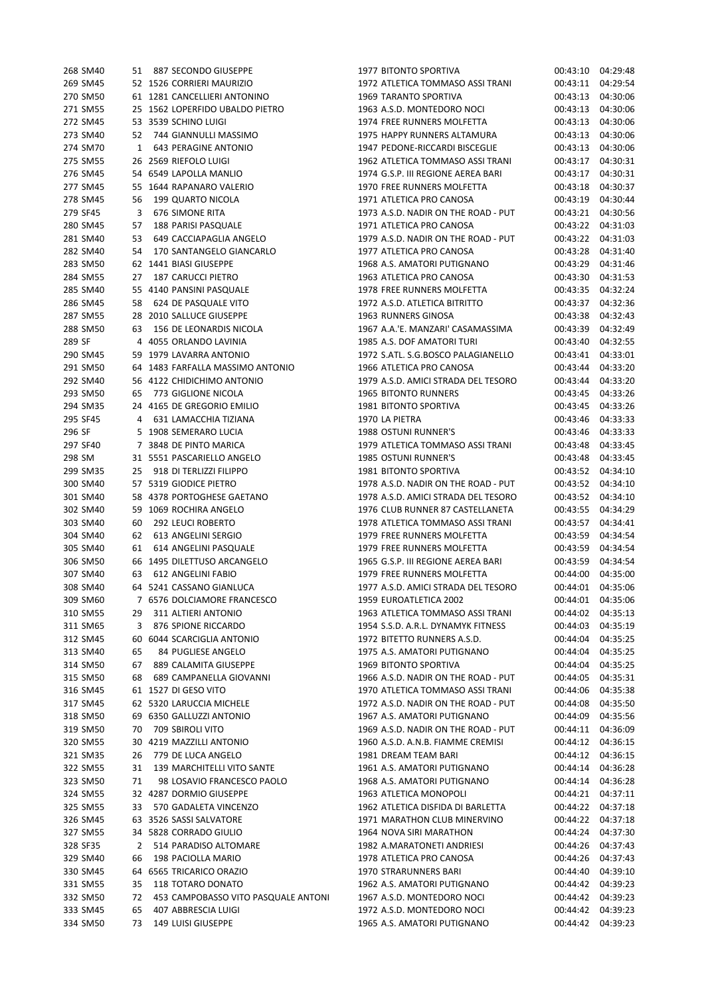| 268 SM40 |    | 51 887 SECONDO GIUSEPPE                   |
|----------|----|-------------------------------------------|
| 269 SM45 |    | 52 1526 CORRIERI MAURIZIO                 |
| 270 SM50 |    | 61 1281 CANCELLIERI ANTONINO              |
| 271 SM55 |    | 25 1562 LOPERFIDO UBALDO PIETRO           |
| 272 SM45 |    | 53 3539 SCHINO LUIGI                      |
|          |    | 273 SM40 52 744 GIANNULLI MASSIMO         |
| 274 SM70 |    | 1 643 PERAGINE ANTONIO                    |
| 275 SM55 |    | 26 2569 RIEFOLO LUIGI                     |
| 276 SM45 |    | 54 6549 LAPOLLA MANLIO                    |
| 277 SM45 |    | 55 1644 RAPANARO VALERIO                  |
| 278 SM45 |    | 56 199 QUARTO NICOLA                      |
| 279 SF45 |    | 3 676 SIMONE RITA                         |
|          |    | 280 SM45 57 188 PARISI PASQUALE           |
| 281 SM40 |    | 53 649 CACCIAPAGLIA ANGELO                |
| 282 SM40 |    | 54 170 SANTANGELO GIANCARLO               |
| 283 SM50 |    | 62 1441 BIASI GIUSEPPE                    |
|          |    | 284 SM55 27 187 CARUCCI PIETRO            |
|          |    | 285 SM40 55 4140 PANSINI PASQUALE         |
|          |    | 286 SM45 58 624 DE PASQUALE VITO          |
| 287 SM55 |    | 28 2010 SALLUCE GIUSEPPE                  |
| 288 SM50 |    | 63 156 DE LEONARDIS NICOLA                |
| 289 SF   |    | 4 4055 ORLANDO LAVINIA                    |
|          |    | 290 SM45 59 1979 LAVARRA ANTONIO          |
|          |    | 291 SM50 64 1483 FARFALLA MASSIMO ANTONIO |
| 292 SM40 |    | 56 4122 CHIDICHIMO ANTONIO                |
| 293 SM50 |    | 65 773 GIGLIONE NICOLA                    |
| 294 SM35 |    | 24 4165 DE GREGORIO EMILIO                |
| 295 SF45 |    | 4 631 LAMACCHIA TIZIANA                   |
| 296 SF   |    | 5 1908 SEMERARO LUCIA                     |
| 297 SF40 |    | 7 3848 DE PINTO MARICA                    |
| 298 SM   |    | 31 5551 PASCARIELLO ANGELO                |
| 299 SM35 |    | 25 918 DI TERLIZZI FILIPPO                |
| 300 SM40 |    | 57 5319 GIODICE PIETRO                    |
| 301 SM40 |    | 58 4378 PORTOGHESE GAETANO                |
| 302 SM40 |    | 59 1069 ROCHIRA ANGELO                    |
| 303 SM40 |    | 60 292 LEUCI ROBERTO                      |
| 304 SM40 |    | 62 613 ANGELINI SERGIO                    |
| 305 SM40 | 61 | 614 ANGELINI PASQUALE                     |
| 306 SM50 |    | 66 1495 DILETTUSO ARCANGELO               |
| 307 SM40 |    | 63 612 ANGELINI FABIO                     |
| 308 SM40 |    | 64 5241 CASSANO GIANLUCA                  |
| 309 SM60 |    | 7 6576 DOLCIAMORE FRANCESCO               |
| 310 SM55 | 29 | 311 ALTIERI ANTONIO                       |
| 311 SM65 | 3  | 876 SPIONE RICCARDO                       |
| 312 SM45 |    | 60 6044 SCARCIGLIA ANTONIO                |
| 313 SM40 | 65 | 84 PUGLIESE ANGELO                        |
| 314 SM50 | 67 | 889 CALAMITA GIUSEPPE                     |
| 315 SM50 | 68 | 689 CAMPANELLA GIOVANNI                   |
| 316 SM45 |    | 61 1527 DI GESO VITO                      |
| 317 SM45 |    | 62 5320 LARUCCIA MICHELE                  |
| 318 SM50 |    | 69 6350 GALLUZZI ANTONIO                  |
| 319 SM50 | 70 | <b>709 SBIROLI VITO</b>                   |
| 320 SM55 |    | 30 4219 MAZZILLI ANTONIO                  |
| 321 SM35 | 26 | 779 DE LUCA ANGELO                        |
| 322 SM55 | 31 | 139 MARCHITELLI VITO SANTE                |
| 323 SM50 | 71 | 98 LOSAVIO FRANCESCO PAOLO                |
| 324 SM55 |    | 32 4287 DORMIO GIUSEPPE                   |
| 325 SM55 |    | 33 570 GADALETA VINCENZO                  |
| 326 SM45 |    | 63 3526 SASSI SALVATORE                   |
| 327 SM55 |    | 34 5828 CORRADO GIULIO                    |
| 328 SF35 |    | 2 514 PARADISO ALTOMARE                   |
| 329 SM40 | 66 | 198 PACIOLLA MARIO                        |
| 330 SM45 |    | 64 6565 TRICARICO ORAZIO                  |
| 331 SM55 | 35 | 118 TOTARO DONATO                         |
| 332 SM50 | 72 | 453 CAMPOBASSO VITO PASQUALE ANTON        |
| 333 SM45 | 65 | 407 ABBRESCIA LUIGI                       |
| 334 SM50 |    | 73 149 LUISI GIUSEPPE                     |

| 268 SM40 |    | 51 887 SECONDO GIUSEPPE             | 1977 BITONTO SPORTIVA               | 00:43:10 04:29:48 |          |
|----------|----|-------------------------------------|-------------------------------------|-------------------|----------|
| 269 SM45 |    | 52 1526 CORRIERI MAURIZIO           | 1972 ATLETICA TOMMASO ASSI TRANI    | 00:43:11          | 04:29:54 |
| 270 SM50 |    | 61 1281 CANCELLIERI ANTONINO        | <b>1969 TARANTO SPORTIVA</b>        | 00:43:13          | 04:30:06 |
| 271 SM55 |    | 25 1562 LOPERFIDO UBALDO PIETRO     | 1963 A.S.D. MONTEDORO NOCI          | 00:43:13          | 04:30:06 |
| 272 SM45 |    | 53 3539 SCHINO LUIGI                | 1974 FREE RUNNERS MOLFETTA          | 00:43:13          | 04:30:06 |
| 273 SM40 | 52 | 744 GIANNULLI MASSIMO               | 1975 HAPPY RUNNERS ALTAMURA         | 00:43:13          | 04:30:06 |
| 274 SM70 | 1  | 643 PERAGINE ANTONIO                | 1947 PEDONE-RICCARDI BISCEGLIE      | 00:43:13          | 04:30:06 |
| 275 SM55 |    | 26 2569 RIEFOLO LUIGI               | 1962 ATLETICA TOMMASO ASSI TRANI    | 00:43:17          | 04:30:31 |
| 276 SM45 |    | 54 6549 LAPOLLA MANLIO              | 1974 G.S.P. III REGIONE AEREA BARI  | 00:43:17          | 04:30:31 |
| 277 SM45 |    | 55 1644 RAPANARO VALERIO            | 1970 FREE RUNNERS MOLFETTA          | 00:43:18          | 04:30:37 |
| 278 SM45 | 56 | 199 QUARTO NICOLA                   | 1971 ATLETICA PRO CANOSA            | 00:43:19          | 04:30:44 |
| 279 SF45 | 3  | 676 SIMONE RITA                     | 1973 A.S.D. NADIR ON THE ROAD - PUT | 00:43:21          | 04:30:56 |
| 280 SM45 | 57 | 188 PARISI PASQUALE                 | 1971 ATLETICA PRO CANOSA            | 00:43:22          | 04:31:03 |
| 281 SM40 | 53 | 649 CACCIAPAGLIA ANGELO             | 1979 A.S.D. NADIR ON THE ROAD - PUT | 00:43:22          | 04:31:03 |
| 282 SM40 |    | 54 170 SANTANGELO GIANCARLO         | 1977 ATLETICA PRO CANOSA            | 00:43:28          | 04:31:40 |
| 283 SM50 |    | 62 1441 BIASI GIUSEPPE              | 1968 A.S. AMATORI PUTIGNANO         | 00:43:29          | 04:31:46 |
| 284 SM55 |    | <b>187 CARUCCI PIETRO</b>           | 1963 ATLETICA PRO CANOSA            | 00:43:30          |          |
|          | 27 |                                     |                                     |                   | 04:31:53 |
| 285 SM40 |    | 55 4140 PANSINI PASQUALE            | 1978 FREE RUNNERS MOLFETTA          | 00:43:35          | 04:32:24 |
| 286 SM45 | 58 | 624 DE PASQUALE VITO                | 1972 A.S.D. ATLETICA BITRITTO       | 00:43:37          | 04:32:36 |
| 287 SM55 |    | 28 2010 SALLUCE GIUSEPPE            | 1963 RUNNERS GINOSA                 | 00:43:38          | 04:32:43 |
| 288 SM50 | 63 | 156 DE LEONARDIS NICOLA             | 1967 A.A.'E. MANZARI' CASAMASSIMA   | 00:43:39          | 04:32:49 |
| 289 SF   |    | 4 4055 ORLANDO LAVINIA              | 1985 A.S. DOF AMATORI TURI          | 00:43:40          | 04:32:55 |
| 290 SM45 |    | 59 1979 LAVARRA ANTONIO             | 1972 S.ATL. S.G.BOSCO PALAGIANELLO  | 00:43:41          | 04:33:01 |
| 291 SM50 |    | 64 1483 FARFALLA MASSIMO ANTONIO    | 1966 ATLETICA PRO CANOSA            | 00:43:44          | 04:33:20 |
| 292 SM40 |    | 56 4122 CHIDICHIMO ANTONIO          | 1979 A.S.D. AMICI STRADA DEL TESORO | 00:43:44          | 04:33:20 |
| 293 SM50 | 65 | 773 GIGLIONE NICOLA                 | <b>1965 BITONTO RUNNERS</b>         | 00:43:45          | 04:33:26 |
| 294 SM35 |    | 24 4165 DE GREGORIO EMILIO          | 1981 BITONTO SPORTIVA               | 00:43:45          | 04:33:26 |
| 295 SF45 | 4  | 631 LAMACCHIA TIZIANA               | 1970 LA PIETRA                      | 00:43:46          | 04:33:33 |
| 296 SF   |    | 5 1908 SEMERARO LUCIA               | 1988 OSTUNI RUNNER'S                | 00:43:46          | 04:33:33 |
| 297 SF40 |    | 7 3848 DE PINTO MARICA              | 1979 ATLETICA TOMMASO ASSI TRANI    | 00:43:48          | 04:33:45 |
| 298 SM   |    | 31 5551 PASCARIELLO ANGELO          | 1985 OSTUNI RUNNER'S                | 00:43:48          | 04:33:45 |
| 299 SM35 |    | 25 918 DI TERLIZZI FILIPPO          | 1981 BITONTO SPORTIVA               | 00:43:52          | 04:34:10 |
| 300 SM40 |    | 57 5319 GIODICE PIETRO              | 1978 A.S.D. NADIR ON THE ROAD - PUT | 00:43:52          | 04:34:10 |
| 301 SM40 |    | 58 4378 PORTOGHESE GAETANO          | 1978 A.S.D. AMICI STRADA DEL TESORO | 00:43:52          | 04:34:10 |
| 302 SM40 |    | 59 1069 ROCHIRA ANGELO              | 1976 CLUB RUNNER 87 CASTELLANETA    | 00:43:55          | 04:34:29 |
| 303 SM40 | 60 | 292 LEUCI ROBERTO                   | 1978 ATLETICA TOMMASO ASSI TRANI    | 00:43:57          | 04:34:41 |
| 304 SM40 |    | 62 613 ANGELINI SERGIO              | 1979 FREE RUNNERS MOLFETTA          | 00:43:59          | 04:34:54 |
| 305 SM40 | 61 | 614 ANGELINI PASQUALE               | 1979 FREE RUNNERS MOLFETTA          | 00:43:59          | 04:34:54 |
| 306 SM50 |    | 66 1495 DILETTUSO ARCANGELO         | 1965 G.S.P. III REGIONE AEREA BARI  | 00:43:59          | 04:34:54 |
| 307 SM40 | 63 | 612 ANGELINI FABIO                  | 1979 FREE RUNNERS MOLFETTA          | 00:44:00          | 04:35:00 |
| 308 SM40 |    | 64 5241 CASSANO GIANLUCA            | 1977 A.S.D. AMICI STRADA DEL TESORO | 00:44:01          | 04:35:06 |
| 309 SM60 |    | 7 6576 DOLCIAMORE FRANCESCO         | 1959 EUROATLETICA 2002              | 00:44:01          | 04:35:06 |
| 310 SM55 | 29 | 311 ALTIERI ANTONIO                 | 1963 ATLETICA TOMMASO ASSI TRANI    | 00:44:02          | 04:35:13 |
| 311 SM65 | 3  | 876 SPIONE RICCARDO                 | 1954 S.S.D. A.R.L. DYNAMYK FITNESS  | 00:44:03          | 04:35:19 |
| 312 SM45 |    | 60 6044 SCARCIGLIA ANTONIO          | 1972 BITETTO RUNNERS A.S.D.         | 00:44:04          | 04:35:25 |
| 313 SM40 | 65 | 84 PUGLIESE ANGELO                  | 1975 A.S. AMATORI PUTIGNANO         | 00:44:04          | 04:35:25 |
| 314 SM50 | 67 | 889 CALAMITA GIUSEPPE               | <b>1969 BITONTO SPORTIVA</b>        | 00:44:04          | 04:35:25 |
| 315 SM50 | 68 | 689 CAMPANELLA GIOVANNI             | 1966 A.S.D. NADIR ON THE ROAD - PUT | 00:44:05          | 04:35:31 |
|          |    |                                     |                                     |                   |          |
| 316 SM45 |    | 61 1527 DI GESO VITO                | 1970 ATLETICA TOMMASO ASSI TRANI    | 00:44:06          | 04:35:38 |
| 317 SM45 |    | 62 5320 LARUCCIA MICHELE            | 1972 A.S.D. NADIR ON THE ROAD - PUT | 00:44:08          | 04:35:50 |
| 318 SM50 |    | 69 6350 GALLUZZI ANTONIO            | 1967 A.S. AMATORI PUTIGNANO         | 00:44:09          | 04:35:56 |
| 319 SM50 | 70 | 709 SBIROLI VITO                    | 1969 A.S.D. NADIR ON THE ROAD - PUT | 00:44:11          | 04:36:09 |
| 320 SM55 |    | 30 4219 MAZZILLI ANTONIO            | 1960 A.S.D. A.N.B. FIAMME CREMISI   | 00:44:12          | 04:36:15 |
| 321 SM35 | 26 | 779 DE LUCA ANGELO                  | 1981 DREAM TEAM BARI                | 00:44:12          | 04:36:15 |
| 322 SM55 | 31 | 139 MARCHITELLI VITO SANTE          | 1961 A.S. AMATORI PUTIGNANO         | 00:44:14          | 04:36:28 |
| 323 SM50 | 71 | 98 LOSAVIO FRANCESCO PAOLO          | 1968 A.S. AMATORI PUTIGNANO         | 00:44:14          | 04:36:28 |
| 324 SM55 |    | 32 4287 DORMIO GIUSEPPE             | 1963 ATLETICA MONOPOLI              | 00:44:21          | 04:37:11 |
| 325 SM55 | 33 | 570 GADALETA VINCENZO               | 1962 ATLETICA DISFIDA DI BARLETTA   | 00:44:22          | 04:37:18 |
| 326 SM45 |    | 63 3526 SASSI SALVATORE             | 1971 MARATHON CLUB MINERVINO        | 00:44:22          | 04:37:18 |
| 327 SM55 |    | 34 5828 CORRADO GIULIO              | 1964 NOVA SIRI MARATHON             | 00:44:24          | 04:37:30 |
| 328 SF35 | 2  | 514 PARADISO ALTOMARE               | 1982 A.MARATONETI ANDRIESI          | 00:44:26          | 04:37:43 |
| 329 SM40 | 66 | 198 PACIOLLA MARIO                  | 1978 ATLETICA PRO CANOSA            | 00:44:26          | 04:37:43 |
| 330 SM45 |    | 64 6565 TRICARICO ORAZIO            | 1970 STRARUNNERS BARI               | 00:44:40          | 04:39:10 |
| 331 SM55 | 35 | 118 TOTARO DONATO                   | 1962 A.S. AMATORI PUTIGNANO         | 00:44:42          | 04:39:23 |
| 332 SM50 | 72 | 453 CAMPOBASSO VITO PASQUALE ANTONI | 1967 A.S.D. MONTEDORO NOCI          | 00:44:42          | 04:39:23 |
| 333 SM45 | 65 | 407 ABBRESCIA LUIGI                 | 1972 A.S.D. MONTEDORO NOCI          | 00:44:42          | 04:39:23 |
| 334 SM50 | 73 | 149 LUISI GIUSEPPE                  | 1965 A.S. AMATORI PUTIGNANO         | 00:44:42          | 04:39:23 |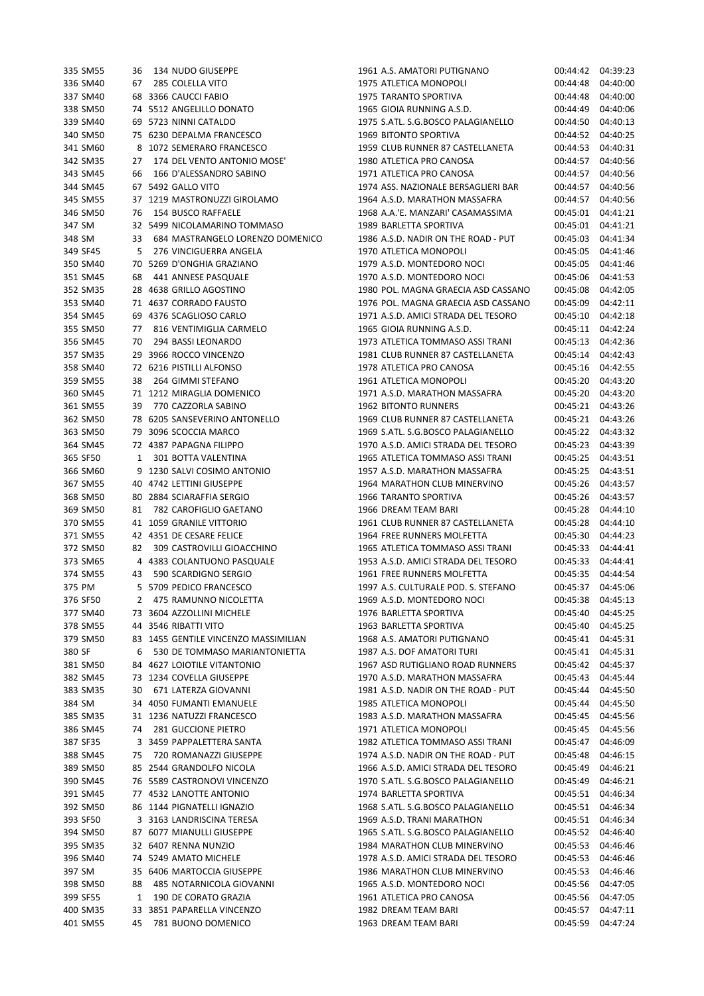| 335 SM55 | 36           | 134 NUDO GIUSEPPE                    | 1961 A.S. AMATORI PUTIGNANO         | UU:44:42          | 04:39:23 |
|----------|--------------|--------------------------------------|-------------------------------------|-------------------|----------|
| 336 SM40 | 67           | 285 COLELLA VITO                     | 1975 ATLETICA MONOPOLI              | 00:44:48          | 04:40:00 |
| 337 SM40 |              | 68 3366 CAUCCI FABIO                 | 1975 TARANTO SPORTIVA               | 00:44:48          | 04:40:00 |
| 338 SM50 |              | 74 5512 ANGELILLO DONATO             | 1965 GIOIA RUNNING A.S.D.           | 00:44:49          | 04:40:06 |
| 339 SM40 |              | 69 5723 NINNI CATALDO                | 1975 S.ATL. S.G.BOSCO PALAGIANELLO  | 00:44:50          | 04:40:13 |
|          |              |                                      | 1969 BITONTO SPORTIVA               |                   |          |
| 340 SM50 |              | 75 6230 DEPALMA FRANCESCO            |                                     | 00:44:52          | 04:40:25 |
| 341 SM60 |              | 8 1072 SEMERARO FRANCESCO            | 1959 CLUB RUNNER 87 CASTELLANETA    | 00:44:53          | 04:40:31 |
| 342 SM35 |              | 27 174 DEL VENTO ANTONIO MOSE'       | 1980 ATLETICA PRO CANOSA            | 00:44:57          | 04:40:56 |
| 343 SM45 | 66           | 166 D'ALESSANDRO SABINO              | 1971 ATLETICA PRO CANOSA            | 00:44:57          | 04:40:56 |
| 344 SM45 |              | 67 5492 GALLO VITO                   | 1974 ASS. NAZIONALE BERSAGLIERI BAR | 00:44:57          | 04:40:56 |
| 345 SM55 |              | 37 1219 MASTRONUZZI GIROLAMO         | 1964 A.S.D. MARATHON MASSAFRA       | 00:44:57          | 04:40:56 |
| 346 SM50 | 76           | 154 BUSCO RAFFAELE                   | 1968 A.A.'E. MANZARI' CASAMASSIMA   | 00:45:01          | 04:41:21 |
| 347 SM   |              | 32 5499 NICOLAMARINO TOMMASO         | 1989 BARLETTA SPORTIVA              | 00:45:01          | 04:41:21 |
| 348 SM   | 33           | 684 MASTRANGELO LORENZO DOMENICO     | 1986 A.S.D. NADIR ON THE ROAD - PUT | 00:45:03          | 04:41:34 |
|          |              |                                      |                                     |                   |          |
| 349 SF45 | 5            | 276 VINCIGUERRA ANGELA               | 1970 ATLETICA MONOPOLI              | 00:45:05          | 04:41:46 |
| 350 SM40 |              | 70 5269 D'ONGHIA GRAZIANO            | 1979 A.S.D. MONTEDORO NOCI          | 00:45:05          | 04:41:46 |
| 351 SM45 | 68           | 441 ANNESE PASQUALE                  | 1970 A.S.D. MONTEDORO NOCI          | 00:45:06          | 04:41:53 |
| 352 SM35 |              | 28 4638 GRILLO AGOSTINO              | 1980 POL. MAGNA GRAECIA ASD CASSANO | 00:45:08          | 04:42:05 |
| 353 SM40 |              | 71 4637 CORRADO FAUSTO               | 1976 POL. MAGNA GRAECIA ASD CASSANO | 00:45:09          | 04:42:11 |
| 354 SM45 |              | 69 4376 SCAGLIOSO CARLO              | 1971 A.S.D. AMICI STRADA DEL TESORO | 00:45:10          | 04:42:18 |
| 355 SM50 | 77           | 816 VENTIMIGLIA CARMELO              | 1965 GIOIA RUNNING A.S.D.           | 00:45:11          | 04:42:24 |
| 356 SM45 | 70           | 294 BASSI LEONARDO                   | 1973 ATLETICA TOMMASO ASSI TRANI    | 00:45:13          | 04:42:36 |
| 357 SM35 |              | 29 3966 ROCCO VINCENZO               | 1981 CLUB RUNNER 87 CASTELLANETA    | 00:45:14          | 04:42:43 |
| 358 SM40 |              | 72 6216 PISTILLI ALFONSO             | 1978 ATLETICA PRO CANOSA            | 00:45:16          | 04:42:55 |
|          |              |                                      |                                     |                   |          |
| 359 SM55 | 38           | 264 GIMMI STEFANO                    | 1961 ATLETICA MONOPOLI              | 00:45:20          | 04:43:20 |
| 360 SM45 |              | 71 1212 MIRAGLIA DOMENICO            | 1971 A.S.D. MARATHON MASSAFRA       | 00:45:20          | 04:43:20 |
| 361 SM55 | 39           | 770 CAZZORLA SABINO                  | <b>1962 BITONTO RUNNERS</b>         | 00:45:21          | 04:43:26 |
| 362 SM50 |              | 78 6205 SANSEVERINO ANTONELLO        | 1969 CLUB RUNNER 87 CASTELLANETA    | 00:45:21          | 04:43:26 |
| 363 SM50 |              | 79 3096 SCOCCIA MARCO                | 1969 S.ATL. S.G.BOSCO PALAGIANELLO  | 00:45:22          | 04:43:32 |
| 364 SM45 |              | 72 4387 PAPAGNA FILIPPO              | 1970 A.S.D. AMICI STRADA DEL TESORO | 00:45:23          | 04:43:39 |
| 365 SF50 | $\mathbf{1}$ | 301 BOTTA VALENTINA                  | 1965 ATLETICA TOMMASO ASSI TRANI    | 00:45:25          | 04:43:51 |
| 366 SM60 |              | 9 1230 SALVI COSIMO ANTONIO          | 1957 A.S.D. MARATHON MASSAFRA       | 00:45:25          | 04:43:51 |
| 367 SM55 |              | 40 4742 LETTINI GIUSEPPE             | 1964 MARATHON CLUB MINERVINO        | 00:45:26          | 04:43:57 |
|          |              |                                      |                                     |                   |          |
| 368 SM50 |              | 80 2884 SCIARAFFIA SERGIO            | 1966 TARANTO SPORTIVA               | 00:45:26          | 04:43:57 |
| 369 SM50 | 81           | 782 CAROFIGLIO GAETANO               | 1966 DREAM TEAM BARI                | 00:45:28          | 04:44:10 |
| 370 SM55 |              | 41 1059 GRANILE VITTORIO             | 1961 CLUB RUNNER 87 CASTELLANETA    | 00:45:28          | 04:44:10 |
| 371 SM55 |              | 42 4351 DE CESARE FELICE             | 1964 FREE RUNNERS MOLFETTA          | 00:45:30          | 04:44:23 |
| 372 SM50 | 82           | 309 CASTROVILLI GIOACCHINO           | 1965 ATLETICA TOMMASO ASSI TRANI    | 00:45:33          | 04:44:41 |
| 373 SM65 |              | 4 4383 COLANTUONO PASQUALE           | 1953 A.S.D. AMICI STRADA DEL TESORO | 00:45:33          | 04:44:41 |
| 374 SM55 | 43           | 590 SCARDIGNO SERGIO                 | 1961 FREE RUNNERS MOLFETTA          | 00:45:35          | 04:44:54 |
| 375 PM   |              | 5 5709 PEDICO FRANCESCO              | 1997 A.S. CULTURALE POD. S. STEFANO | 00:45:37          | 04:45:06 |
| 376 SF50 |              | 2 475 RAMUNNO NICOLETTA              | 1969 A.S.D. MONTEDORO NOCI          | 00:45:38 04:45:13 |          |
| 377 SM40 |              | 73 3604 AZZOLLINI MICHELE            | 1976 BARLETTA SPORTIVA              | 00:45:40          | 04:45:25 |
| 378 SM55 |              | 44 3546 RIBATTI VITO                 | 1963 BARLETTA SPORTIVA              | 00:45:40          | 04:45:25 |
|          |              |                                      |                                     |                   |          |
| 379 SM50 |              | 83 1455 GENTILE VINCENZO MASSIMILIAN | 1968 A.S. AMATORI PUTIGNANO         | 00:45:41          | 04:45:31 |
| 380 SF   | 6            | 530 DE TOMMASO MARIANTONIETTA        | 1987 A.S. DOF AMATORI TURI          | 00:45:41          | 04:45:31 |
| 381 SM50 |              | 84 4627 LOIOTILE VITANTONIO          | 1967 ASD RUTIGLIANO ROAD RUNNERS    | 00:45:42          | 04:45:37 |
| 382 SM45 |              | 73 1234 COVELLA GIUSEPPE             | 1970 A.S.D. MARATHON MASSAFRA       | 00:45:43          | 04:45:44 |
| 383 SM35 | 30           | 671 LATERZA GIOVANNI                 | 1981 A.S.D. NADIR ON THE ROAD - PUT | 00:45:44          | 04:45:50 |
| 384 SM   |              | 34 4050 FUMANTI EMANUELE             | 1985 ATLETICA MONOPOLI              | 00:45:44          | 04:45:50 |
| 385 SM35 |              | 31 1236 NATUZZI FRANCESCO            | 1983 A.S.D. MARATHON MASSAFRA       | 00:45:45          | 04:45:56 |
| 386 SM45 | 74           | 281 GUCCIONE PIETRO                  | 1971 ATLETICA MONOPOLI              | 00:45:45          | 04:45:56 |
| 387 SF35 |              | 3 3459 PAPPALETTERA SANTA            | 1982 ATLETICA TOMMASO ASSI TRANI    | 00:45:47          | 04:46:09 |
| 388 SM45 |              | 75 720 ROMANAZZI GIUSEPPE            | 1974 A.S.D. NADIR ON THE ROAD - PUT | 00:45:48          | 04:46:15 |
|          |              |                                      |                                     |                   |          |
| 389 SM50 |              | 85 2544 GRANDOLFO NICOLA             | 1966 A.S.D. AMICI STRADA DEL TESORO | 00:45:49          | 04:46:21 |
| 390 SM45 |              | 76 5589 CASTRONOVI VINCENZO          | 1970 S.ATL. S.G.BOSCO PALAGIANELLO  | 00:45:49          | 04:46:21 |
| 391 SM45 |              | 77 4532 LANOTTE ANTONIO              | 1974 BARLETTA SPORTIVA              | 00:45:51          | 04:46:34 |
| 392 SM50 |              | 86 1144 PIGNATELLI IGNAZIO           | 1968 S.ATL. S.G.BOSCO PALAGIANELLO  | 00:45:51          | 04:46:34 |
| 393 SF50 |              | 3 3163 LANDRISCINA TERESA            | 1969 A.S.D. TRANI MARATHON          | 00:45:51          | 04:46:34 |
| 394 SM50 |              | 87 6077 MIANULLI GIUSEPPE            | 1965 S.ATL. S.G.BOSCO PALAGIANELLO  | 00:45:52          | 04:46:40 |
| 395 SM35 |              | 32 6407 RENNA NUNZIO                 | 1984 MARATHON CLUB MINERVINO        | 00:45:53          | 04:46:46 |
| 396 SM40 |              | 74 5249 AMATO MICHELE                | 1978 A.S.D. AMICI STRADA DEL TESORO | 00:45:53          | 04:46:46 |
| 397 SM   |              | 35 6406 MARTOCCIA GIUSEPPE           | 1986 MARATHON CLUB MINERVINO        | 00:45:53          | 04:46:46 |
| 398 SM50 | 88           | 485 NOTARNICOLA GIOVANNI             | 1965 A.S.D. MONTEDORO NOCI          | 00:45:56          | 04:47:05 |
| 399 SF55 | 1            | 190 DE CORATO GRAZIA                 | 1961 ATLETICA PRO CANOSA            | 00:45:56          | 04:47:05 |
|          |              |                                      |                                     |                   |          |
| 400 SM35 |              | 33 3851 PAPARELLA VINCENZO           | 1982 DREAM TEAM BARI                | 00:45:57          | 04:47:11 |
| 401 SM55 |              | 45 781 BUONO DOMENICO                | 1963 DREAM TEAM BARI                | 00:45:59          | 04:47:24 |

| 335 SM55             | 36 | 134 NUDO GIUSEPPE                                            | 1961 A.S. AMATORI PUTIGNANO                                    |                      | 00:44:42 04:39:23    |
|----------------------|----|--------------------------------------------------------------|----------------------------------------------------------------|----------------------|----------------------|
| 336 SM40             | 67 | 285 COLELLA VITO                                             | 1975 ATLETICA MONOPOLI                                         | 00:44:48             | 04:40:00             |
| 337 SM40             |    | 68 3366 CAUCCI FABIO                                         | <b>1975 TARANTO SPORTIVA</b>                                   | 00:44:48             | 04:40:00             |
| 338 SM50             |    | 74 5512 ANGELILLO DONATO                                     | 1965 GIOIA RUNNING A.S.D.                                      | 00:44:49             | 04:40:06             |
| 339 SM40             |    | 69 5723 NINNI CATALDO                                        | 1975 S.ATL. S.G.BOSCO PALAGIANELLO                             | 00:44:50             | 04:40:13             |
| 340 SM50             |    | 75 6230 DEPALMA FRANCESCO                                    | <b>1969 BITONTO SPORTIVA</b>                                   | 00:44:52             | 04:40:25             |
| 341 SM60             |    | 8 1072 SEMERARO FRANCESCO                                    | 1959 CLUB RUNNER 87 CASTELLANETA                               | 00:44:53             | 04:40:31             |
| 342 SM35             | 27 | 174 DEL VENTO ANTONIO MOSE'                                  | 1980 ATLETICA PRO CANOSA                                       | 00:44:57             | 04:40:56             |
| 343 SM45             | 66 | 166 D'ALESSANDRO SABINO                                      | 1971 ATLETICA PRO CANOSA                                       | 00:44:57             | 04:40:56             |
| 344 SM45             |    | 67 5492 GALLO VITO                                           | 1974 ASS. NAZIONALE BERSAGLIERI BAR                            | 00:44:57             | 04:40:56             |
| 345 SM55             |    | 37 1219 MASTRONUZZI GIROLAMO                                 | 1964 A.S.D. MARATHON MASSAFRA                                  | 00:44:57             | 04:40:56             |
| 346 SM50             | 76 | 154 BUSCO RAFFAELE                                           | 1968 A.A.'E. MANZARI' CASAMASSIMA                              | 00:45:01             | 04:41:21             |
| 347 SM               |    | 32 5499 NICOLAMARINO TOMMASO                                 | 1989 BARLETTA SPORTIVA                                         | 00:45:01             | 04:41:21             |
| 348 SM               | 33 | 684 MASTRANGELO LORENZO DOMENICO                             | 1986 A.S.D. NADIR ON THE ROAD - PUT                            | 00:45:03             | 04:41:34             |
| 349 SF45             | 5  | 276 VINCIGUERRA ANGELA                                       | 1970 ATLETICA MONOPOLI                                         | 00:45:05             | 04:41:46             |
| 350 SM40             |    | 70 5269 D'ONGHIA GRAZIANO                                    | 1979 A.S.D. MONTEDORO NOCI                                     | 00:45:05             | 04:41:46             |
| 351 SM45             | 68 | 441 ANNESE PASQUALE                                          | 1970 A.S.D. MONTEDORO NOCI                                     | 00:45:06             | 04:41:53             |
| 352 SM35             |    | 28 4638 GRILLO AGOSTINO                                      | 1980 POL. MAGNA GRAECIA ASD CASSANO                            | 00:45:08             | 04:42:05             |
| 353 SM40             |    | 71 4637 CORRADO FAUSTO                                       | 1976 POL. MAGNA GRAECIA ASD CASSANO                            | 00:45:09             | 04:42:11             |
| 354 SM45             |    | 69 4376 SCAGLIOSO CARLO                                      | 1971 A.S.D. AMICI STRADA DEL TESORO                            | 00:45:10             | 04:42:18             |
| 355 SM50             | 77 | 816 VENTIMIGLIA CARMELO                                      | 1965 GIOIA RUNNING A.S.D.                                      | 00:45:11             | 04:42:24             |
| 356 SM45             | 70 | 294 BASSI LEONARDO                                           | 1973 ATLETICA TOMMASO ASSI TRANI                               | 00:45:13             | 04:42:36             |
| 357 SM35             |    | 29 3966 ROCCO VINCENZO                                       | 1981 CLUB RUNNER 87 CASTELLANETA                               | 00:45:14             | 04:42:43             |
| 358 SM40             |    | 72 6216 PISTILLI ALFONSO                                     | 1978 ATLETICA PRO CANOSA                                       | 00:45:16             | 04:42:55             |
| 359 SM55             | 38 | 264 GIMMI STEFANO                                            | 1961 ATLETICA MONOPOLI                                         | 00:45:20             | 04:43:20             |
| 360 SM45             |    | 71 1212 MIRAGLIA DOMENICO                                    | 1971 A.S.D. MARATHON MASSAFRA                                  | 00:45:20             | 04:43:20             |
| 361 SM55             | 39 | 770 CAZZORLA SABINO                                          | <b>1962 BITONTO RUNNERS</b>                                    | 00:45:21             | 04:43:26             |
| 362 SM50             |    | 78 6205 SANSEVERINO ANTONELLO                                | 1969 CLUB RUNNER 87 CASTELLANETA                               | 00:45:21             | 04:43:26             |
| 363 SM50             |    | 79 3096 SCOCCIA MARCO                                        | 1969 S.ATL. S.G.BOSCO PALAGIANELLO                             | 00:45:22             | 04:43:32             |
| 364 SM45             |    | 72 4387 PAPAGNA FILIPPO                                      | 1970 A.S.D. AMICI STRADA DEL TESORO                            | 00:45:23             | 04:43:39             |
| 365 SF50             | 1  | 301 BOTTA VALENTINA                                          | 1965 ATLETICA TOMMASO ASSI TRANI                               | 00:45:25             | 04:43:51             |
| 366 SM60             |    | 9 1230 SALVI COSIMO ANTONIO                                  | 1957 A.S.D. MARATHON MASSAFRA                                  | 00:45:25             | 04:43:51             |
| 367 SM55             |    | 40 4742 LETTINI GIUSEPPE                                     | 1964 MARATHON CLUB MINERVINO                                   | 00:45:26             | 04:43:57             |
| 368 SM50             |    | 80 2884 SCIARAFFIA SERGIO                                    | 1966 TARANTO SPORTIVA                                          | 00:45:26             | 04:43:57             |
| 369 SM50             | 81 | 782 CAROFIGLIO GAETANO                                       | 1966 DREAM TEAM BARI                                           | 00:45:28             | 04:44:10             |
| 370 SM55             |    | 41 1059 GRANILE VITTORIO                                     | 1961 CLUB RUNNER 87 CASTELLANETA                               | 00:45:28             | 04:44:10             |
| 371 SM55             |    | 42 4351 DE CESARE FELICE                                     | 1964 FREE RUNNERS MOLFETTA                                     | 00:45:30             | 04:44:23             |
| 372 SM50             | 82 | 309 CASTROVILLI GIOACCHINO                                   | 1965 ATLETICA TOMMASO ASSI TRANI                               | 00:45:33             | 04:44:41             |
| 373 SM65             |    | 4 4383 COLANTUONO PASQUALE                                   | 1953 A.S.D. AMICI STRADA DEL TESORO                            | 00:45:33             | 04:44:41             |
| 374 SM55             | 43 | 590 SCARDIGNO SERGIO                                         | 1961 FREE RUNNERS MOLFETTA                                     | 00:45:35             | 04:44:54             |
| 375 PM               |    | 5 5709 PEDICO FRANCESCO                                      | 1997 A.S. CULTURALE POD. S. STEFANO                            | 00:45:37             | 04:45:06             |
| 376 SF50             | 2  | 475 RAMUNNO NICOLETTA                                        | 1969 A.S.D. MONTEDORO NOCI                                     | 00:45:38             | 04:45:13             |
| 377 SM40             |    | 73 3604 AZZOLLINI MICHELE                                    | 1976 BARLETTA SPORTIVA                                         | 00:45:40             | 04:45:25             |
| 378 SM55             |    | 44 3546 RIBATTI VITO                                         | 1963 BARLETTA SPORTIVA                                         | 00:45:40             | 04:45:25             |
| 379 SM50             |    | 83 1455 GENTILE VINCENZO MASSIMILIAN                         | 1968 A.S. AMATORI PUTIGNANO                                    | 00:45:41             | 04:45:31             |
|                      |    |                                                              |                                                                |                      |                      |
| 380 SF               | 6  | 530 DE TOMMASO MARIANTONIETTA<br>84 4627 LOIOTILE VITANTONIO | 1987 A.S. DOF AMATORI TURI<br>1967 ASD RUTIGLIANO ROAD RUNNERS | 00:45:41<br>00:45:42 | 04:45:31<br>04:45:37 |
| 381 SM50<br>382 SM45 |    | 73 1234 COVELLA GIUSEPPE                                     | 1970 A.S.D. MARATHON MASSAFRA                                  | 00:45:43             | 04:45:44             |
|                      |    |                                                              |                                                                |                      | 04:45:50             |
| 383 SM35             | 30 | 671 LATERZA GIOVANNI                                         | 1981 A.S.D. NADIR ON THE ROAD - PUT<br>1985 ATLETICA MONOPOLI  | 00:45:44             |                      |
| 384 SM               |    | 34 4050 FUMANTI EMANUELE                                     |                                                                | 00:45:44             | 04:45:50             |
| 385 SM35             |    | 31 1236 NATUZZI FRANCESCO                                    | 1983 A.S.D. MARATHON MASSAFRA                                  | 00:45:45             | 04:45:56             |
| 386 SM45             | 74 | 281 GUCCIONE PIETRO                                          | 1971 ATLETICA MONOPOLI                                         | 00:45:45             | 04:45:56             |
| 387 SF35             |    | 3 3459 PAPPALETTERA SANTA                                    | 1982 ATLETICA TOMMASO ASSI TRANI                               | 00:45:47             | 04:46:09             |
| 388 SM45             | 75 | 720 ROMANAZZI GIUSEPPE                                       | 1974 A.S.D. NADIR ON THE ROAD - PUT                            | 00:45:48             | 04:46:15             |
| 389 SM50             |    | 85 2544 GRANDOLFO NICOLA                                     | 1966 A.S.D. AMICI STRADA DEL TESORO                            | 00:45:49             | 04:46:21             |
| 390 SM45             |    | 76 5589 CASTRONOVI VINCENZO                                  | 1970 S.ATL. S.G.BOSCO PALAGIANELLO                             | 00:45:49             | 04:46:21             |
| 391 SM45             |    | 77 4532 LANOTTE ANTONIO                                      | 1974 BARLETTA SPORTIVA                                         | 00:45:51             | 04:46:34             |
| 392 SM50             |    | 86 1144 PIGNATELLI IGNAZIO                                   | 1968 S.ATL. S.G.BOSCO PALAGIANELLO                             | 00:45:51             | 04:46:34             |
| 393 SF50             |    | 3 3163 LANDRISCINA TERESA                                    | 1969 A.S.D. TRANI MARATHON                                     | 00:45:51             | 04:46:34             |
| 394 SM50             |    | 87 6077 MIANULLI GIUSEPPE                                    | 1965 S.ATL. S.G.BOSCO PALAGIANELLO                             | 00:45:52             | 04:46:40             |
| 395 SM35             |    | 32 6407 RENNA NUNZIO                                         | 1984 MARATHON CLUB MINERVINO                                   | 00:45:53             | 04:46:46             |
| 396 SM40             |    | 74 5249 AMATO MICHELE                                        | 1978 A.S.D. AMICI STRADA DEL TESORO                            | 00:45:53             | 04:46:46             |
| 397 SM               |    | 35 6406 MARTOCCIA GIUSEPPE                                   | 1986 MARATHON CLUB MINERVINO                                   | 00:45:53             | 04:46:46             |
| 398 SM50             | 88 | 485 NOTARNICOLA GIOVANNI                                     | 1965 A.S.D. MONTEDORO NOCI                                     | 00:45:56             | 04:47:05             |
| 399 SF55             | 1  | 190 DE CORATO GRAZIA                                         | 1961 ATLETICA PRO CANOSA                                       | 00:45:56             | 04:47:05             |
| 400 SM35             |    | 33 3851 PAPARELLA VINCENZO                                   | 1982 DREAM TEAM BARI                                           | 00:45:57             | 04:47:11             |
| 401 SM55             |    | 45 781 BUONO DOMENICO                                        | 1963 DREAM TEAM BARI                                           | 00:45:59 04:47:24    |                      |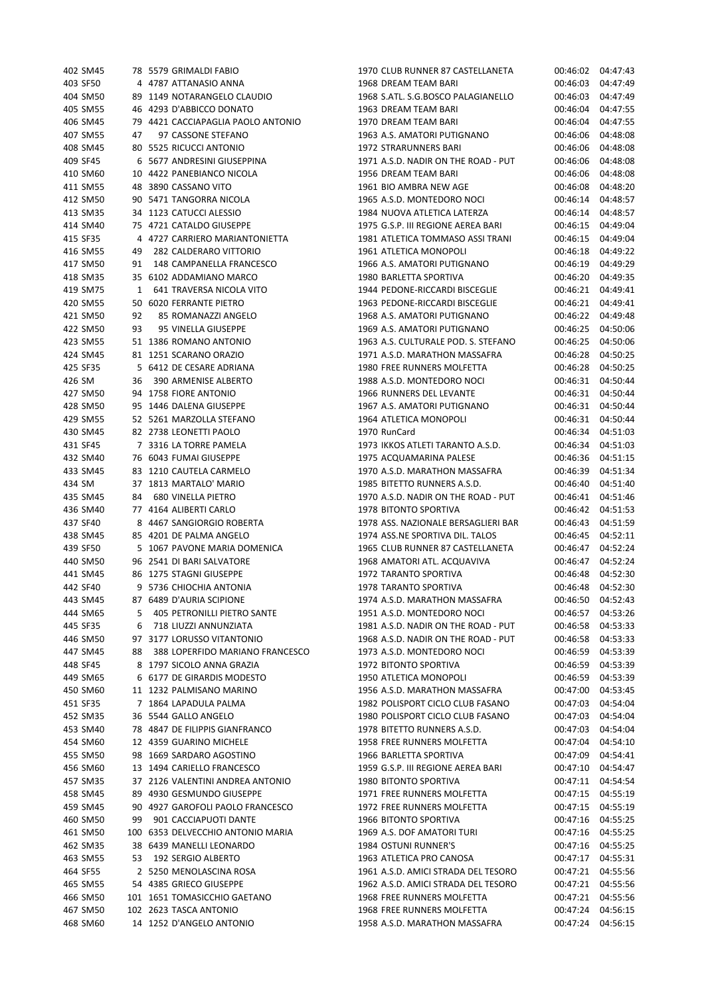| 402 SM45 |    | 78 5579 GRIMALDI FABIO             | 1970 CLUB RUNNER 87 CASTELLANETA    | 00:46:02 | 04:47:43 |
|----------|----|------------------------------------|-------------------------------------|----------|----------|
| 403 SF50 |    | 4 4787 ATTANASIO ANNA              | 1968 DREAM TEAM BARI                | 00:46:03 | 04:47:49 |
| 404 SM50 |    | 89 1149 NOTARANGELO CLAUDIO        | 1968 S.ATL. S.G.BOSCO PALAGIANELLO  | 00:46:03 | 04:47:49 |
| 405 SM55 |    | 46 4293 D'ABBICCO DONATO           | 1963 DREAM TEAM BARI                | 00:46:04 | 04:47:55 |
| 406 SM45 |    | 79 4421 CACCIAPAGLIA PAOLO ANTONIO | 1970 DREAM TEAM BARI                | 00:46:04 | 04:47:55 |
| 407 SM55 | 47 | 97 CASSONE STEFANO                 | 1963 A.S. AMATORI PUTIGNANO         | 00:46:06 | 04:48:08 |
| 408 SM45 |    | 80 5525 RICUCCI ANTONIO            | 1972 STRARUNNERS BARI               | 00:46:06 | 04:48:08 |
|          |    | 6 5677 ANDRESINI GIUSEPPINA        | 1971 A.S.D. NADIR ON THE ROAD - PUT |          |          |
| 409 SF45 |    |                                    |                                     | 00:46:06 | 04:48:08 |
| 410 SM60 |    | 10 4422 PANEBIANCO NICOLA          | 1956 DREAM TEAM BARI                | 00:46:06 | 04:48:08 |
| 411 SM55 |    | 48 3890 CASSANO VITO               | 1961 BIO AMBRA NEW AGE              | 00:46:08 | 04:48:20 |
| 412 SM50 |    | 90 5471 TANGORRA NICOLA            | 1965 A.S.D. MONTEDORO NOCI          | 00:46:14 | 04:48:57 |
| 413 SM35 |    | 34 1123 CATUCCI ALESSIO            | 1984 NUOVA ATLETICA LATERZA         | 00:46:14 | 04:48:57 |
| 414 SM40 |    | 75 4721 CATALDO GIUSEPPE           | 1975 G.S.P. III REGIONE AEREA BARI  | 00:46:15 | 04:49:04 |
| 415 SF35 |    | 4 4727 CARRIERO MARIANTONIETTA     | 1981 ATLETICA TOMMASO ASSI TRANI    | 00:46:15 | 04:49:04 |
| 416 SM55 | 49 | 282 CALDERARO VITTORIO             | 1961 ATLETICA MONOPOLI              | 00:46:18 | 04:49:22 |
| 417 SM50 | 91 | 148 CAMPANELLA FRANCESCO           | 1966 A.S. AMATORI PUTIGNANO         | 00:46:19 | 04:49:29 |
| 418 SM35 |    | 35 6102 ADDAMIANO MARCO            | 1980 BARLETTA SPORTIVA              | 00:46:20 | 04:49:35 |
| 419 SM75 | 1  | 641 TRAVERSA NICOLA VITO           | 1944 PEDONE-RICCARDI BISCEGLIE      | 00:46:21 | 04:49:41 |
| 420 SM55 |    | 50 6020 FERRANTE PIETRO            | 1963 PEDONE-RICCARDI BISCEGLIE      | 00:46:21 | 04:49:41 |
| 421 SM50 | 92 | 85 ROMANAZZI ANGELO                | 1968 A.S. AMATORI PUTIGNANO         | 00:46:22 | 04:49:48 |
| 422 SM50 | 93 | 95 VINELLA GIUSEPPE                | 1969 A.S. AMATORI PUTIGNANO         | 00:46:25 | 04:50:06 |
| 423 SM55 |    | 51 1386 ROMANO ANTONIO             | 1963 A.S. CULTURALE POD. S. STEFANO | 00:46:25 | 04:50:06 |
| 424 SM45 |    | 81 1251 SCARANO ORAZIO             | 1971 A.S.D. MARATHON MASSAFRA       | 00:46:28 | 04:50:25 |
|          |    |                                    |                                     |          |          |
| 425 SF35 |    | 5 6412 DE CESARE ADRIANA           | 1980 FREE RUNNERS MOLFETTA          | 00:46:28 | 04:50:25 |
| 426 SM   | 36 | 390 ARMENISE ALBERTO               | 1988 A.S.D. MONTEDORO NOCI          | 00:46:31 | 04:50:44 |
| 427 SM50 |    | 94 1758 FIORE ANTONIO              | 1966 RUNNERS DEL LEVANTE            | 00:46:31 | 04:50:44 |
| 428 SM50 |    | 95 1446 DALENA GIUSEPPE            | 1967 A.S. AMATORI PUTIGNANO         | 00:46:31 | 04:50:44 |
| 429 SM55 |    | 52 5261 MARZOLLA STEFANO           | 1964 ATLETICA MONOPOLI              | 00:46:31 | 04:50:44 |
| 430 SM45 |    | 82 2738 LEONETTI PAOLO             | 1970 RunCard                        | 00:46:34 | 04:51:03 |
| 431 SF45 |    | 7 3316 LA TORRE PAMELA             | 1973 IKKOS ATLETI TARANTO A.S.D.    | 00:46:34 | 04:51:03 |
| 432 SM40 |    | 76 6043 FUMAI GIUSEPPE             | 1975 ACQUAMARINA PALESE             | 00:46:36 | 04:51:15 |
| 433 SM45 |    | 83 1210 CAUTELA CARMELO            | 1970 A.S.D. MARATHON MASSAFRA       | 00:46:39 | 04:51:34 |
| 434 SM   |    | 37 1813 MARTALO' MARIO             | 1985 BITETTO RUNNERS A.S.D.         | 00:46:40 | 04:51:40 |
| 435 SM45 | 84 | <b>680 VINELLA PIETRO</b>          | 1970 A.S.D. NADIR ON THE ROAD - PUT | 00:46:41 | 04:51:46 |
| 436 SM40 |    | 77 4164 ALIBERTI CARLO             | 1978 BITONTO SPORTIVA               | 00:46:42 | 04:51:53 |
| 437 SF40 |    | 8 4467 SANGIORGIO ROBERTA          | 1978 ASS. NAZIONALE BERSAGLIERI BAR | 00:46:43 | 04:51:59 |
| 438 SM45 |    | 85 4201 DE PALMA ANGELO            | 1974 ASS.NE SPORTIVA DIL. TALOS     | 00:46:45 | 04:52:11 |
| 439 SF50 |    | 5 1067 PAVONE MARIA DOMENICA       | 1965 CLUB RUNNER 87 CASTELLANETA    | 00:46:47 | 04:52:24 |
| 440 SM50 |    | 96 2541 DI BARI SALVATORE          | 1968 AMATORI ATL. ACQUAVIVA         | 00:46:47 | 04:52:24 |
| 441 SM45 |    | 86 1275 STAGNI GIUSEPPE            | 1972 TARANTO SPORTIVA               | 00:46:48 | 04:52:30 |
|          |    |                                    |                                     |          |          |
| 442 SF40 |    | 9 5736 CHIOCHIA ANTONIA            | <b>1978 TARANTO SPORTIVA</b>        | 00:46:48 | 04:52:30 |
| 443 SM45 |    | 87 6489 D'AURIA SCIPIONE           | 1974 A.S.D. MARATHON MASSAFRA       | 00:46:50 | 04:52:43 |
| 444 SM65 | 5  | 405 PETRONILLI PIETRO SANTE        | 1951 A.S.D. MONTEDORO NOCI          | 00:46:57 | 04:53:26 |
| 445 SF35 | 6  | 718 LIUZZI ANNUNZIATA              | 1981 A.S.D. NADIR ON THE ROAD - PUT | 00:46:58 | 04:53:33 |
| 446 SM50 |    | 97 3177 LORUSSO VITANTONIO         | 1968 A.S.D. NADIR ON THE ROAD - PUT | 00:46:58 | 04:53:33 |
| 447 SM45 | 88 | 388 LOPERFIDO MARIANO FRANCESCO    | 1973 A.S.D. MONTEDORO NOCI          | 00:46:59 | 04:53:39 |
| 448 SF45 |    | 8 1797 SICOLO ANNA GRAZIA          | 1972 BITONTO SPORTIVA               | 00:46:59 | 04:53:39 |
| 449 SM65 |    | 6 6177 DE GIRARDIS MODESTO         | 1950 ATLETICA MONOPOLI              | 00:46:59 | 04:53:39 |
| 450 SM60 |    | 11 1232 PALMISANO MARINO           | 1956 A.S.D. MARATHON MASSAFRA       | 00:47:00 | 04:53:45 |
| 451 SF35 |    | 7 1864 LAPADULA PALMA              | 1982 POLISPORT CICLO CLUB FASANO    | 00:47:03 | 04:54:04 |
| 452 SM35 |    | 36 5544 GALLO ANGELO               | 1980 POLISPORT CICLO CLUB FASANO    | 00:47:03 | 04:54:04 |
| 453 SM40 |    | 78 4847 DE FILIPPIS GIANFRANCO     | 1978 BITETTO RUNNERS A.S.D.         | 00:47:03 | 04:54:04 |
| 454 SM60 |    | 12 4359 GUARINO MICHELE            | 1958 FREE RUNNERS MOLFETTA          | 00:47:04 | 04:54:10 |
| 455 SM50 |    | 98 1669 SARDARO AGOSTINO           | 1966 BARLETTA SPORTIVA              | 00:47:09 | 04:54:41 |
| 456 SM60 |    | 13 1494 CARIELLO FRANCESCO         | 1959 G.S.P. III REGIONE AEREA BARI  | 00:47:10 | 04:54:47 |
| 457 SM35 |    | 37 2126 VALENTINI ANDREA ANTONIO   | 1980 BITONTO SPORTIVA               | 00:47:11 | 04:54:54 |
| 458 SM45 |    | 89 4930 GESMUNDO GIUSEPPE          | 1971 FREE RUNNERS MOLFETTA          | 00:47:15 | 04:55:19 |
|          |    |                                    |                                     |          |          |
| 459 SM45 |    | 90 4927 GAROFOLI PAOLO FRANCESCO   | 1972 FREE RUNNERS MOLFETTA          | 00:47:15 | 04:55:19 |
| 460 SM50 | 99 | 901 CACCIAPUOTI DANTE              | 1966 BITONTO SPORTIVA               | 00:47:16 | 04:55:25 |
| 461 SM50 |    | 100 6353 DELVECCHIO ANTONIO MARIA  | 1969 A.S. DOF AMATORI TURI          | 00:47:16 | 04:55:25 |
| 462 SM35 |    | 38 6439 MANELLI LEONARDO           | 1984 OSTUNI RUNNER'S                | 00:47:16 | 04:55:25 |
| 463 SM55 | 53 | 192 SERGIO ALBERTO                 | 1963 ATLETICA PRO CANOSA            | 00:47:17 | 04:55:31 |
| 464 SF55 |    | 2 5250 MENOLASCINA ROSA            | 1961 A.S.D. AMICI STRADA DEL TESORO | 00:47:21 | 04:55:56 |
| 465 SM55 |    | 54 4385 GRIECO GIUSEPPE            | 1962 A.S.D. AMICI STRADA DEL TESORO | 00:47:21 | 04:55:56 |
| 466 SM50 |    | 101 1651 TOMASICCHIO GAETANO       | 1968 FREE RUNNERS MOLFETTA          | 00:47:21 | 04:55:56 |
| 467 SM50 |    | 102 2623 TASCA ANTONIO             | 1968 FREE RUNNERS MOLFETTA          | 00:47:24 | 04:56:15 |
| 468 SM60 |    | 14 1252 D'ANGELO ANTONIO           | 1958 A.S.D. MARATHON MASSAFRA       | 00:47:24 | 04:56:15 |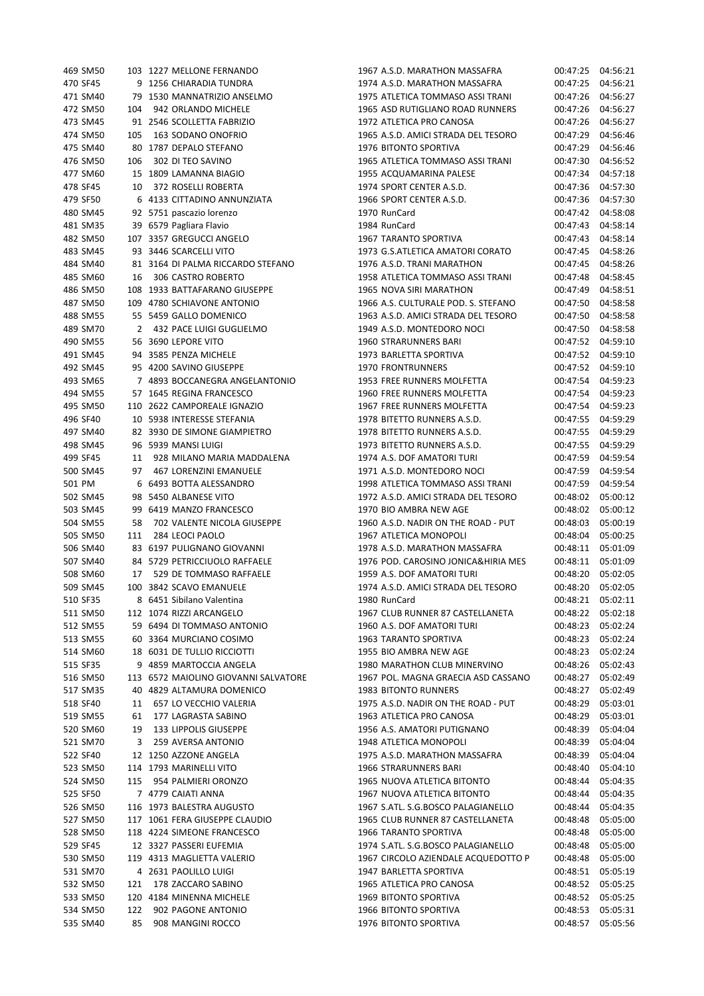|        | 469 SM50             | 103         | 1227 MELLONE FERNANDO                              |
|--------|----------------------|-------------|----------------------------------------------------|
|        | 470 SF45             | 9           | 1256 CHIARADIA TUNDRA                              |
|        | 471 SM40             | 79          | 1530 MANNATRIZIO ANSELMO                           |
|        | 472 SM50             | 104         | 942 ORLANDO MICHELE                                |
|        | 473 SM45             | 91          | 2546 SCOLLETTA FABRIZIO                            |
|        | 474 SM50             | 105         | 163 SODANO ONOFRIO                                 |
|        | 475 SM40             |             | 80 1787 DEPALO STEFANO                             |
|        | 476 SM50             |             | 106 302 DI TEO SAVINO                              |
|        | 477 SM60             | 15          | 1809 LAMANNA BIAGIO                                |
|        | 478 SF45             |             | 10 372 ROSELLI ROBERTA                             |
|        | 479 SF50             | 6           | 4133 CITTADINO ANNUNZIATA                          |
|        | 480 SM45             | 92          | 5751 pascazio lorenzo                              |
|        | 481 SM35             |             | 39 6579 Pagliara Flavio                            |
|        | 482 SM50             | 107         | 3357 GREGUCCI ANGELO                               |
|        | 483 SM45             | 93          | 3446 SCARCELLI VITO                                |
|        | 484 SM40             | 81          | 3164 DI PALMA RICCARDO STEFANO                     |
|        | 485 SM60             | 16          | 306 CASTRO ROBERTO                                 |
|        | 486 SM50             |             | 108 1933 BATTAFARANO GIUSEPPE                      |
|        | 487 SM50<br>488 SM55 | 55          | 109 4780 SCHIAVONE ANTONIO<br>5459 GALLO DOMENICO  |
|        | 489 SM70             | $2^{\circ}$ | 432 PACE LUIGI GUGLIELMO                           |
|        | 490 SM55             | 56          | 3690 LEPORE VITO                                   |
|        | 491 SM45             |             | 94 3585 PENZA MICHELE                              |
|        | 492 SM45             |             | 95 4200 SAVINO GIUSEPPE                            |
|        | 493 SM65             |             | 7 4893 BOCCANEGRA ANGELANTONIO                     |
|        | 494 SM55             |             | 57 1645 REGINA FRANCESCO                           |
|        | 495 SM50             |             | 110 2622 CAMPOREALE IGNAZIO                        |
|        | 496 SF40             |             | 10 5938 INTERESSE STEFANIA                         |
|        | 497 SM40             |             | 82 3930 DE SIMONE GIAMPIETRO                       |
|        | 498 SM45             | 96          | 5939 MANSI LUIGI                                   |
|        | 499 SF45             | 11          | 928 MILANO MARIA MADDALENA                         |
|        | 500 SM45             | 97          | 467 LORENZINI EMANUELE                             |
| 501 PM |                      | 6           | 6493 BOTTA ALESSANDRO                              |
|        | 502 SM45             | 98          | 5450 ALBANESE VITO                                 |
|        | 503 SM45             |             | 99 6419 MANZO FRANCESCO                            |
|        | 504 SM55             | 58          | 702 VALENTE NICOLA GIUSEPPE                        |
|        | 505 SM50             | 111         | 284 LEOCI PAOLO                                    |
|        | 506 SM40             | 83          | 6197 PULIGNANO GIOVANNI                            |
|        | 507 SM40             |             | 84 5729 PETRICCIUOLO RAFFAELE                      |
|        | 508 SM60             |             | 17 529 DE TOMMASO RAFFAELE                         |
|        | 509 SM45             |             | 100 3842 SCAVO EMANUELE                            |
|        | 510 SF35             |             | 8 6451 Sibilano Valentina                          |
|        | 511 SM50             | 112         | 1074 RIZZI ARCANGELO                               |
|        | 512 SM55             |             | 59 6494 DI TOMMASO ANTONIO                         |
|        | 513 SM55             |             | 60 3364 MURCIANO COSIMO                            |
|        | 514 SM60             |             | 18 6031 DE TULLIO RICCIOTTI                        |
|        | 515 SF35             | 9           | 4859 MARTOCCIA ANGELA                              |
|        | 516 SM50             |             | 113 6572 MAIOLINO GIOVANNI SALVATORE               |
|        | 517 SM35             |             | 40 4829 ALTAMURA DOMENICO                          |
|        | 518 SF40             | 11          | 657 LO VECCHIO VALERIA                             |
|        | 519 SM55             |             | 61 177 LAGRASTA SABINO                             |
|        | 520 SM60             |             | 19 133 LIPPOLIS GIUSEPPE                           |
|        | 521 SM70             | 3           | 259 AVERSA ANTONIO                                 |
|        | 522 SF40             | 12          | 1250 AZZONE ANGELA                                 |
|        | 523 SM50             |             | 114 1793 MARINELLI VITO                            |
|        | 524 SM50             |             | 115 954 PALMIERI ORONZO                            |
|        | 525 SF50             |             | 7 4779 CAIATI ANNA                                 |
|        | 526 SM50             |             | 116 1973 BALESTRA AUGUSTO                          |
|        | 527 SM50             |             | 117 1061 FERA GIUSEPPE CLAUDIO                     |
|        | 528 SM50             |             | 118 4224 SIMEONE FRANCESCO                         |
|        | 529 SF45             | 12          | 3327 PASSERI EUFEMIA<br>119 4313 MAGLIETTA VALERIO |
|        | 530 SM50<br>531 SM70 | 4           | 2631 PAOLILLO LUIGI                                |
|        | 532 SM50             | 121         | 178 ZACCARO SABINO                                 |
|        | 533 SM50             |             | 120 4184 MINENNA MICHELE                           |
|        | 534 SM50             | 122         | 902 PAGONE ANTONIO                                 |
|        | 535 SM40             |             | 85 908 MANGINI ROCCO                               |
|        |                      |             |                                                    |

| 469 SM50 |     | 103 1227 MELLONE FERNANDO            | 1967 A.S.D. MARATHON MASSAFRA       | 00:47:25 | 04:56:21 |
|----------|-----|--------------------------------------|-------------------------------------|----------|----------|
| 470 SF45 |     | 9 1256 CHIARADIA TUNDRA              | 1974 A.S.D. MARATHON MASSAFRA       | 00:47:25 | 04:56:21 |
| 471 SM40 |     | 79 1530 MANNATRIZIO ANSELMO          | 1975 ATLETICA TOMMASO ASSI TRANI    | 00:47:26 | 04:56:27 |
| 472 SM50 | 104 | 942 ORLANDO MICHELE                  | 1965 ASD RUTIGLIANO ROAD RUNNERS    | 00:47:26 | 04:56:27 |
| 473 SM45 |     | 91 2546 SCOLLETTA FABRIZIO           | 1972 ATLETICA PRO CANOSA            | 00:47:26 | 04:56:27 |
| 474 SM50 | 105 | 163 SODANO ONOFRIO                   | 1965 A.S.D. AMICI STRADA DEL TESORO | 00:47:29 | 04:56:46 |
| 475 SM40 |     | 80 1787 DEPALO STEFANO               | 1976 BITONTO SPORTIVA               | 00:47:29 | 04:56:46 |
|          |     |                                      |                                     |          |          |
| 476 SM50 | 106 | 302 DI TEO SAVINO                    | 1965 ATLETICA TOMMASO ASSI TRANI    | 00:47:30 | 04:56:52 |
| 477 SM60 |     | 15 1809 LAMANNA BIAGIO               | 1955 ACQUAMARINA PALESE             | 00:47:34 | 04:57:18 |
| 478 SF45 | 10  | 372 ROSELLI ROBERTA                  | 1974 SPORT CENTER A.S.D.            | 00:47:36 | 04:57:30 |
| 479 SF50 |     | 6 4133 CITTADINO ANNUNZIATA          | 1966 SPORT CENTER A.S.D.            | 00:47:36 | 04:57:30 |
| 480 SM45 |     | 92 5751 pascazio lorenzo             | 1970 RunCard                        | 00:47:42 | 04:58:08 |
| 481 SM35 |     | 39 6579 Pagliara Flavio              | 1984 RunCard                        | 00:47:43 | 04:58:14 |
| 482 SM50 |     | 107 3357 GREGUCCI ANGELO             | 1967 TARANTO SPORTIVA               | 00:47:43 | 04:58:14 |
| 483 SM45 |     | 93 3446 SCARCELLI VITO               | 1973 G.S.ATLETICA AMATORI CORATO    | 00:47:45 | 04:58:26 |
| 484 SM40 |     | 81 3164 DI PALMA RICCARDO STEFANO    | 1976 A.S.D. TRANI MARATHON          | 00:47:45 | 04:58:26 |
| 485 SM60 | 16  | 306 CASTRO ROBERTO                   | 1958 ATLETICA TOMMASO ASSI TRANI    | 00:47:48 | 04:58:45 |
| 486 SM50 |     | 108 1933 BATTAFARANO GIUSEPPE        | 1965 NOVA SIRI MARATHON             | 00:47:49 | 04:58:51 |
| 487 SM50 |     | 109 4780 SCHIAVONE ANTONIO           | 1966 A.S. CULTURALE POD. S. STEFANO | 00:47:50 | 04:58:58 |
| 488 SM55 |     | 55 5459 GALLO DOMENICO               | 1963 A.S.D. AMICI STRADA DEL TESORO | 00:47:50 | 04:58:58 |
| 489 SM70 |     | 2 432 PACE LUIGI GUGLIELMO           | 1949 A.S.D. MONTEDORO NOCI          | 00:47:50 | 04:58:58 |
| 490 SM55 |     | 56 3690 LEPORE VITO                  | 1960 STRARUNNERS BARI               | 00:47:52 | 04:59:10 |
|          |     | 94 3585 PENZA MICHELE                | 1973 BARLETTA SPORTIVA              | 00:47:52 |          |
| 491 SM45 |     |                                      |                                     |          | 04:59:10 |
| 492 SM45 |     | 95 4200 SAVINO GIUSEPPE              | 1970 FRONTRUNNERS                   | 00:47:52 | 04:59:10 |
| 493 SM65 |     | 7 4893 BOCCANEGRA ANGELANTONIO       | 1953 FREE RUNNERS MOLFETTA          | 00:47:54 | 04:59:23 |
| 494 SM55 |     | 57 1645 REGINA FRANCESCO             | 1960 FREE RUNNERS MOLFETTA          | 00:47:54 | 04:59:23 |
| 495 SM50 |     | 110 2622 CAMPOREALE IGNAZIO          | 1967 FREE RUNNERS MOLFETTA          | 00:47:54 | 04:59:23 |
| 496 SF40 |     | 10 5938 INTERESSE STEFANIA           | 1978 BITETTO RUNNERS A.S.D.         | 00:47:55 | 04:59:29 |
| 497 SM40 |     | 82 3930 DE SIMONE GIAMPIETRO         | 1978 BITETTO RUNNERS A.S.D.         | 00:47:55 | 04:59:29 |
| 498 SM45 |     | 96 5939 MANSI LUIGI                  | 1973 BITETTO RUNNERS A.S.D.         | 00:47:55 | 04:59:29 |
| 499 SF45 |     | 11 928 MILANO MARIA MADDALENA        | 1974 A.S. DOF AMATORI TURI          | 00:47:59 | 04:59:54 |
| 500 SM45 |     | 97 467 LORENZINI EMANUELE            | 1971 A.S.D. MONTEDORO NOCI          | 00:47:59 | 04:59:54 |
| 501 PM   |     | 6 6493 BOTTA ALESSANDRO              | 1998 ATLETICA TOMMASO ASSI TRANI    | 00:47:59 | 04:59:54 |
| 502 SM45 |     | 98 5450 ALBANESE VITO                | 1972 A.S.D. AMICI STRADA DEL TESORO | 00:48:02 | 05:00:12 |
| 503 SM45 |     | 99 6419 MANZO FRANCESCO              | 1970 BIO AMBRA NEW AGE              | 00:48:02 | 05:00:12 |
| 504 SM55 | 58  | 702 VALENTE NICOLA GIUSEPPE          | 1960 A.S.D. NADIR ON THE ROAD - PUT | 00:48:03 | 05:00:19 |
| 505 SM50 |     | 111 284 LEOCI PAOLO                  | 1967 ATLETICA MONOPOLI              | 00:48:04 | 05:00:25 |
| 506 SM40 |     | 83 6197 PULIGNANO GIOVANNI           | 1978 A.S.D. MARATHON MASSAFRA       | 00:48:11 | 05:01:09 |
| 507 SM40 |     | 84 5729 PETRICCIUOLO RAFFAELE        | 1976 POD. CAROSINO JONICA&HIRIA MES | 00:48:11 | 05:01:09 |
| 508 SM60 |     | 17 529 DE TOMMASO RAFFAELE           | 1959 A.S. DOF AMATORI TURI          | 00:48:20 | 05:02:05 |
|          |     |                                      |                                     |          |          |
| 509 SM45 |     | 100 3842 SCAVO EMANUELE              | 1974 A.S.D. AMICI STRADA DEL TESORO | 00:48:20 | 05:02:05 |
| 510 SF35 |     | 8 6451 Sibilano Valentina            | 1980 RunCard                        | 00:48:21 | 05:02:11 |
| 511 SM50 |     | 112 1074 RIZZI ARCANGELO             | 1967 CLUB RUNNER 87 CASTELLANETA    | 00:48:22 | 05:02:18 |
| 512 SM55 |     | 59 6494 DI TOMMASO ANTONIO           | 1960 A.S. DOF AMATORI TURI          | 00:48:23 | 05:02:24 |
| 513 SM55 |     | 60 3364 MURCIANO COSIMO              | 1963 TARANTO SPORTIVA               | 00:48:23 | 05:02:24 |
| 514 SM60 |     | 18 6031 DE TULLIO RICCIOTTI          | 1955 BIO AMBRA NEW AGE              | 00:48:23 | 05:02:24 |
| 515 SF35 |     | 9 4859 MARTOCCIA ANGELA              | 1980 MARATHON CLUB MINERVINO        | 00:48:26 | 05:02:43 |
| 516 SM50 |     | 113 6572 MAIOLINO GIOVANNI SALVATORE | 1967 POL. MAGNA GRAECIA ASD CASSANO | 00:48:27 | 05:02:49 |
| 517 SM35 |     | 40 4829 ALTAMURA DOMENICO            | <b>1983 BITONTO RUNNERS</b>         | 00:48:27 | 05:02:49 |
| 518 SF40 | 11  | 657 LO VECCHIO VALERIA               | 1975 A.S.D. NADIR ON THE ROAD - PUT | 00:48:29 | 05:03:01 |
| 519 SM55 | 61  | 177 LAGRASTA SABINO                  | 1963 ATLETICA PRO CANOSA            | 00:48:29 | 05:03:01 |
| 520 SM60 | 19  | 133 LIPPOLIS GIUSEPPE                | 1956 A.S. AMATORI PUTIGNANO         | 00:48:39 | 05:04:04 |
| 521 SM70 | 3   | 259 AVERSA ANTONIO                   | 1948 ATLETICA MONOPOLI              | 00:48:39 | 05:04:04 |
| 522 SF40 |     | 12 1250 AZZONE ANGELA                | 1975 A.S.D. MARATHON MASSAFRA       | 00:48:39 | 05:04:04 |
| 523 SM50 |     | 114 1793 MARINELLI VITO              | 1966 STRARUNNERS BARI               | 00:48:40 | 05:04:10 |
| 524 SM50 | 115 | 954 PALMIERI ORONZO                  | 1965 NUOVA ATLETICA BITONTO         | 00:48:44 | 05:04:35 |
| 525 SF50 |     | 7 4779 CAIATI ANNA                   | 1967 NUOVA ATLETICA BITONTO         | 00:48:44 | 05:04:35 |
|          |     |                                      |                                     |          |          |
| 526 SM50 |     | 116 1973 BALESTRA AUGUSTO            | 1967 S.ATL. S.G.BOSCO PALAGIANELLO  | 00:48:44 | 05:04:35 |
| 527 SM50 |     | 117 1061 FERA GIUSEPPE CLAUDIO       | 1965 CLUB RUNNER 87 CASTELLANETA    | 00:48:48 | 05:05:00 |
| 528 SM50 |     | 118 4224 SIMEONE FRANCESCO           | 1966 TARANTO SPORTIVA               | 00:48:48 | 05:05:00 |
| 529 SF45 |     | 12 3327 PASSERI EUFEMIA              | 1974 S.ATL. S.G.BOSCO PALAGIANELLO  | 00:48:48 | 05:05:00 |
| 530 SM50 |     | 119 4313 MAGLIETTA VALERIO           | 1967 CIRCOLO AZIENDALE ACQUEDOTTO P | 00:48:48 | 05:05:00 |
| 531 SM70 |     | 4 2631 PAOLILLO LUIGI                | 1947 BARLETTA SPORTIVA              | 00:48:51 | 05:05:19 |
| 532 SM50 | 121 | 178 ZACCARO SABINO                   | 1965 ATLETICA PRO CANOSA            | 00:48:52 | 05:05:25 |
| 533 SM50 |     | 120 4184 MINENNA MICHELE             | 1969 BITONTO SPORTIVA               | 00:48:52 | 05:05:25 |
| 534 SM50 | 122 | 902 PAGONE ANTONIO                   | 1966 BITONTO SPORTIVA               | 00:48:53 | 05:05:31 |
| 535 SM40 | 85  | 908 MANGINI ROCCO                    | 1976 BITONTO SPORTIVA               | 00:48:57 | 05:05:56 |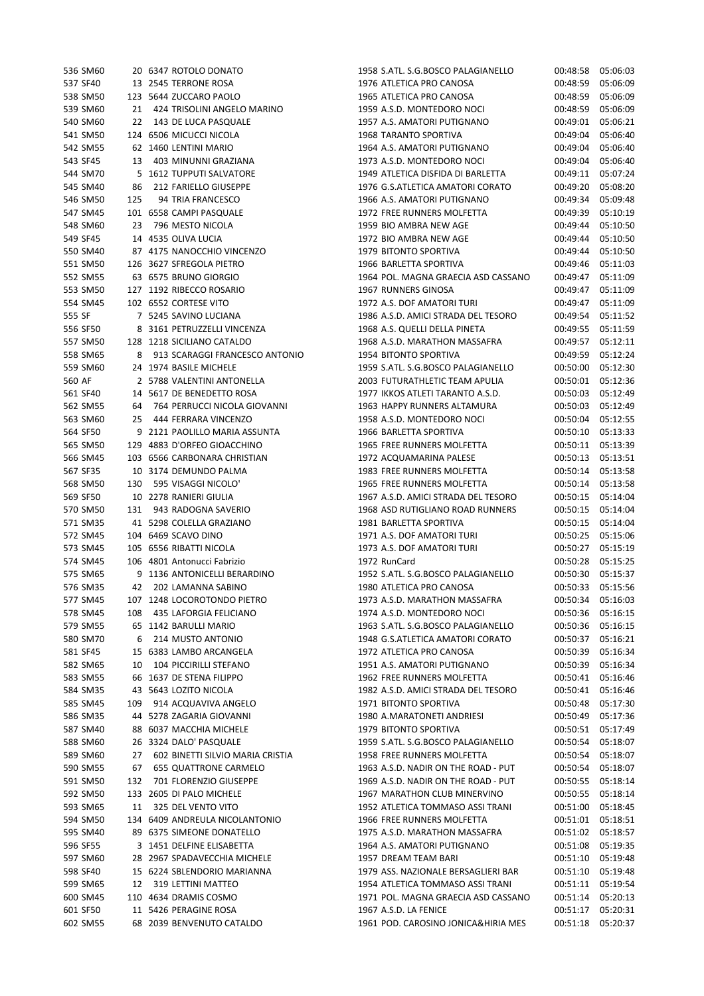| 536 SM60 |     | 20 6347 ROTOLO DONATO            | 1958 S.ATL. S.G.BOSCO PALAGIANELLO  | 00:48:58 | 05:06:03 |
|----------|-----|----------------------------------|-------------------------------------|----------|----------|
| 537 SF40 |     | 13 2545 TERRONE ROSA             | 1976 ATLETICA PRO CANOSA            | 00:48:59 | 05:06:09 |
| 538 SM50 |     | 123 5644 ZUCCARO PAOLO           | 1965 ATLETICA PRO CANOSA            | 00:48:59 | 05:06:09 |
| 539 SM60 | 21  | 424 TRISOLINI ANGELO MARINO      | 1959 A.S.D. MONTEDORO NOCI          | 00:48:59 | 05:06:09 |
| 540 SM60 | 22  | 143 DE LUCA PASQUALE             | 1957 A.S. AMATORI PUTIGNANO         | 00:49:01 | 05:06:21 |
| 541 SM50 |     | 124 6506 MICUCCI NICOLA          | 1968 TARANTO SPORTIVA               | 00:49:04 | 05:06:40 |
| 542 SM55 |     | 62 1460 LENTINI MARIO            | 1964 A.S. AMATORI PUTIGNANO         | 00:49:04 | 05:06:40 |
| 543 SF45 | 13  | 403 MINUNNI GRAZIANA             | 1973 A.S.D. MONTEDORO NOCI          | 00:49:04 | 05:06:40 |
| 544 SM70 |     | 5 1612 TUPPUTI SALVATORE         | 1949 ATLETICA DISFIDA DI BARLETTA   | 00:49:11 | 05:07:24 |
| 545 SM40 | 86  | 212 FARIELLO GIUSEPPE            | 1976 G.S.ATLETICA AMATORI CORATO    | 00:49:20 | 05:08:20 |
| 546 SM50 | 125 | 94 TRIA FRANCESCO                | 1966 A.S. AMATORI PUTIGNANO         | 00:49:34 | 05:09:48 |
| 547 SM45 |     | 101 6558 CAMPI PASQUALE          | 1972 FREE RUNNERS MOLFETTA          | 00:49:39 | 05:10:19 |
| 548 SM60 | 23  | 796 MESTO NICOLA                 | 1959 BIO AMBRA NEW AGE              | 00:49:44 | 05:10:50 |
| 549 SF45 |     | 14 4535 OLIVA LUCIA              | 1972 BIO AMBRA NEW AGE              | 00:49:44 | 05:10:50 |
| 550 SM40 |     | 87 4175 NANOCCHIO VINCENZO       | 1979 BITONTO SPORTIVA               | 00:49:44 | 05:10:50 |
| 551 SM50 |     | 126 3627 SFREGOLA PIETRO         | 1966 BARLETTA SPORTIVA              | 00:49:46 | 05:11:03 |
| 552 SM55 |     | 63 6575 BRUNO GIORGIO            | 1964 POL. MAGNA GRAECIA ASD CASSANO | 00:49:47 | 05:11:09 |
| 553 SM50 |     | 127 1192 RIBECCO ROSARIO         | 1967 RUNNERS GINOSA                 | 00:49:47 | 05:11:09 |
| 554 SM45 |     | 102 6552 CORTESE VITO            | 1972 A.S. DOF AMATORI TURI          | 00:49:47 | 05:11:09 |
| 555 SF   |     | 7 5245 SAVINO LUCIANA            | 1986 A.S.D. AMICI STRADA DEL TESORO | 00:49:54 | 05:11:52 |
| 556 SF50 |     | 8 3161 PETRUZZELLI VINCENZA      | 1968 A.S. QUELLI DELLA PINETA       | 00:49:55 | 05:11:59 |
| 557 SM50 |     | 128 1218 SICILIANO CATALDO       | 1968 A.S.D. MARATHON MASSAFRA       | 00:49:57 | 05:12:11 |
|          |     |                                  |                                     |          |          |
| 558 SM65 |     | 8 913 SCARAGGI FRANCESCO ANTONIO | 1954 BITONTO SPORTIVA               | 00:49:59 | 05:12:24 |
| 559 SM60 |     | 24 1974 BASILE MICHELE           | 1959 S.ATL. S.G.BOSCO PALAGIANELLO  | 00:50:00 | 05:12:30 |
| 560 AF   |     | 2 5788 VALENTINI ANTONELLA       | 2003 FUTURATHLETIC TEAM APULIA      | 00:50:01 | 05:12:36 |
| 561 SF40 |     | 14 5617 DE BENEDETTO ROSA        | 1977 IKKOS ATLETI TARANTO A.S.D.    | 00:50:03 | 05:12:49 |
| 562 SM55 |     | 64 764 PERRUCCI NICOLA GIOVANNI  | 1963 HAPPY RUNNERS ALTAMURA         | 00:50:03 | 05:12:49 |
| 563 SM60 |     | 25 444 FERRARA VINCENZO          | 1958 A.S.D. MONTEDORO NOCI          | 00:50:04 | 05:12:55 |
| 564 SF50 |     | 9 2121 PAOLILLO MARIA ASSUNTA    | 1966 BARLETTA SPORTIVA              | 00:50:10 | 05:13:33 |
| 565 SM50 |     | 129 4883 D'ORFEO GIOACCHINO      | 1965 FREE RUNNERS MOLFETTA          | 00:50:11 | 05:13:39 |
| 566 SM45 |     | 103 6566 CARBONARA CHRISTIAN     | 1972 ACQUAMARINA PALESE             | 00:50:13 | 05:13:51 |
| 567 SF35 |     | 10 3174 DEMUNDO PALMA            | 1983 FREE RUNNERS MOLFETTA          | 00:50:14 | 05:13:58 |
| 568 SM50 | 130 | 595 VISAGGI NICOLO'              | 1965 FREE RUNNERS MOLFETTA          | 00:50:14 | 05:13:58 |
| 569 SF50 |     | 10 2278 RANIERI GIULIA           | 1967 A.S.D. AMICI STRADA DEL TESORO | 00:50:15 | 05:14:04 |
| 570 SM50 | 131 | 943 RADOGNA SAVERIO              | 1968 ASD RUTIGLIANO ROAD RUNNERS    | 00:50:15 | 05:14:04 |
| 571 SM35 |     | 41 5298 COLELLA GRAZIANO         | 1981 BARLETTA SPORTIVA              | 00:50:15 | 05:14:04 |
| 572 SM45 |     | 104 6469 SCAVO DINO              | 1971 A.S. DOF AMATORI TURI          | 00:50:25 | 05:15:06 |
| 573 SM45 |     | 105 6556 RIBATTI NICOLA          | 1973 A.S. DOF AMATORI TURI          | 00:50:27 | 05:15:19 |
| 574 SM45 |     | 106 4801 Antonucci Fabrizio      | 1972 RunCard                        | 00:50:28 | 05:15:25 |
| 575 SM65 |     | 9 1136 ANTONICELLI BERARDINO     | 1952 S.ATL. S.G.BOSCO PALAGIANELLO  | 00:50:30 | 05:15:37 |
| 576 SM35 |     | 42 202 LAMANNA SABINO            | 1980 ATLETICA PRO CANOSA            | 00:50:33 | 05:15:56 |
| 577 SM45 |     | 107 1248 LOCOROTONDO PIETRO      | 1973 A.S.D. MARATHON MASSAFRA       | 00:50:34 | 05:16:03 |
| 578 SM45 | 108 | 435 LAFORGIA FELICIANO           | 1974 A.S.D. MONTEDORO NOCI          | 00:50:36 | 05:16:15 |
| 579 SM55 |     | 65 1142 BARULLI MARIO            | 1963 S.ATL. S.G.BOSCO PALAGIANELLO  | 00:50:36 | 05:16:15 |
| 580 SM70 | 6   | 214 MUSTO ANTONIO                | 1948 G.S.ATLETICA AMATORI CORATO    | 00:50:37 | 05:16:21 |
| 581 SF45 |     | 15 6383 LAMBO ARCANGELA          | 1972 ATLETICA PRO CANOSA            | 00:50:39 | 05:16:34 |
| 582 SM65 | 10  | 104 PICCIRILLI STEFANO           | 1951 A.S. AMATORI PUTIGNANO         | 00:50:39 | 05:16:34 |
| 583 SM55 |     | 66 1637 DE STENA FILIPPO         | 1962 FREE RUNNERS MOLFETTA          | 00:50:41 | 05:16:46 |
| 584 SM35 |     | 43 5643 LOZITO NICOLA            | 1982 A.S.D. AMICI STRADA DEL TESORO | 00:50:41 | 05:16:46 |
| 585 SM45 | 109 | 914 ACQUAVIVA ANGELO             | 1971 BITONTO SPORTIVA               | 00:50:48 | 05:17:30 |
| 586 SM35 |     | 44 5278 ZAGARIA GIOVANNI         | 1980 A.MARATONETI ANDRIESI          | 00:50:49 | 05:17:36 |
| 587 SM40 |     | 88 6037 MACCHIA MICHELE          | 1979 BITONTO SPORTIVA               | 00:50:51 | 05:17:49 |
| 588 SM60 |     | 26 3324 DALO' PASQUALE           | 1959 S.ATL. S.G.BOSCO PALAGIANELLO  | 00:50:54 | 05:18:07 |
| 589 SM60 | 27  | 602 BINETTI SILVIO MARIA CRISTIA | 1958 FREE RUNNERS MOLFETTA          | 00:50:54 | 05:18:07 |
| 590 SM55 | 67  | <b>655 QUATTRONE CARMELO</b>     | 1963 A.S.D. NADIR ON THE ROAD - PUT | 00:50:54 | 05:18:07 |
| 591 SM50 | 132 | 701 FLORENZIO GIUSEPPE           | 1969 A.S.D. NADIR ON THE ROAD - PUT | 00:50:55 | 05:18:14 |
| 592 SM50 |     | 133 2605 DI PALO MICHELE         | 1967 MARATHON CLUB MINERVINO        | 00:50:55 | 05:18:14 |
| 593 SM65 | 11  | 325 DEL VENTO VITO               | 1952 ATLETICA TOMMASO ASSI TRANI    | 00:51:00 | 05:18:45 |
| 594 SM50 |     | 134 6409 ANDREULA NICOLANTONIO   | 1966 FREE RUNNERS MOLFETTA          | 00:51:01 | 05:18:51 |
| 595 SM40 |     | 89 6375 SIMEONE DONATELLO        | 1975 A.S.D. MARATHON MASSAFRA       | 00:51:02 | 05:18:57 |
| 596 SF55 |     | 3 1451 DELFINE ELISABETTA        | 1964 A.S. AMATORI PUTIGNANO         | 00:51:08 | 05:19:35 |
| 597 SM60 |     | 28 2967 SPADAVECCHIA MICHELE     | 1957 DREAM TEAM BARI                | 00:51:10 | 05:19:48 |
| 598 SF40 |     | 15 6224 SBLENDORIO MARIANNA      | 1979 ASS. NAZIONALE BERSAGLIERI BAR | 00:51:10 | 05:19:48 |
| 599 SM65 | 12  | 319 LETTINI MATTEO               | 1954 ATLETICA TOMMASO ASSI TRANI    | 00:51:11 | 05:19:54 |
| 600 SM45 |     | 110 4634 DRAMIS COSMO            | 1971 POL. MAGNA GRAECIA ASD CASSANO | 00:51:14 | 05:20:13 |
| 601 SF50 |     | 11 5426 PERAGINE ROSA            | 1967 A.S.D. LA FENICE               | 00:51:17 | 05:20:31 |
| 602 SM55 |     | 68 2039 BENVENUTO CATALDO        | 1961 POD. CAROSINO JONICA&HIRIA MES | 00:51:18 | 05:20:37 |
|          |     |                                  |                                     |          |          |

| 536 SM60 |     | 20 6347 ROTOLO DONATO            | 1958 S.ATL. S.G.BOSCO PALAGIANELLO  | 00:48:58          | 05:06:03 |
|----------|-----|----------------------------------|-------------------------------------|-------------------|----------|
| 537 SF40 |     | 13 2545 TERRONE ROSA             | 1976 ATLETICA PRO CANOSA            | 00:48:59          | 05:06:09 |
| 538 SM50 |     | 123 5644 ZUCCARO PAOLO           | 1965 ATLETICA PRO CANOSA            | 00:48:59          | 05:06:09 |
| 539 SM60 |     | 21 424 TRISOLINI ANGELO MARINO   | 1959 A.S.D. MONTEDORO NOCI          | 00:48:59          | 05:06:09 |
| 540 SM60 |     | 22 143 DE LUCA PASQUALE          | 1957 A.S. AMATORI PUTIGNANO         | 00:49:01          | 05:06:21 |
| 541 SM50 |     | 124 6506 MICUCCI NICOLA          | <b>1968 TARANTO SPORTIVA</b>        | 00:49:04          | 05:06:40 |
| 542 SM55 |     | 62 1460 LENTINI MARIO            | 1964 A.S. AMATORI PUTIGNANO         | 00:49:04          | 05:06:40 |
| 543 SF45 |     | 13 403 MINUNNI GRAZIANA          | 1973 A.S.D. MONTEDORO NOCI          | 00:49:04          | 05:06:40 |
| 544 SM70 |     | 5 1612 TUPPUTI SALVATORE         | 1949 ATLETICA DISFIDA DI BARLETTA   | 00:49:11          | 05:07:24 |
| 545 SM40 | 86  | 212 FARIELLO GIUSEPPE            | 1976 G.S.ATLETICA AMATORI CORATO    | 00:49:20          | 05:08:20 |
| 546 SM50 | 125 | 94 TRIA FRANCESCO                | 1966 A.S. AMATORI PUTIGNANO         | 00:49:34          | 05:09:48 |
| 547 SM45 |     | 101 6558 CAMPI PASQUALE          | 1972 FREE RUNNERS MOLFETTA          | 00:49:39          | 05:10:19 |
| 548 SM60 |     | 23 796 MESTO NICOLA              | 1959 BIO AMBRA NEW AGE              | 00:49:44          | 05:10:50 |
| 549 SF45 |     | 14 4535 OLIVA LUCIA              | 1972 BIO AMBRA NEW AGE              | 00:49:44          | 05:10:50 |
| 550 SM40 |     | 87 4175 NANOCCHIO VINCENZO       | 1979 BITONTO SPORTIVA               | 00:49:44          | 05:10:50 |
| 551 SM50 |     | 126 3627 SFREGOLA PIETRO         | 1966 BARLETTA SPORTIVA              | 00:49:46          | 05:11:03 |
| 552 SM55 |     | 63 6575 BRUNO GIORGIO            | 1964 POL. MAGNA GRAECIA ASD CASSANO | 00:49:47          | 05:11:09 |
| 553 SM50 |     | 127 1192 RIBECCO ROSARIO         | 1967 RUNNERS GINOSA                 | 00:49:47          | 05:11:09 |
|          |     |                                  |                                     |                   |          |
| 554 SM45 |     | 102 6552 CORTESE VITO            | 1972 A.S. DOF AMATORI TURI          | 00:49:47          | 05:11:09 |
| 555 SF   |     | 7 5245 SAVINO LUCIANA            | 1986 A.S.D. AMICI STRADA DEL TESORO | 00:49:54          | 05:11:52 |
| 556 SF50 |     | 8 3161 PETRUZZELLI VINCENZA      | 1968 A.S. QUELLI DELLA PINETA       | 00:49:55          | 05:11:59 |
| 557 SM50 |     | 128 1218 SICILIANO CATALDO       | 1968 A.S.D. MARATHON MASSAFRA       | 00:49:57          | 05:12:11 |
| 558 SM65 |     | 8 913 SCARAGGI FRANCESCO ANTONIO | 1954 BITONTO SPORTIVA               | 00:49:59          | 05:12:24 |
| 559 SM60 |     | 24 1974 BASILE MICHELE           | 1959 S.ATL. S.G.BOSCO PALAGIANELLO  | 00:50:00          | 05:12:30 |
| 560 AF   |     | 2 5788 VALENTINI ANTONELLA       | 2003 FUTURATHLETIC TEAM APULIA      | 00:50:01          | 05:12:36 |
| 561 SF40 |     | 14 5617 DE BENEDETTO ROSA        | 1977 IKKOS ATLETI TARANTO A.S.D.    | 00:50:03          | 05:12:49 |
| 562 SM55 |     | 64 764 PERRUCCI NICOLA GIOVANNI  | 1963 HAPPY RUNNERS ALTAMURA         | 00:50:03          | 05:12:49 |
| 563 SM60 |     | 25 444 FERRARA VINCENZO          | 1958 A.S.D. MONTEDORO NOCI          | 00:50:04          | 05:12:55 |
| 564 SF50 |     | 9 2121 PAOLILLO MARIA ASSUNTA    | 1966 BARLETTA SPORTIVA              | 00:50:10          | 05:13:33 |
| 565 SM50 |     | 129 4883 D'ORFEO GIOACCHINO      | 1965 FREE RUNNERS MOLFETTA          | 00:50:11          | 05:13:39 |
| 566 SM45 |     | 103 6566 CARBONARA CHRISTIAN     | 1972 ACQUAMARINA PALESE             | 00:50:13          | 05:13:51 |
| 567 SF35 |     | 10 3174 DEMUNDO PALMA            | 1983 FREE RUNNERS MOLFETTA          | 00:50:14          | 05:13:58 |
| 568 SM50 | 130 | 595 VISAGGI NICOLO'              | 1965 FREE RUNNERS MOLFETTA          | 00:50:14          | 05:13:58 |
| 569 SF50 |     | 10 2278 RANIERI GIULIA           | 1967 A.S.D. AMICI STRADA DEL TESORO | 00:50:15          | 05:14:04 |
| 570 SM50 |     | 131 943 RADOGNA SAVERIO          | 1968 ASD RUTIGLIANO ROAD RUNNERS    | 00:50:15          | 05:14:04 |
| 571 SM35 |     | 41 5298 COLELLA GRAZIANO         | 1981 BARLETTA SPORTIVA              | 00:50:15          | 05:14:04 |
| 572 SM45 |     | 104 6469 SCAVO DINO              | 1971 A.S. DOF AMATORI TURI          | 00:50:25          | 05:15:06 |
|          |     | 105 6556 RIBATTI NICOLA          | 1973 A.S. DOF AMATORI TURI          | 00:50:27          |          |
| 573 SM45 |     |                                  |                                     |                   | 05:15:19 |
| 574 SM45 |     | 106 4801 Antonucci Fabrizio      | 1972 RunCard                        | 00:50:28          | 05:15:25 |
| 575 SM65 |     | 9 1136 ANTONICELLI BERARDINO     | 1952 S.ATL. S.G.BOSCO PALAGIANELLO  | 00:50:30          | 05:15:37 |
| 576 SM35 |     | 42 202 LAMANNA SABINO            | 1980 ATLETICA PRO CANOSA            | 00:50:33          | 05:15:56 |
| 577 SM45 |     | 107 1248 LOCOROTONDO PIETRO      | 1973 A.S.D. MARATHON MASSAFRA       | 00:50:34          | 05:16:03 |
| 578 SM45 |     | 108 435 LAFORGIA FELICIANO       | 1974 A.S.D. MONTEDORO NOCI          | 00:50:36          | 05:16:15 |
| 579 SM55 |     | 65 1142 BARULLI MARIO            | 1963 S.ATL. S.G.BOSCO PALAGIANELLO  | 00:50:36          | 05:16:15 |
| 580 SM70 | 6   | 214 MUSTO ANTONIO                | 1948 G.S.ATLETICA AMATORI CORATO    | 00:50:37          | 05:16:21 |
| 581 SF45 |     | 15 6383 LAMBO ARCANGELA          | 1972 ATLETICA PRO CANOSA            | 00:50:39          | 05:16:34 |
| 582 SM65 | 10  | 104 PICCIRILLI STEFANO           | 1951 A.S. AMATORI PUTIGNANO         | 00:50:39          | 05:16:34 |
| 583 SM55 |     | 66 1637 DE STENA FILIPPO         | 1962 FREE RUNNERS MOLFETTA          | 00:50:41          | 05:16:46 |
| 584 SM35 |     | 43 5643 LOZITO NICOLA            | 1982 A.S.D. AMICI STRADA DEL TESORO | 00:50:41          | 05:16:46 |
| 585 SM45 | 109 | 914 ACQUAVIVA ANGELO             | 1971 BITONTO SPORTIVA               | 00:50:48          | 05:17:30 |
| 586 SM35 |     | 44 5278 ZAGARIA GIOVANNI         | 1980 A.MARATONETI ANDRIESI          | 00:50:49          | 05:17:36 |
| 587 SM40 |     | 88 6037 MACCHIA MICHELE          | 1979 BITONTO SPORTIVA               | 00:50:51          | 05:17:49 |
| 588 SM60 |     | 26 3324 DALO' PASQUALE           | 1959 S.ATL. S.G.BOSCO PALAGIANELLO  | 00:50:54          | 05:18:07 |
| 589 SM60 | 27  | 602 BINETTI SILVIO MARIA CRISTIA | 1958 FREE RUNNERS MOLFETTA          | 00:50:54          | 05:18:07 |
| 590 SM55 | 67  | <b>655 QUATTRONE CARMELO</b>     | 1963 A.S.D. NADIR ON THE ROAD - PUT | 00:50:54          | 05:18:07 |
| 591 SM50 | 132 | 701 FLORENZIO GIUSEPPE           | 1969 A.S.D. NADIR ON THE ROAD - PUT | 00:50:55          | 05:18:14 |
| 592 SM50 |     | 133 2605 DI PALO MICHELE         | 1967 MARATHON CLUB MINERVINO        | 00:50:55          | 05:18:14 |
|          |     |                                  |                                     |                   |          |
| 593 SM65 | 11  | 325 DEL VENTO VITO               | 1952 ATLETICA TOMMASO ASSI TRANI    | 00:51:00          | 05:18:45 |
| 594 SM50 |     | 134 6409 ANDREULA NICOLANTONIO   | 1966 FREE RUNNERS MOLFETTA          | 00:51:01          | 05:18:51 |
| 595 SM40 |     | 89 6375 SIMEONE DONATELLO        | 1975 A.S.D. MARATHON MASSAFRA       | 00:51:02          | 05:18:57 |
| 596 SF55 |     | 3 1451 DELFINE ELISABETTA        | 1964 A.S. AMATORI PUTIGNANO         | 00:51:08          | 05:19:35 |
| 597 SM60 |     | 28 2967 SPADAVECCHIA MICHELE     | 1957 DREAM TEAM BARI                | 00:51:10          | 05:19:48 |
| 598 SF40 |     | 15 6224 SBLENDORIO MARIANNA      | 1979 ASS. NAZIONALE BERSAGLIERI BAR | 00:51:10          | 05:19:48 |
| 599 SM65 | 12  | 319 LETTINI MATTEO               | 1954 ATLETICA TOMMASO ASSI TRANI    | 00:51:11          | 05:19:54 |
| 600 SM45 |     | 110 4634 DRAMIS COSMO            | 1971 POL. MAGNA GRAECIA ASD CASSANO | 00:51:14          | 05:20:13 |
| 601 SF50 |     | 11 5426 PERAGINE ROSA            | 1967 A.S.D. LA FENICE               | 00:51:17          | 05:20:31 |
| 602 SM55 |     | 68 2039 BENVENUTO CATALDO        | 1961 POD. CAROSINO JONICA&HIRIA MES | 00:51:18 05:20:37 |          |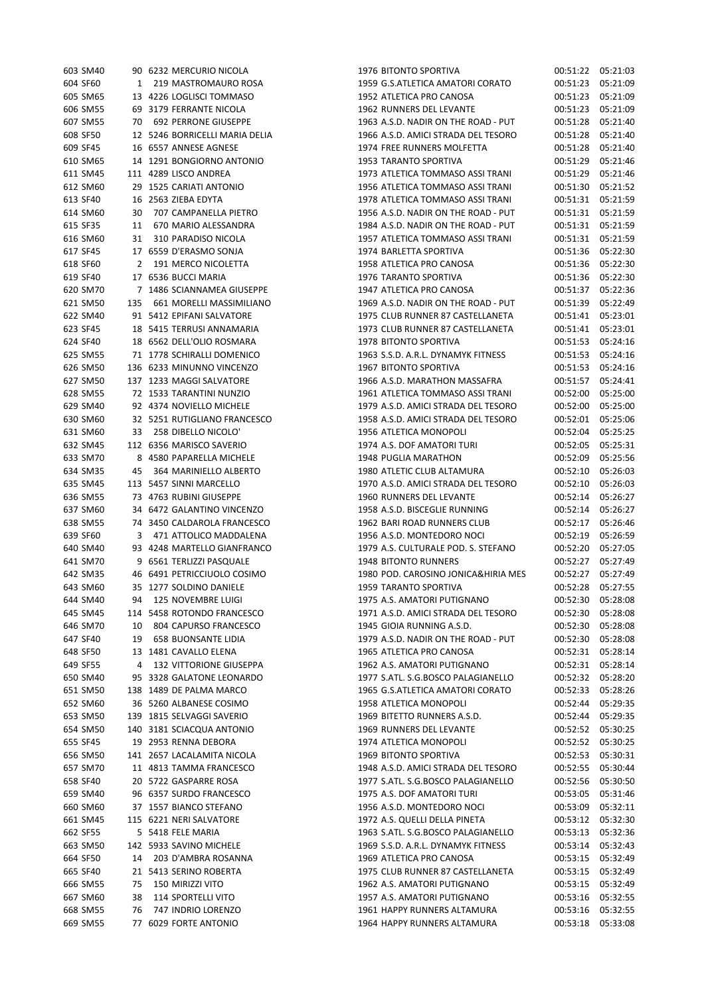| 603 SM40 |              | 90 6232 MERCURIO NICOLA        | 197        |
|----------|--------------|--------------------------------|------------|
| 604 SF60 | $\mathbf{1}$ | 219 MASTROMAURO ROSA           | 195        |
| 605 SM65 |              | 13 4226 LOGLISCI TOMMASO       | 195        |
| 606 SM55 |              | 69 3179 FERRANTE NICOLA        | 196        |
| 607 SM55 |              | 70 692 PERRONE GIUSEPPE        | 196        |
| 608 SF50 |              | 12 5246 BORRICELLI MARIA DELIA | 196        |
| 609 SF45 |              | 16 6557 ANNESE AGNESE          | 197        |
| 610 SM65 |              | 14 1291 BONGIORNO ANTONIO      | 195        |
| 611 SM45 |              | 111 4289 LISCO ANDREA          | 197        |
| 612 SM60 |              | 29 1525 CARIATI ANTONIO        | 195        |
| 613 SF40 |              | 16 2563 ZIEBA EDYTA            | 197        |
| 614 SM60 | 30           | 707 CAMPANELLA PIETRO          | 195        |
| 615 SF35 |              | 11 670 MARIO ALESSANDRA        | 198        |
| 616 SM60 |              | 31 310 PARADISO NICOLA         | 195        |
| 617 SF45 |              | 17 6559 D'ERASMO SONJA         | 197        |
| 618 SF60 |              | 2 191 MERCO NICOLETTA          | 195        |
| 619 SF40 |              | 17 6536 BUCCI MARIA            | 197        |
| 620 SM70 |              | 7 1486 SCIANNAMEA GIUSEPPE     | 194        |
| 621 SM50 |              | 135 661 MORELLI MASSIMILIANO   |            |
| 622 SM40 |              |                                | 196<br>197 |
|          |              | 91 5412 EPIFANI SALVATORE      |            |
| 623 SF45 |              | 18 5415 TERRUSI ANNAMARIA      | 197        |
| 624 SF40 |              | 18 6562 DELL'OLIO ROSMARA      | 197        |
| 625 SM55 |              | 71 1778 SCHIRALLI DOMENICO     | 196        |
| 626 SM50 |              | 136 6233 MINUNNO VINCENZO      | 196        |
| 627 SM50 |              | 137 1233 MAGGI SALVATORE       | 196        |
| 628 SM55 |              | 72 1533 TARANTINI NUNZIO       | 196        |
| 629 SM40 |              | 92 4374 NOVIELLO MICHELE       | 197        |
| 630 SM60 |              | 32 5251 RUTIGLIANO FRANCESCO   | 195        |
| 631 SM60 |              | 33 258 DIBELLO NICOLO'         | 195        |
| 632 SM45 |              | 112 6356 MARISCO SAVERIO       | 197        |
| 633 SM70 |              | 8 4580 PAPARELLA MICHELE       | 194        |
| 634 SM35 | 45           | 364 MARINIELLO ALBERTO         | 198        |
| 635 SM45 |              | 113 5457 SINNI MARCELLO        | 197        |
| 636 SM55 |              | 73 4763 RUBINI GIUSEPPE        | 196        |
| 637 SM60 |              | 34 6472 GALANTINO VINCENZO     | 195        |
| 638 SM55 |              | 74 3450 CALDAROLA FRANCESCO    | 196        |
| 639 SF60 |              | 3 471 ATTOLICO MADDALENA       | 195        |
| 640 SM40 |              | 93 4248 MARTELLO GIANFRANCO    | 197        |
| 641 SM70 |              | 9 6561 TERLIZZI PASQUALE       | 194        |
| 642 SM35 |              | 46 6491 PETRICCIUOLO COSIMO    | 198        |
| 643 SM60 |              | 35 1277 SOLDINO DANIELE        | 195        |
| 644 SM40 | 94           | 125 NOVEMBRE LUIGI             | 197        |
| 645 SM45 |              | 114 5458 ROTONDO FRANCESCO     | 197        |
| 646 SM70 | 10           | 804 CAPURSO FRANCESCO          | 194        |
| 647 SF40 | 19           | <b>658 BUONSANTE LIDIA</b>     | 197        |
| 648 SF50 | 13           | 1481 CAVALLO ELENA             | 196        |
| 649 SF55 | 4            | <b>132 VITTORIONE GIUSEPPA</b> | 196        |
| 650 SM40 | 95           | 3328 GALATONE LEONARDO         | 197        |
| 651 SM50 | 138          | 1489 DE PALMA MARCO            | 196        |
| 652 SM60 |              | 36 5260 ALBANESE COSIMO        | 195        |
| 653 SM50 |              | 139 1815 SELVAGGI SAVERIO      | 196        |
| 654 SM50 |              | 140 3181 SCIACQUA ANTONIO      | 196        |
| 655 SF45 |              | 19 2953 RENNA DEBORA           | 197        |
| 656 SM50 |              | 141 2657 LACALAMITA NICOLA     | 196        |
| 657 SM70 |              | 11 4813 TAMMA FRANCESCO        | 194        |
| 658 SF40 |              | 20 5722 GASPARRE ROSA          | 197        |
| 659 SM40 |              | 96 6357 SURDO FRANCESCO        | 197        |
| 660 SM60 |              | 37 1557 BIANCO STEFANO         | 195        |
| 661 SM45 |              | 115 6221 NERI SALVATORE        | 197        |
| 662 SF55 | 5.           | 5418 FELE MARIA                | 196        |
| 663 SM50 |              | 142 5933 SAVINO MICHELE        | 196        |
| 664 SF50 | 14           | 203 D'AMBRA ROSANNA            | 196        |
| 665 SF40 |              | 21 5413 SERINO ROBERTA         | 197        |
| 666 SM55 | 75           | 150 MIRIZZI VITO               | 196        |
| 667 SM60 | 38           | <b>114 SPORTELLI VITO</b>      | 195        |
| 668 SM55 | 76           | 747 INDRIO LORENZO             | 196        |
| 669 SM55 |              | 77 6029 FORTE ANTONIO          | 196        |
|          |              |                                |            |

| 603 SM40 |     | 90 6232 MERCURIO NICOLA        | 1976 BITONTO SPORTIVA               | 00:51:22 | 05:21:03 |
|----------|-----|--------------------------------|-------------------------------------|----------|----------|
| 604 SF60 | 1   | 219 MASTROMAURO ROSA           | 1959 G.S.ATLETICA AMATORI CORATO    | 00:51:23 | 05:21:09 |
| 605 SM65 |     | 13 4226 LOGLISCI TOMMASO       | 1952 ATLETICA PRO CANOSA            | 00:51:23 | 05:21:09 |
| 606 SM55 |     | 69 3179 FERRANTE NICOLA        | 1962 RUNNERS DEL LEVANTE            | 00:51:23 | 05:21:09 |
| 607 SM55 |     | 70 692 PERRONE GIUSEPPE        | 1963 A.S.D. NADIR ON THE ROAD - PUT | 00:51:28 | 05:21:40 |
| 608 SF50 |     | 12 5246 BORRICELLI MARIA DELIA | 1966 A.S.D. AMICI STRADA DEL TESORO | 00:51:28 | 05:21:40 |
| 609 SF45 |     | 16 6557 ANNESE AGNESE          | 1974 FREE RUNNERS MOLFETTA          | 00:51:28 | 05:21:40 |
| 610 SM65 |     | 14 1291 BONGIORNO ANTONIO      | 1953 TARANTO SPORTIVA               | 00:51:29 | 05:21:46 |
| 611 SM45 |     | 111 4289 LISCO ANDREA          | 1973 ATLETICA TOMMASO ASSI TRANI    | 00:51:29 | 05:21:46 |
| 612 SM60 |     | 29 1525 CARIATI ANTONIO        | 1956 ATLETICA TOMMASO ASSI TRANI    | 00:51:30 | 05:21:52 |
| 613 SF40 |     | 16 2563 ZIEBA EDYTA            | 1978 ATLETICA TOMMASO ASSI TRANI    | 00:51:31 | 05:21:59 |
| 614 SM60 | 30  | 707 CAMPANELLA PIETRO          | 1956 A.S.D. NADIR ON THE ROAD - PUT | 00:51:31 | 05:21:59 |
| 615 SF35 | 11  | 670 MARIO ALESSANDRA           | 1984 A.S.D. NADIR ON THE ROAD - PUT | 00:51:31 | 05:21:59 |
|          |     |                                | 1957 ATLETICA TOMMASO ASSI TRANI    |          | 05:21:59 |
| 616 SM60 | 31  | 310 PARADISO NICOLA            |                                     | 00:51:31 |          |
| 617 SF45 |     | 17 6559 D'ERASMO SONJA         | 1974 BARLETTA SPORTIVA              | 00:51:36 | 05:22:30 |
| 618 SF60 | 2   | 191 MERCO NICOLETTA            | 1958 ATLETICA PRO CANOSA            | 00:51:36 | 05:22:30 |
| 619 SF40 |     | 17 6536 BUCCI MARIA            | 1976 TARANTO SPORTIVA               | 00:51:36 | 05:22:30 |
| 620 SM70 |     | 7 1486 SCIANNAMEA GIUSEPPE     | 1947 ATLETICA PRO CANOSA            | 00:51:37 | 05:22:36 |
| 621 SM50 | 135 | 661 MORELLI MASSIMILIANO       | 1969 A.S.D. NADIR ON THE ROAD - PUT | 00:51:39 | 05:22:49 |
| 622 SM40 |     | 91 5412 EPIFANI SALVATORE      | 1975 CLUB RUNNER 87 CASTELLANETA    | 00:51:41 | 05:23:01 |
| 623 SF45 |     | 18 5415 TERRUSI ANNAMARIA      | 1973 CLUB RUNNER 87 CASTELLANETA    | 00:51:41 | 05:23:01 |
| 624 SF40 |     | 18 6562 DELL'OLIO ROSMARA      | 1978 BITONTO SPORTIVA               | 00:51:53 | 05:24:16 |
| 625 SM55 |     | 71 1778 SCHIRALLI DOMENICO     | 1963 S.S.D. A.R.L. DYNAMYK FITNESS  | 00:51:53 | 05:24:16 |
| 626 SM50 |     | 136 6233 MINUNNO VINCENZO      | 1967 BITONTO SPORTIVA               | 00:51:53 | 05:24:16 |
| 627 SM50 |     | 137 1233 MAGGI SALVATORE       | 1966 A.S.D. MARATHON MASSAFRA       | 00:51:57 | 05:24:41 |
| 628 SM55 |     | 72 1533 TARANTINI NUNZIO       | 1961 ATLETICA TOMMASO ASSI TRANI    | 00:52:00 | 05:25:00 |
| 629 SM40 |     | 92 4374 NOVIELLO MICHELE       | 1979 A.S.D. AMICI STRADA DEL TESORO | 00:52:00 | 05:25:00 |
| 630 SM60 |     | 32 5251 RUTIGLIANO FRANCESCO   | 1958 A.S.D. AMICI STRADA DEL TESORO | 00:52:01 | 05:25:06 |
| 631 SM60 |     | 33 258 DIBELLO NICOLO'         | 1956 ATLETICA MONOPOLI              | 00:52:04 | 05:25:25 |
| 632 SM45 |     | 112 6356 MARISCO SAVERIO       | 1974 A.S. DOF AMATORI TURI          | 00:52:05 | 05:25:31 |
| 633 SM70 |     | 8 4580 PAPARELLA MICHELE       | 1948 PUGLIA MARATHON                | 00:52:09 | 05:25:56 |
| 634 SM35 | 45  | 364 MARINIELLO ALBERTO         | 1980 ATLETIC CLUB ALTAMURA          | 00:52:10 | 05:26:03 |
|          |     | 113 5457 SINNI MARCELLO        | 1970 A.S.D. AMICI STRADA DEL TESORO | 00:52:10 | 05:26:03 |
| 635 SM45 |     |                                |                                     |          |          |
| 636 SM55 |     | 73 4763 RUBINI GIUSEPPE        | 1960 RUNNERS DEL LEVANTE            | 00:52:14 | 05:26:27 |
| 637 SM60 |     | 34 6472 GALANTINO VINCENZO     | 1958 A.S.D. BISCEGLIE RUNNING       | 00:52:14 | 05:26:27 |
| 638 SM55 |     | 74 3450 CALDAROLA FRANCESCO    | 1962 BARI ROAD RUNNERS CLUB         | 00:52:17 | 05:26:46 |
| 639 SF60 |     | 3 471 ATTOLICO MADDALENA       | 1956 A.S.D. MONTEDORO NOCI          | 00:52:19 | 05:26:59 |
| 640 SM40 |     | 93 4248 MARTELLO GIANFRANCO    | 1979 A.S. CULTURALE POD. S. STEFANO | 00:52:20 | 05:27:05 |
| 641 SM70 |     | 9 6561 TERLIZZI PASQUALE       | <b>1948 BITONTO RUNNERS</b>         | 00:52:27 | 05:27:49 |
| 642 SM35 |     | 46 6491 PETRICCIUOLO COSIMO    | 1980 POD. CAROSINO JONICA&HIRIA MES | 00:52:27 | 05:27:49 |
| 643 SM60 |     | 35 1277 SOLDINO DANIELE        | 1959 TARANTO SPORTIVA               | 00:52:28 | 05:27:55 |
| 644 SM40 | 94  | 125 NOVEMBRE LUIGI             | 1975 A.S. AMATORI PUTIGNANO         | 00:52:30 | 05:28:08 |
| 645 SM45 |     | 114 5458 ROTONDO FRANCESCO     | 1971 A.S.D. AMICI STRADA DEL TESORO | 00:52:30 | 05:28:08 |
| 646 SM70 | 10  | 804 CAPURSO FRANCESCO          | 1945 GIOIA RUNNING A.S.D.           | 00:52:30 | 05:28:08 |
| 647 SF40 | 19  | <b>658 BUONSANTE LIDIA</b>     | 1979 A.S.D. NADIR ON THE ROAD - PUT | 00:52:30 | 05:28:08 |
| 648 SF50 |     | 13 1481 CAVALLO ELENA          | 1965 ATLETICA PRO CANOSA            | 00:52:31 | 05:28:14 |
| 649 SF55 | 4   | <b>132 VITTORIONE GIUSEPPA</b> | 1962 A.S. AMATORI PUTIGNANO         | 00:52:31 | 05:28:14 |
| 650 SM40 |     | 95 3328 GALATONE LEONARDO      | 1977 S.ATL. S.G.BOSCO PALAGIANELLO  | 00:52:32 | 05:28:20 |
| 651 SM50 |     | 138 1489 DE PALMA MARCO        | 1965 G.S.ATLETICA AMATORI CORATO    | 00:52:33 | 05:28:26 |
| 652 SM60 |     | 36 5260 ALBANESE COSIMO        | 1958 ATLETICA MONOPOLI              | 00:52:44 | 05:29:35 |
| 653 SM50 |     | 139 1815 SELVAGGI SAVERIO      | 1969 BITETTO RUNNERS A.S.D.         | 00:52:44 | 05:29:35 |
| 654 SM50 |     | 140 3181 SCIACQUA ANTONIO      | 1969 RUNNERS DEL LEVANTE            | 00:52:52 | 05:30:25 |
| 655 SF45 |     | 19 2953 RENNA DEBORA           | 1974 ATLETICA MONOPOLI              | 00:52:52 | 05:30:25 |
| 656 SM50 |     | 141 2657 LACALAMITA NICOLA     | 1969 BITONTO SPORTIVA               | 00:52:53 | 05:30:31 |
|          |     |                                |                                     |          |          |
| 657 SM70 |     | 11 4813 TAMMA FRANCESCO        | 1948 A.S.D. AMICI STRADA DEL TESORO | 00:52:55 | 05:30:44 |
| 658 SF40 |     | 20 5722 GASPARRE ROSA          | 1977 S.ATL. S.G.BOSCO PALAGIANELLO  | 00:52:56 | 05:30:50 |
| 659 SM40 |     | 96 6357 SURDO FRANCESCO        | 1975 A.S. DOF AMATORI TURI          | 00:53:05 | 05:31:46 |
| 660 SM60 |     | 37 1557 BIANCO STEFANO         | 1956 A.S.D. MONTEDORO NOCI          | 00:53:09 | 05:32:11 |
| 661 SM45 |     | 115 6221 NERI SALVATORE        | 1972 A.S. QUELLI DELLA PINETA       | 00:53:12 | 05:32:30 |
| 662 SF55 |     | 5 5418 FELE MARIA              | 1963 S.ATL. S.G.BOSCO PALAGIANELLO  | 00:53:13 | 05:32:36 |
| 663 SM50 |     | 142 5933 SAVINO MICHELE        | 1969 S.S.D. A.R.L. DYNAMYK FITNESS  | 00:53:14 | 05:32:43 |
| 664 SF50 | 14  | 203 D'AMBRA ROSANNA            | 1969 ATLETICA PRO CANOSA            | 00:53:15 | 05:32:49 |
| 665 SF40 |     | 21 5413 SERINO ROBERTA         | 1975 CLUB RUNNER 87 CASTELLANETA    | 00:53:15 | 05:32:49 |
| 666 SM55 | 75  | 150 MIRIZZI VITO               | 1962 A.S. AMATORI PUTIGNANO         | 00:53:15 | 05:32:49 |
| 667 SM60 | 38  | <b>114 SPORTELLI VITO</b>      | 1957 A.S. AMATORI PUTIGNANO         | 00:53:16 | 05:32:55 |
| 668 SM55 | 76  | 747 INDRIO LORENZO             | 1961 HAPPY RUNNERS ALTAMURA         | 00:53:16 | 05:32:55 |
| 669 SM55 |     | 77 6029 FORTE ANTONIO          | 1964 HAPPY RUNNERS ALTAMURA         | 00:53:18 | 05:33:08 |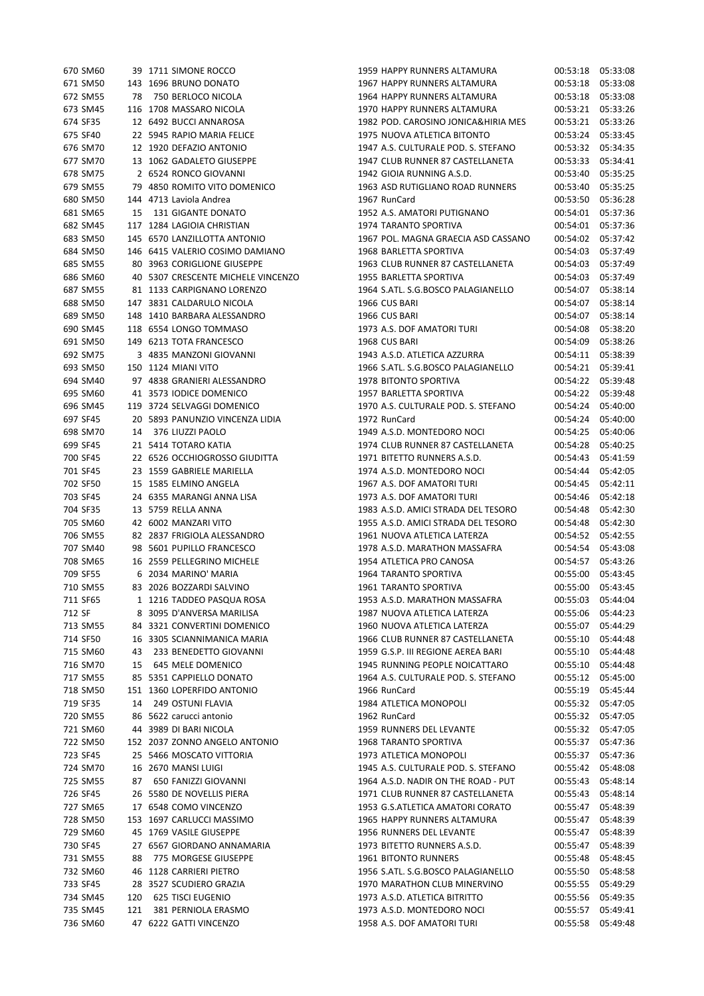| 671 SM50<br>143 1696 BRUNO DONATO<br>672 SM55<br>78 750 BERLOCO NICOLA<br>116 1708 MASSARO NICOLA<br>673 SM45<br>674 SF35<br>12 6492 BUCCI ANNAROSA<br>675 SF40<br>22 5945 RAPIO MARIA FELICE<br>676 SM70<br>12 1920 DEFAZIO ANTONIO<br>677 SM70<br>13 1062 GADALETO GIUSEPPE<br>2 6524 RONCO GIOVANNI<br>678 SM75<br>79 4850 ROMITO VITO DOMENICO<br>679 SM55<br>680 SM50 144 4713 Laviola Andrea<br>681 SM65<br>15 131 GIGANTE DONATO<br>682 SM45<br>117 1284 LAGIOIA CHRISTIAN<br>683 SM50<br>145 6570 LANZILLOTTA ANTONIO<br>146 6415 VALERIO COSIMO DAMIANO<br>684 SM50<br>685 SM55<br>80 3963 CORIGLIONE GIUSEPPE<br>686 SM60<br>40 5307 CRESCENTE MICHELE VINCENZO<br>687 SM55<br>81 1133 CARPIGNANO LORENZO<br>688 SM50<br>147 3831 CALDARULO NICOLA<br>689 SM50<br>148 1410 BARBARA ALESSANDRO<br>118 6554 LONGO TOMMASO<br>690 SM45<br>691 SM50<br>149 6213 TOTA FRANCESCO<br>692 SM75<br>3 4835 MANZONI GIOVANNI<br>693 SM50<br>150 1124 MIANI VITO<br>694 SM40<br>97 4838 GRANIERI ALESSANDRO<br>695 SM60<br>41 3573 IODICE DOMENICO<br>119 3724 SELVAGGI DOMENICO<br>696 SM45<br>697 SF45<br>20 5893 PANUNZIO VINCENZA LIDIA<br>698 SM70<br>14 376 LIUZZI PAOLO<br>699 SF45<br>5414 TOTARO KATIA<br>21<br>700 SF45<br>22 6526 OCCHIOGROSSO GIUDITTA<br>23 1559 GABRIELE MARIELLA<br>701 SF45<br>702 SF50<br>15 1585 ELMINO ANGELA<br>703 SF45<br>24 6355 MARANGI ANNA LISA<br>704 SF35<br>13 5759 RELLA ANNA<br>705 SM60<br>42 6002 MANZARI VITO<br>706 SM55<br>82<br>2837 FRIGIOLA ALESSANDRO<br>707 SM40<br>98 5601 PUPILLO FRANCESCO<br>708 SM65<br>16 2559 PELLEGRINO MICHELE<br>709 SF55<br>6 2034 MARINO' MARIA<br>710 SM55 83 2026 BOZZARDI SALVINO<br>711 SF65<br>1 1216 TADDEO PASQUA ROSA<br>712 SF<br>8 3095 D'ANVERSA MARILISA<br>713 SM55<br>84 3321 CONVERTINI DOMENICO<br>714 SF50<br>16 3305 SCIANNIMANICA MARIA<br>715 SM60<br>43<br>233 BENEDETTO GIOVANNI<br>716 SM70<br>15 645 MELE DOMENICO<br>717 SM55<br>85 5351 CAPPIELLO DONATO<br>718 SM50<br>151 1360 LOPERFIDO ANTONIO<br>719 SF35<br>14 249 OSTUNI FLAVIA<br>720 SM55<br>86 5622 carucci antonio<br>721 SM60<br>44 3989 DI BARI NICOLA<br>722 SM50<br>152 2037 ZONNO ANGELO ANTONIO<br>723 SF45<br>25 5466 MOSCATO VITTORIA<br>724 SM70<br>16 2670 MANSI LUIGI<br>725 SM55<br>87 650 FANIZZI GIOVANNI<br>726 SF45<br>26 5580 DE NOVELLIS PIERA<br>17 6548 COMO VINCENZO<br>727 SM65<br>728 SM50<br>153 1697 CARLUCCI MASSIMO<br>45<br>1769 VASILE GIUSEPPE<br>729 SM60<br>27 6567 GIORDANO ANNAMARIA<br>730 SF45<br>88 775 MORGESE GIUSEPPE<br>731 SM55<br>732 SM60<br>46 1128 CARRIERI PIETRO<br>733 SF45<br>28 3527 SCUDIERO GRAZIA<br>120 625 TISCI EUGENIO<br>734 SM45<br>121 381 PERNIOLA ERASMO<br>735 SM45<br>736 SM60<br>47 6222 GATTI VINCENZO | <b>670 SM60</b> | 39 T/IT SIMONE ROCCO |
|---------------------------------------------------------------------------------------------------------------------------------------------------------------------------------------------------------------------------------------------------------------------------------------------------------------------------------------------------------------------------------------------------------------------------------------------------------------------------------------------------------------------------------------------------------------------------------------------------------------------------------------------------------------------------------------------------------------------------------------------------------------------------------------------------------------------------------------------------------------------------------------------------------------------------------------------------------------------------------------------------------------------------------------------------------------------------------------------------------------------------------------------------------------------------------------------------------------------------------------------------------------------------------------------------------------------------------------------------------------------------------------------------------------------------------------------------------------------------------------------------------------------------------------------------------------------------------------------------------------------------------------------------------------------------------------------------------------------------------------------------------------------------------------------------------------------------------------------------------------------------------------------------------------------------------------------------------------------------------------------------------------------------------------------------------------------------------------------------------------------------------------------------------------------------------------------------------------------------------------------------------------------------------------------------------------------------------------------------------------------------------------------------------------------------------------------------------------------------------------------------------------------------------------------------------------------------------------------------------------------------------------------------------------------------------------------------------------------------------------------------|-----------------|----------------------|
|                                                                                                                                                                                                                                                                                                                                                                                                                                                                                                                                                                                                                                                                                                                                                                                                                                                                                                                                                                                                                                                                                                                                                                                                                                                                                                                                                                                                                                                                                                                                                                                                                                                                                                                                                                                                                                                                                                                                                                                                                                                                                                                                                                                                                                                                                                                                                                                                                                                                                                                                                                                                                                                                                                                                                   |                 |                      |
|                                                                                                                                                                                                                                                                                                                                                                                                                                                                                                                                                                                                                                                                                                                                                                                                                                                                                                                                                                                                                                                                                                                                                                                                                                                                                                                                                                                                                                                                                                                                                                                                                                                                                                                                                                                                                                                                                                                                                                                                                                                                                                                                                                                                                                                                                                                                                                                                                                                                                                                                                                                                                                                                                                                                                   |                 |                      |
|                                                                                                                                                                                                                                                                                                                                                                                                                                                                                                                                                                                                                                                                                                                                                                                                                                                                                                                                                                                                                                                                                                                                                                                                                                                                                                                                                                                                                                                                                                                                                                                                                                                                                                                                                                                                                                                                                                                                                                                                                                                                                                                                                                                                                                                                                                                                                                                                                                                                                                                                                                                                                                                                                                                                                   |                 |                      |
|                                                                                                                                                                                                                                                                                                                                                                                                                                                                                                                                                                                                                                                                                                                                                                                                                                                                                                                                                                                                                                                                                                                                                                                                                                                                                                                                                                                                                                                                                                                                                                                                                                                                                                                                                                                                                                                                                                                                                                                                                                                                                                                                                                                                                                                                                                                                                                                                                                                                                                                                                                                                                                                                                                                                                   |                 |                      |
|                                                                                                                                                                                                                                                                                                                                                                                                                                                                                                                                                                                                                                                                                                                                                                                                                                                                                                                                                                                                                                                                                                                                                                                                                                                                                                                                                                                                                                                                                                                                                                                                                                                                                                                                                                                                                                                                                                                                                                                                                                                                                                                                                                                                                                                                                                                                                                                                                                                                                                                                                                                                                                                                                                                                                   |                 |                      |
|                                                                                                                                                                                                                                                                                                                                                                                                                                                                                                                                                                                                                                                                                                                                                                                                                                                                                                                                                                                                                                                                                                                                                                                                                                                                                                                                                                                                                                                                                                                                                                                                                                                                                                                                                                                                                                                                                                                                                                                                                                                                                                                                                                                                                                                                                                                                                                                                                                                                                                                                                                                                                                                                                                                                                   |                 |                      |
|                                                                                                                                                                                                                                                                                                                                                                                                                                                                                                                                                                                                                                                                                                                                                                                                                                                                                                                                                                                                                                                                                                                                                                                                                                                                                                                                                                                                                                                                                                                                                                                                                                                                                                                                                                                                                                                                                                                                                                                                                                                                                                                                                                                                                                                                                                                                                                                                                                                                                                                                                                                                                                                                                                                                                   |                 |                      |
|                                                                                                                                                                                                                                                                                                                                                                                                                                                                                                                                                                                                                                                                                                                                                                                                                                                                                                                                                                                                                                                                                                                                                                                                                                                                                                                                                                                                                                                                                                                                                                                                                                                                                                                                                                                                                                                                                                                                                                                                                                                                                                                                                                                                                                                                                                                                                                                                                                                                                                                                                                                                                                                                                                                                                   |                 |                      |
|                                                                                                                                                                                                                                                                                                                                                                                                                                                                                                                                                                                                                                                                                                                                                                                                                                                                                                                                                                                                                                                                                                                                                                                                                                                                                                                                                                                                                                                                                                                                                                                                                                                                                                                                                                                                                                                                                                                                                                                                                                                                                                                                                                                                                                                                                                                                                                                                                                                                                                                                                                                                                                                                                                                                                   |                 |                      |
|                                                                                                                                                                                                                                                                                                                                                                                                                                                                                                                                                                                                                                                                                                                                                                                                                                                                                                                                                                                                                                                                                                                                                                                                                                                                                                                                                                                                                                                                                                                                                                                                                                                                                                                                                                                                                                                                                                                                                                                                                                                                                                                                                                                                                                                                                                                                                                                                                                                                                                                                                                                                                                                                                                                                                   |                 |                      |
|                                                                                                                                                                                                                                                                                                                                                                                                                                                                                                                                                                                                                                                                                                                                                                                                                                                                                                                                                                                                                                                                                                                                                                                                                                                                                                                                                                                                                                                                                                                                                                                                                                                                                                                                                                                                                                                                                                                                                                                                                                                                                                                                                                                                                                                                                                                                                                                                                                                                                                                                                                                                                                                                                                                                                   |                 |                      |
|                                                                                                                                                                                                                                                                                                                                                                                                                                                                                                                                                                                                                                                                                                                                                                                                                                                                                                                                                                                                                                                                                                                                                                                                                                                                                                                                                                                                                                                                                                                                                                                                                                                                                                                                                                                                                                                                                                                                                                                                                                                                                                                                                                                                                                                                                                                                                                                                                                                                                                                                                                                                                                                                                                                                                   |                 |                      |
|                                                                                                                                                                                                                                                                                                                                                                                                                                                                                                                                                                                                                                                                                                                                                                                                                                                                                                                                                                                                                                                                                                                                                                                                                                                                                                                                                                                                                                                                                                                                                                                                                                                                                                                                                                                                                                                                                                                                                                                                                                                                                                                                                                                                                                                                                                                                                                                                                                                                                                                                                                                                                                                                                                                                                   |                 |                      |
|                                                                                                                                                                                                                                                                                                                                                                                                                                                                                                                                                                                                                                                                                                                                                                                                                                                                                                                                                                                                                                                                                                                                                                                                                                                                                                                                                                                                                                                                                                                                                                                                                                                                                                                                                                                                                                                                                                                                                                                                                                                                                                                                                                                                                                                                                                                                                                                                                                                                                                                                                                                                                                                                                                                                                   |                 |                      |
|                                                                                                                                                                                                                                                                                                                                                                                                                                                                                                                                                                                                                                                                                                                                                                                                                                                                                                                                                                                                                                                                                                                                                                                                                                                                                                                                                                                                                                                                                                                                                                                                                                                                                                                                                                                                                                                                                                                                                                                                                                                                                                                                                                                                                                                                                                                                                                                                                                                                                                                                                                                                                                                                                                                                                   |                 |                      |
|                                                                                                                                                                                                                                                                                                                                                                                                                                                                                                                                                                                                                                                                                                                                                                                                                                                                                                                                                                                                                                                                                                                                                                                                                                                                                                                                                                                                                                                                                                                                                                                                                                                                                                                                                                                                                                                                                                                                                                                                                                                                                                                                                                                                                                                                                                                                                                                                                                                                                                                                                                                                                                                                                                                                                   |                 |                      |
|                                                                                                                                                                                                                                                                                                                                                                                                                                                                                                                                                                                                                                                                                                                                                                                                                                                                                                                                                                                                                                                                                                                                                                                                                                                                                                                                                                                                                                                                                                                                                                                                                                                                                                                                                                                                                                                                                                                                                                                                                                                                                                                                                                                                                                                                                                                                                                                                                                                                                                                                                                                                                                                                                                                                                   |                 |                      |
|                                                                                                                                                                                                                                                                                                                                                                                                                                                                                                                                                                                                                                                                                                                                                                                                                                                                                                                                                                                                                                                                                                                                                                                                                                                                                                                                                                                                                                                                                                                                                                                                                                                                                                                                                                                                                                                                                                                                                                                                                                                                                                                                                                                                                                                                                                                                                                                                                                                                                                                                                                                                                                                                                                                                                   |                 |                      |
|                                                                                                                                                                                                                                                                                                                                                                                                                                                                                                                                                                                                                                                                                                                                                                                                                                                                                                                                                                                                                                                                                                                                                                                                                                                                                                                                                                                                                                                                                                                                                                                                                                                                                                                                                                                                                                                                                                                                                                                                                                                                                                                                                                                                                                                                                                                                                                                                                                                                                                                                                                                                                                                                                                                                                   |                 |                      |
|                                                                                                                                                                                                                                                                                                                                                                                                                                                                                                                                                                                                                                                                                                                                                                                                                                                                                                                                                                                                                                                                                                                                                                                                                                                                                                                                                                                                                                                                                                                                                                                                                                                                                                                                                                                                                                                                                                                                                                                                                                                                                                                                                                                                                                                                                                                                                                                                                                                                                                                                                                                                                                                                                                                                                   |                 |                      |
|                                                                                                                                                                                                                                                                                                                                                                                                                                                                                                                                                                                                                                                                                                                                                                                                                                                                                                                                                                                                                                                                                                                                                                                                                                                                                                                                                                                                                                                                                                                                                                                                                                                                                                                                                                                                                                                                                                                                                                                                                                                                                                                                                                                                                                                                                                                                                                                                                                                                                                                                                                                                                                                                                                                                                   |                 |                      |
|                                                                                                                                                                                                                                                                                                                                                                                                                                                                                                                                                                                                                                                                                                                                                                                                                                                                                                                                                                                                                                                                                                                                                                                                                                                                                                                                                                                                                                                                                                                                                                                                                                                                                                                                                                                                                                                                                                                                                                                                                                                                                                                                                                                                                                                                                                                                                                                                                                                                                                                                                                                                                                                                                                                                                   |                 |                      |
|                                                                                                                                                                                                                                                                                                                                                                                                                                                                                                                                                                                                                                                                                                                                                                                                                                                                                                                                                                                                                                                                                                                                                                                                                                                                                                                                                                                                                                                                                                                                                                                                                                                                                                                                                                                                                                                                                                                                                                                                                                                                                                                                                                                                                                                                                                                                                                                                                                                                                                                                                                                                                                                                                                                                                   |                 |                      |
|                                                                                                                                                                                                                                                                                                                                                                                                                                                                                                                                                                                                                                                                                                                                                                                                                                                                                                                                                                                                                                                                                                                                                                                                                                                                                                                                                                                                                                                                                                                                                                                                                                                                                                                                                                                                                                                                                                                                                                                                                                                                                                                                                                                                                                                                                                                                                                                                                                                                                                                                                                                                                                                                                                                                                   |                 |                      |
|                                                                                                                                                                                                                                                                                                                                                                                                                                                                                                                                                                                                                                                                                                                                                                                                                                                                                                                                                                                                                                                                                                                                                                                                                                                                                                                                                                                                                                                                                                                                                                                                                                                                                                                                                                                                                                                                                                                                                                                                                                                                                                                                                                                                                                                                                                                                                                                                                                                                                                                                                                                                                                                                                                                                                   |                 |                      |
|                                                                                                                                                                                                                                                                                                                                                                                                                                                                                                                                                                                                                                                                                                                                                                                                                                                                                                                                                                                                                                                                                                                                                                                                                                                                                                                                                                                                                                                                                                                                                                                                                                                                                                                                                                                                                                                                                                                                                                                                                                                                                                                                                                                                                                                                                                                                                                                                                                                                                                                                                                                                                                                                                                                                                   |                 |                      |
|                                                                                                                                                                                                                                                                                                                                                                                                                                                                                                                                                                                                                                                                                                                                                                                                                                                                                                                                                                                                                                                                                                                                                                                                                                                                                                                                                                                                                                                                                                                                                                                                                                                                                                                                                                                                                                                                                                                                                                                                                                                                                                                                                                                                                                                                                                                                                                                                                                                                                                                                                                                                                                                                                                                                                   |                 |                      |
|                                                                                                                                                                                                                                                                                                                                                                                                                                                                                                                                                                                                                                                                                                                                                                                                                                                                                                                                                                                                                                                                                                                                                                                                                                                                                                                                                                                                                                                                                                                                                                                                                                                                                                                                                                                                                                                                                                                                                                                                                                                                                                                                                                                                                                                                                                                                                                                                                                                                                                                                                                                                                                                                                                                                                   |                 |                      |
|                                                                                                                                                                                                                                                                                                                                                                                                                                                                                                                                                                                                                                                                                                                                                                                                                                                                                                                                                                                                                                                                                                                                                                                                                                                                                                                                                                                                                                                                                                                                                                                                                                                                                                                                                                                                                                                                                                                                                                                                                                                                                                                                                                                                                                                                                                                                                                                                                                                                                                                                                                                                                                                                                                                                                   |                 |                      |
|                                                                                                                                                                                                                                                                                                                                                                                                                                                                                                                                                                                                                                                                                                                                                                                                                                                                                                                                                                                                                                                                                                                                                                                                                                                                                                                                                                                                                                                                                                                                                                                                                                                                                                                                                                                                                                                                                                                                                                                                                                                                                                                                                                                                                                                                                                                                                                                                                                                                                                                                                                                                                                                                                                                                                   |                 |                      |
|                                                                                                                                                                                                                                                                                                                                                                                                                                                                                                                                                                                                                                                                                                                                                                                                                                                                                                                                                                                                                                                                                                                                                                                                                                                                                                                                                                                                                                                                                                                                                                                                                                                                                                                                                                                                                                                                                                                                                                                                                                                                                                                                                                                                                                                                                                                                                                                                                                                                                                                                                                                                                                                                                                                                                   |                 |                      |
|                                                                                                                                                                                                                                                                                                                                                                                                                                                                                                                                                                                                                                                                                                                                                                                                                                                                                                                                                                                                                                                                                                                                                                                                                                                                                                                                                                                                                                                                                                                                                                                                                                                                                                                                                                                                                                                                                                                                                                                                                                                                                                                                                                                                                                                                                                                                                                                                                                                                                                                                                                                                                                                                                                                                                   |                 |                      |
|                                                                                                                                                                                                                                                                                                                                                                                                                                                                                                                                                                                                                                                                                                                                                                                                                                                                                                                                                                                                                                                                                                                                                                                                                                                                                                                                                                                                                                                                                                                                                                                                                                                                                                                                                                                                                                                                                                                                                                                                                                                                                                                                                                                                                                                                                                                                                                                                                                                                                                                                                                                                                                                                                                                                                   |                 |                      |
|                                                                                                                                                                                                                                                                                                                                                                                                                                                                                                                                                                                                                                                                                                                                                                                                                                                                                                                                                                                                                                                                                                                                                                                                                                                                                                                                                                                                                                                                                                                                                                                                                                                                                                                                                                                                                                                                                                                                                                                                                                                                                                                                                                                                                                                                                                                                                                                                                                                                                                                                                                                                                                                                                                                                                   |                 |                      |
|                                                                                                                                                                                                                                                                                                                                                                                                                                                                                                                                                                                                                                                                                                                                                                                                                                                                                                                                                                                                                                                                                                                                                                                                                                                                                                                                                                                                                                                                                                                                                                                                                                                                                                                                                                                                                                                                                                                                                                                                                                                                                                                                                                                                                                                                                                                                                                                                                                                                                                                                                                                                                                                                                                                                                   |                 |                      |
|                                                                                                                                                                                                                                                                                                                                                                                                                                                                                                                                                                                                                                                                                                                                                                                                                                                                                                                                                                                                                                                                                                                                                                                                                                                                                                                                                                                                                                                                                                                                                                                                                                                                                                                                                                                                                                                                                                                                                                                                                                                                                                                                                                                                                                                                                                                                                                                                                                                                                                                                                                                                                                                                                                                                                   |                 |                      |
|                                                                                                                                                                                                                                                                                                                                                                                                                                                                                                                                                                                                                                                                                                                                                                                                                                                                                                                                                                                                                                                                                                                                                                                                                                                                                                                                                                                                                                                                                                                                                                                                                                                                                                                                                                                                                                                                                                                                                                                                                                                                                                                                                                                                                                                                                                                                                                                                                                                                                                                                                                                                                                                                                                                                                   |                 |                      |
|                                                                                                                                                                                                                                                                                                                                                                                                                                                                                                                                                                                                                                                                                                                                                                                                                                                                                                                                                                                                                                                                                                                                                                                                                                                                                                                                                                                                                                                                                                                                                                                                                                                                                                                                                                                                                                                                                                                                                                                                                                                                                                                                                                                                                                                                                                                                                                                                                                                                                                                                                                                                                                                                                                                                                   |                 |                      |
|                                                                                                                                                                                                                                                                                                                                                                                                                                                                                                                                                                                                                                                                                                                                                                                                                                                                                                                                                                                                                                                                                                                                                                                                                                                                                                                                                                                                                                                                                                                                                                                                                                                                                                                                                                                                                                                                                                                                                                                                                                                                                                                                                                                                                                                                                                                                                                                                                                                                                                                                                                                                                                                                                                                                                   |                 |                      |
|                                                                                                                                                                                                                                                                                                                                                                                                                                                                                                                                                                                                                                                                                                                                                                                                                                                                                                                                                                                                                                                                                                                                                                                                                                                                                                                                                                                                                                                                                                                                                                                                                                                                                                                                                                                                                                                                                                                                                                                                                                                                                                                                                                                                                                                                                                                                                                                                                                                                                                                                                                                                                                                                                                                                                   |                 |                      |
|                                                                                                                                                                                                                                                                                                                                                                                                                                                                                                                                                                                                                                                                                                                                                                                                                                                                                                                                                                                                                                                                                                                                                                                                                                                                                                                                                                                                                                                                                                                                                                                                                                                                                                                                                                                                                                                                                                                                                                                                                                                                                                                                                                                                                                                                                                                                                                                                                                                                                                                                                                                                                                                                                                                                                   |                 |                      |
|                                                                                                                                                                                                                                                                                                                                                                                                                                                                                                                                                                                                                                                                                                                                                                                                                                                                                                                                                                                                                                                                                                                                                                                                                                                                                                                                                                                                                                                                                                                                                                                                                                                                                                                                                                                                                                                                                                                                                                                                                                                                                                                                                                                                                                                                                                                                                                                                                                                                                                                                                                                                                                                                                                                                                   |                 |                      |
|                                                                                                                                                                                                                                                                                                                                                                                                                                                                                                                                                                                                                                                                                                                                                                                                                                                                                                                                                                                                                                                                                                                                                                                                                                                                                                                                                                                                                                                                                                                                                                                                                                                                                                                                                                                                                                                                                                                                                                                                                                                                                                                                                                                                                                                                                                                                                                                                                                                                                                                                                                                                                                                                                                                                                   |                 |                      |
|                                                                                                                                                                                                                                                                                                                                                                                                                                                                                                                                                                                                                                                                                                                                                                                                                                                                                                                                                                                                                                                                                                                                                                                                                                                                                                                                                                                                                                                                                                                                                                                                                                                                                                                                                                                                                                                                                                                                                                                                                                                                                                                                                                                                                                                                                                                                                                                                                                                                                                                                                                                                                                                                                                                                                   |                 |                      |
|                                                                                                                                                                                                                                                                                                                                                                                                                                                                                                                                                                                                                                                                                                                                                                                                                                                                                                                                                                                                                                                                                                                                                                                                                                                                                                                                                                                                                                                                                                                                                                                                                                                                                                                                                                                                                                                                                                                                                                                                                                                                                                                                                                                                                                                                                                                                                                                                                                                                                                                                                                                                                                                                                                                                                   |                 |                      |
|                                                                                                                                                                                                                                                                                                                                                                                                                                                                                                                                                                                                                                                                                                                                                                                                                                                                                                                                                                                                                                                                                                                                                                                                                                                                                                                                                                                                                                                                                                                                                                                                                                                                                                                                                                                                                                                                                                                                                                                                                                                                                                                                                                                                                                                                                                                                                                                                                                                                                                                                                                                                                                                                                                                                                   |                 |                      |
|                                                                                                                                                                                                                                                                                                                                                                                                                                                                                                                                                                                                                                                                                                                                                                                                                                                                                                                                                                                                                                                                                                                                                                                                                                                                                                                                                                                                                                                                                                                                                                                                                                                                                                                                                                                                                                                                                                                                                                                                                                                                                                                                                                                                                                                                                                                                                                                                                                                                                                                                                                                                                                                                                                                                                   |                 |                      |
|                                                                                                                                                                                                                                                                                                                                                                                                                                                                                                                                                                                                                                                                                                                                                                                                                                                                                                                                                                                                                                                                                                                                                                                                                                                                                                                                                                                                                                                                                                                                                                                                                                                                                                                                                                                                                                                                                                                                                                                                                                                                                                                                                                                                                                                                                                                                                                                                                                                                                                                                                                                                                                                                                                                                                   |                 |                      |
|                                                                                                                                                                                                                                                                                                                                                                                                                                                                                                                                                                                                                                                                                                                                                                                                                                                                                                                                                                                                                                                                                                                                                                                                                                                                                                                                                                                                                                                                                                                                                                                                                                                                                                                                                                                                                                                                                                                                                                                                                                                                                                                                                                                                                                                                                                                                                                                                                                                                                                                                                                                                                                                                                                                                                   |                 |                      |
|                                                                                                                                                                                                                                                                                                                                                                                                                                                                                                                                                                                                                                                                                                                                                                                                                                                                                                                                                                                                                                                                                                                                                                                                                                                                                                                                                                                                                                                                                                                                                                                                                                                                                                                                                                                                                                                                                                                                                                                                                                                                                                                                                                                                                                                                                                                                                                                                                                                                                                                                                                                                                                                                                                                                                   |                 |                      |
|                                                                                                                                                                                                                                                                                                                                                                                                                                                                                                                                                                                                                                                                                                                                                                                                                                                                                                                                                                                                                                                                                                                                                                                                                                                                                                                                                                                                                                                                                                                                                                                                                                                                                                                                                                                                                                                                                                                                                                                                                                                                                                                                                                                                                                                                                                                                                                                                                                                                                                                                                                                                                                                                                                                                                   |                 |                      |
|                                                                                                                                                                                                                                                                                                                                                                                                                                                                                                                                                                                                                                                                                                                                                                                                                                                                                                                                                                                                                                                                                                                                                                                                                                                                                                                                                                                                                                                                                                                                                                                                                                                                                                                                                                                                                                                                                                                                                                                                                                                                                                                                                                                                                                                                                                                                                                                                                                                                                                                                                                                                                                                                                                                                                   |                 |                      |
|                                                                                                                                                                                                                                                                                                                                                                                                                                                                                                                                                                                                                                                                                                                                                                                                                                                                                                                                                                                                                                                                                                                                                                                                                                                                                                                                                                                                                                                                                                                                                                                                                                                                                                                                                                                                                                                                                                                                                                                                                                                                                                                                                                                                                                                                                                                                                                                                                                                                                                                                                                                                                                                                                                                                                   |                 |                      |
|                                                                                                                                                                                                                                                                                                                                                                                                                                                                                                                                                                                                                                                                                                                                                                                                                                                                                                                                                                                                                                                                                                                                                                                                                                                                                                                                                                                                                                                                                                                                                                                                                                                                                                                                                                                                                                                                                                                                                                                                                                                                                                                                                                                                                                                                                                                                                                                                                                                                                                                                                                                                                                                                                                                                                   |                 |                      |
|                                                                                                                                                                                                                                                                                                                                                                                                                                                                                                                                                                                                                                                                                                                                                                                                                                                                                                                                                                                                                                                                                                                                                                                                                                                                                                                                                                                                                                                                                                                                                                                                                                                                                                                                                                                                                                                                                                                                                                                                                                                                                                                                                                                                                                                                                                                                                                                                                                                                                                                                                                                                                                                                                                                                                   |                 |                      |
|                                                                                                                                                                                                                                                                                                                                                                                                                                                                                                                                                                                                                                                                                                                                                                                                                                                                                                                                                                                                                                                                                                                                                                                                                                                                                                                                                                                                                                                                                                                                                                                                                                                                                                                                                                                                                                                                                                                                                                                                                                                                                                                                                                                                                                                                                                                                                                                                                                                                                                                                                                                                                                                                                                                                                   |                 |                      |
|                                                                                                                                                                                                                                                                                                                                                                                                                                                                                                                                                                                                                                                                                                                                                                                                                                                                                                                                                                                                                                                                                                                                                                                                                                                                                                                                                                                                                                                                                                                                                                                                                                                                                                                                                                                                                                                                                                                                                                                                                                                                                                                                                                                                                                                                                                                                                                                                                                                                                                                                                                                                                                                                                                                                                   |                 |                      |
|                                                                                                                                                                                                                                                                                                                                                                                                                                                                                                                                                                                                                                                                                                                                                                                                                                                                                                                                                                                                                                                                                                                                                                                                                                                                                                                                                                                                                                                                                                                                                                                                                                                                                                                                                                                                                                                                                                                                                                                                                                                                                                                                                                                                                                                                                                                                                                                                                                                                                                                                                                                                                                                                                                                                                   |                 |                      |
|                                                                                                                                                                                                                                                                                                                                                                                                                                                                                                                                                                                                                                                                                                                                                                                                                                                                                                                                                                                                                                                                                                                                                                                                                                                                                                                                                                                                                                                                                                                                                                                                                                                                                                                                                                                                                                                                                                                                                                                                                                                                                                                                                                                                                                                                                                                                                                                                                                                                                                                                                                                                                                                                                                                                                   |                 |                      |
|                                                                                                                                                                                                                                                                                                                                                                                                                                                                                                                                                                                                                                                                                                                                                                                                                                                                                                                                                                                                                                                                                                                                                                                                                                                                                                                                                                                                                                                                                                                                                                                                                                                                                                                                                                                                                                                                                                                                                                                                                                                                                                                                                                                                                                                                                                                                                                                                                                                                                                                                                                                                                                                                                                                                                   |                 |                      |
|                                                                                                                                                                                                                                                                                                                                                                                                                                                                                                                                                                                                                                                                                                                                                                                                                                                                                                                                                                                                                                                                                                                                                                                                                                                                                                                                                                                                                                                                                                                                                                                                                                                                                                                                                                                                                                                                                                                                                                                                                                                                                                                                                                                                                                                                                                                                                                                                                                                                                                                                                                                                                                                                                                                                                   |                 |                      |
|                                                                                                                                                                                                                                                                                                                                                                                                                                                                                                                                                                                                                                                                                                                                                                                                                                                                                                                                                                                                                                                                                                                                                                                                                                                                                                                                                                                                                                                                                                                                                                                                                                                                                                                                                                                                                                                                                                                                                                                                                                                                                                                                                                                                                                                                                                                                                                                                                                                                                                                                                                                                                                                                                                                                                   |                 |                      |
|                                                                                                                                                                                                                                                                                                                                                                                                                                                                                                                                                                                                                                                                                                                                                                                                                                                                                                                                                                                                                                                                                                                                                                                                                                                                                                                                                                                                                                                                                                                                                                                                                                                                                                                                                                                                                                                                                                                                                                                                                                                                                                                                                                                                                                                                                                                                                                                                                                                                                                                                                                                                                                                                                                                                                   |                 |                      |
|                                                                                                                                                                                                                                                                                                                                                                                                                                                                                                                                                                                                                                                                                                                                                                                                                                                                                                                                                                                                                                                                                                                                                                                                                                                                                                                                                                                                                                                                                                                                                                                                                                                                                                                                                                                                                                                                                                                                                                                                                                                                                                                                                                                                                                                                                                                                                                                                                                                                                                                                                                                                                                                                                                                                                   |                 |                      |

| 670 SM60 |     | 39 1711 SIMONE ROCCO               | 1959 HAPPY RUNNERS ALTAMURA         | 00:53:18 05:33:08 |          |
|----------|-----|------------------------------------|-------------------------------------|-------------------|----------|
| 671 SM50 |     | 143 1696 BRUNO DONATO              | 1967 HAPPY RUNNERS ALTAMURA         | 00:53:18          | 05:33:08 |
| 672 SM55 | 78  | 750 BERLOCO NICOLA                 | 1964 HAPPY RUNNERS ALTAMURA         | 00:53:18          | 05:33:08 |
| 673 SM45 |     | 116 1708 MASSARO NICOLA            | 1970 HAPPY RUNNERS ALTAMURA         | 00:53:21          | 05:33:26 |
| 674 SF35 |     | 12 6492 BUCCI ANNAROSA             | 1982 POD. CAROSINO JONICA&HIRIA MES | 00:53:21          | 05:33:26 |
| 675 SF40 |     | 22 5945 RAPIO MARIA FELICE         | 1975 NUOVA ATLETICA BITONTO         | 00:53:24          | 05:33:45 |
| 676 SM70 |     | 12 1920 DEFAZIO ANTONIO            | 1947 A.S. CULTURALE POD. S. STEFANO | 00:53:32          | 05:34:35 |
| 677 SM70 |     | 13 1062 GADALETO GIUSEPPE          | 1947 CLUB RUNNER 87 CASTELLANETA    | 00:53:33          | 05:34:41 |
| 678 SM75 |     | 2 6524 RONCO GIOVANNI              | 1942 GIOIA RUNNING A.S.D.           | 00:53:40          | 05:35:25 |
| 679 SM55 |     | 79 4850 ROMITO VITO DOMENICO       | 1963 ASD RUTIGLIANO ROAD RUNNERS    | 00:53:40          | 05:35:25 |
| 680 SM50 |     | 144 4713 Laviola Andrea            | 1967 RunCard                        | 00:53:50          | 05:36:28 |
| 681 SM65 | 15  | 131 GIGANTE DONATO                 | 1952 A.S. AMATORI PUTIGNANO         | 00:54:01          | 05:37:36 |
| 682 SM45 |     | 117 1284 LAGIOIA CHRISTIAN         | 1974 TARANTO SPORTIVA               | 00:54:01          | 05:37:36 |
| 683 SM50 |     | 145 6570 LANZILLOTTA ANTONIO       | 1967 POL. MAGNA GRAECIA ASD CASSANO | 00:54:02          | 05:37:42 |
| 684 SM50 |     | 146 6415 VALERIO COSIMO DAMIANO    | 1968 BARLETTA SPORTIVA              | 00:54:03          | 05:37:49 |
| 685 SM55 |     | 80 3963 CORIGLIONE GIUSEPPE        | 1963 CLUB RUNNER 87 CASTELLANETA    | 00:54:03          | 05:37:49 |
| 686 SM60 |     | 40 5307 CRESCENTE MICHELE VINCENZO | 1955 BARLETTA SPORTIVA              | 00:54:03          | 05:37:49 |
| 687 SM55 |     | 81 1133 CARPIGNANO LORENZO         | 1964 S.ATL. S.G.BOSCO PALAGIANELLO  | 00:54:07          | 05:38:14 |
| 688 SM50 |     | 147 3831 CALDARULO NICOLA          | 1966 CUS BARI                       | 00:54:07          | 05:38:14 |
| 689 SM50 |     | 148 1410 BARBARA ALESSANDRO        | 1966 CUS BARI                       | 00:54:07          | 05:38:14 |
| 690 SM45 |     | 118 6554 LONGO TOMMASO             | 1973 A.S. DOF AMATORI TURI          | 00:54:08          | 05:38:20 |
| 691 SM50 |     | 149 6213 TOTA FRANCESCO            | 1968 CUS BARI                       | 00:54:09          | 05:38:26 |
| 692 SM75 |     | 3 4835 MANZONI GIOVANNI            | 1943 A.S.D. ATLETICA AZZURRA        | 00:54:11          | 05:38:39 |
|          |     | 150 1124 MIANI VITO                |                                     | 00:54:21          | 05:39:41 |
| 693 SM50 |     |                                    | 1966 S.ATL. S.G.BOSCO PALAGIANELLO  | 00:54:22 05:39:48 |          |
| 694 SM40 |     | 97 4838 GRANIERI ALESSANDRO        | 1978 BITONTO SPORTIVA               |                   |          |
| 695 SM60 |     | 41 3573 IODICE DOMENICO            | 1957 BARLETTA SPORTIVA              | 00:54:22          | 05:39:48 |
| 696 SM45 |     | 119 3724 SELVAGGI DOMENICO         | 1970 A.S. CULTURALE POD. S. STEFANO | 00:54:24          | 05:40:00 |
| 697 SF45 |     | 20 5893 PANUNZIO VINCENZA LIDIA    | 1972 RunCard                        | 00:54:24          | 05:40:00 |
| 698 SM70 | 14  | 376 LIUZZI PAOLO                   | 1949 A.S.D. MONTEDORO NOCI          | 00:54:25          | 05:40:06 |
| 699 SF45 |     | 21 5414 TOTARO KATIA               | 1974 CLUB RUNNER 87 CASTELLANETA    | 00:54:28          | 05:40:25 |
| 700 SF45 |     | 22 6526 OCCHIOGROSSO GIUDITTA      | 1971 BITETTO RUNNERS A.S.D.         | 00:54:43          | 05:41:59 |
| 701 SF45 |     | 23 1559 GABRIELE MARIELLA          | 1974 A.S.D. MONTEDORO NOCI          | 00:54:44          | 05:42:05 |
| 702 SF50 |     | 15 1585 ELMINO ANGELA              | 1967 A.S. DOF AMATORI TURI          | 00:54:45          | 05:42:11 |
| 703 SF45 |     | 24 6355 MARANGI ANNA LISA          | 1973 A.S. DOF AMATORI TURI          | 00:54:46          | 05:42:18 |
| 704 SF35 |     | 13 5759 RELLA ANNA                 | 1983 A.S.D. AMICI STRADA DEL TESORO | 00:54:48          | 05:42:30 |
| 705 SM60 |     | 42 6002 MANZARI VITO               | 1955 A.S.D. AMICI STRADA DEL TESORO | 00:54:48          | 05:42:30 |
| 706 SM55 |     | 82 2837 FRIGIOLA ALESSANDRO        | 1961 NUOVA ATLETICA LATERZA         | 00:54:52          | 05:42:55 |
| 707 SM40 |     | 98 5601 PUPILLO FRANCESCO          | 1978 A.S.D. MARATHON MASSAFRA       | 00:54:54          | 05:43:08 |
| 708 SM65 |     | 16 2559 PELLEGRINO MICHELE         | 1954 ATLETICA PRO CANOSA            | 00:54:57          | 05:43:26 |
| 709 SF55 |     | 6 2034 MARINO' MARIA               | 1964 TARANTO SPORTIVA               | 00:55:00          | 05:43:45 |
| 710 SM55 |     | 83 2026 BOZZARDI SALVINO           | 1961 TARANTO SPORTIVA               | 00:55:00          | 05:43:45 |
| 711 SF65 |     | 1 1216 TADDEO PASQUA ROSA          | 1953 A.S.D. MARATHON MASSAFRA       | 00:55:03          | 05:44:04 |
| 712 SF   |     | 8 3095 D'ANVERSA MARILISA          | 1987 NUOVA ATLETICA LATERZA         | 00:55:06          | 05:44:23 |
| 713 SM55 |     | 84 3321 CONVERTINI DOMENICO        | 1960 NUOVA ATLETICA LATERZA         | 00:55:07          | 05:44:29 |
| 714 SF50 |     | 16 3305 SCIANNIMANICA MARIA        | 1966 CLUB RUNNER 87 CASTELLANETA    | 00:55:10          | 05:44:48 |
| 715 SM60 | 43  | 233 BENEDETTO GIOVANNI             | 1959 G.S.P. III REGIONE AEREA BARI  | 00:55:10          | 05:44:48 |
| 716 SM70 | 15  | 645 MELE DOMENICO                  | 1945 RUNNING PEOPLE NOICATTARO      | 00:55:10          | 05:44:48 |
| 717 SM55 |     | 85 5351 CAPPIELLO DONATO           | 1964 A.S. CULTURALE POD. S. STEFANO | 00:55:12          | 05:45:00 |
| 718 SM50 |     | 151 1360 LOPERFIDO ANTONIO         | 1966 RunCard                        | 00:55:19          | 05:45:44 |
| 719 SF35 | 14  | 249 OSTUNI FLAVIA                  | 1984 ATLETICA MONOPOLI              | 00:55:32          | 05:47:05 |
| 720 SM55 |     | 86 5622 carucci antonio            | 1962 RunCard                        | 00:55:32          | 05:47:05 |
| 721 SM60 |     | 44 3989 DI BARI NICOLA             | 1959 RUNNERS DEL LEVANTE            | 00:55:32          | 05:47:05 |
| 722 SM50 |     | 152 2037 ZONNO ANGELO ANTONIO      | 1968 TARANTO SPORTIVA               | 00:55:37          | 05:47:36 |
| 723 SF45 |     | 25 5466 MOSCATO VITTORIA           | 1973 ATLETICA MONOPOLI              | 00:55:37          | 05:47:36 |
| 724 SM70 |     | 16 2670 MANSI LUIGI                | 1945 A.S. CULTURALE POD. S. STEFANO | 00:55:42          | 05:48:08 |
| 725 SM55 | 87  | 650 FANIZZI GIOVANNI               | 1964 A.S.D. NADIR ON THE ROAD - PUT | 00:55:43          | 05:48:14 |
| 726 SF45 |     | 26 5580 DE NOVELLIS PIERA          | 1971 CLUB RUNNER 87 CASTELLANETA    | 00:55:43          | 05:48:14 |
| 727 SM65 |     | 17 6548 COMO VINCENZO              | 1953 G.S.ATLETICA AMATORI CORATO    | 00:55:47          | 05:48:39 |
| 728 SM50 |     | 153 1697 CARLUCCI MASSIMO          | 1965 HAPPY RUNNERS ALTAMURA         | 00:55:47          | 05:48:39 |
| 729 SM60 |     | 45 1769 VASILE GIUSEPPE            | 1956 RUNNERS DEL LEVANTE            | 00:55:47          | 05:48:39 |
| 730 SF45 |     | 27 6567 GIORDANO ANNAMARIA         | 1973 BITETTO RUNNERS A.S.D.         | 00:55:47          | 05:48:39 |
| 731 SM55 | 88  | 775 MORGESE GIUSEPPE               | 1961 BITONTO RUNNERS                | 00:55:48          | 05:48:45 |
| 732 SM60 |     | 46 1128 CARRIERI PIETRO            | 1956 S.ATL. S.G.BOSCO PALAGIANELLO  | 00:55:50          | 05:48:58 |
| 733 SF45 |     | 28 3527 SCUDIERO GRAZIA            | 1970 MARATHON CLUB MINERVINO        | 00:55:55          | 05:49:29 |
| 734 SM45 | 120 | 625 TISCI EUGENIO                  | 1973 A.S.D. ATLETICA BITRITTO       | 00:55:56          | 05:49:35 |
| 735 SM45 | 121 | 381 PERNIOLA ERASMO                | 1973 A.S.D. MONTEDORO NOCI          | 00:55:57          | 05:49:41 |
| 736 SM60 |     | 47 6222 GATTI VINCENZO             | 1958 A.S. DOF AMATORI TURI          | 00:55:58          | 05:49:48 |
|          |     |                                    |                                     |                   |          |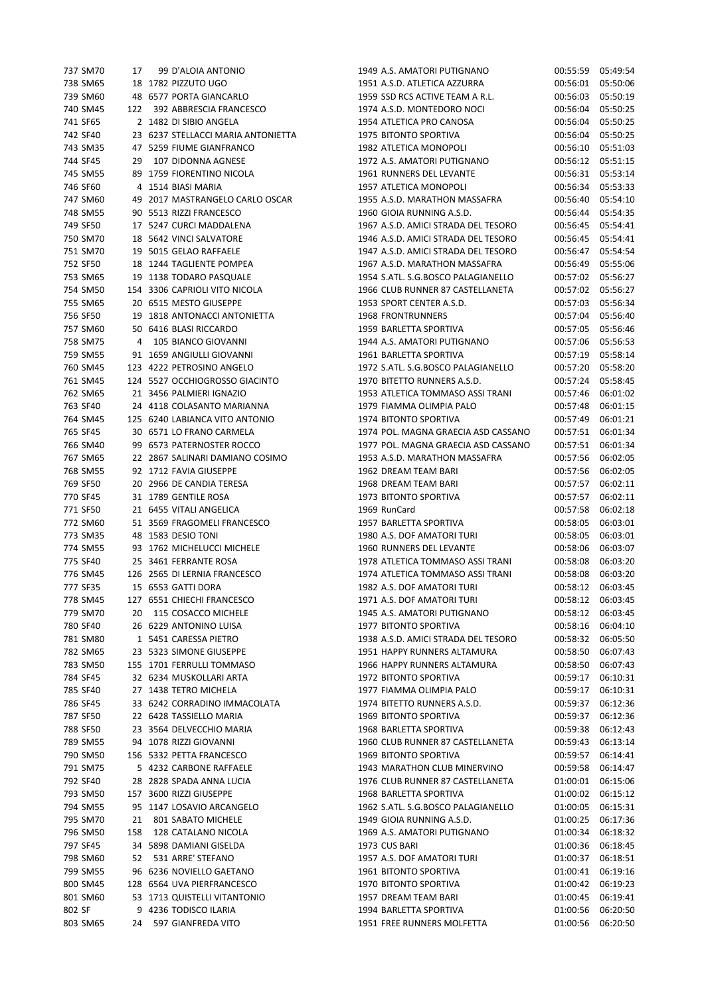|          | 737 SM70 |     | 17 99 D'ALOIA ANTONIO                                           |
|----------|----------|-----|-----------------------------------------------------------------|
|          | 738 SM65 |     | 18 1782 PIZZUTO UGO                                             |
| 739 SM60 |          |     | 48 6577 PORTA GIANCARLO                                         |
| 740 SM45 |          |     | 122 392 ABBRESCIA FRANCESCO                                     |
| 741 SF65 |          |     | 2 1482 DI SIBIO ANGELA                                          |
|          |          |     | 742 SF40 23 6237 STELLACCI MARIA ANTONIETTA                     |
|          |          |     | 743 SM35 47 5259 FIUME GIANFRANCO                               |
| 744 SF45 |          |     | 29 107 DIDONNA AGNESE                                           |
| 745 SM55 |          |     | 89 1759 FIORENTINO NICOLA                                       |
| 746 SF60 |          |     | 4 1514 BIASI MARIA                                              |
|          |          |     | 747 SM60 49 2017 MASTRANGELO CARLO OSCAR                        |
|          |          |     | 748 SM55 90 5513 RIZZI FRANCESCO                                |
|          |          |     | 749 SF50 17 5247 CURCI MADDALENA                                |
| 750 SM70 |          |     |                                                                 |
| 751 SM70 |          |     | 18 5642 VINCI SALVATORE<br>19 5015 GELAO RAFFAELE               |
| 752 SF50 |          |     | 18 1244 TAGLIENTE POMPEA                                        |
|          |          |     | 753 SM65 19 1138 TODARO PASQUALE                                |
|          |          |     |                                                                 |
|          |          |     | 754 SM50 154 3306 CAPRIOLI VITO NICOLA                          |
|          |          |     | 755 SM65 20 6515 MESTO GIUSEPPE                                 |
| 756 SF50 |          |     | 19 1818 ANTONACCI ANTONIETTA<br>50 6416 BLASI RICCARDO          |
| 757 SM60 |          |     |                                                                 |
| 758 SM75 |          |     | 4 105 BIANCO GIOVANNI                                           |
|          |          |     | 759 SM55 91 1659 ANGIULLI GIOVANNI                              |
|          |          |     | 760 SM45 123 4222 PETROSINO ANGELO                              |
|          |          |     | 761 SM45 124 5527 OCCHIOGROSSO GIACINTO                         |
| 762 SM65 |          |     | 21 3456 PALMIERI IGNAZIO                                        |
| 763 SF40 |          |     | 24 4118 COLASANTO MARIANNA                                      |
|          |          |     | 764 SM45 125 6240 LABIANCA VITO ANTONIO                         |
|          | 765 SF45 |     | 30 6571 LO FRANO CARMELA                                        |
| 766 SM40 |          |     | 99 6573 PATERNOSTER ROCCO                                       |
| 767 SM65 |          |     |                                                                 |
| 768 SM55 |          |     | 22   2867  SALINARI DAMIANO COSIMO<br>92   1712  FAVIA GIUSEPPE |
| 769 SF50 |          |     | 20 2966 DE CANDIA TERESA                                        |
|          |          |     | 770 SF45 31 1789 GENTILE ROSA                                   |
|          |          |     | 771 SF50 21 6455 VITALI ANGELICA                                |
| 772 SM60 |          |     | 51 3569 FRAGOMELI FRANCESCO                                     |
| 773 SM35 |          |     | 48 1583 DESIO TONI                                              |
| 774 SM55 |          |     | 93 1762 MICHELUCCI MICHELE                                      |
| 775 SF40 |          |     | 25 3461 FERRANTE ROSA                                           |
|          |          |     | 776 SM45 126 2565 DI LERNIA FRANCESCO                           |
|          |          |     | 777 SF35 15 6553 GATTI DORA                                     |
| 778 SM45 |          |     | 127 6551 CHIECHI FRANCESCO                                      |
| 779 SM70 |          |     | 20 115 COSACCO MICHELE                                          |
| 780 SF40 |          |     | 26 6229 ANTONINO LUISA                                          |
| 781 SM80 |          |     | 1 5451 CARESSA PIETRO                                           |
| 782 SM65 |          |     | 23 5323 SIMONE GIUSEPPE                                         |
| 783 SM50 |          |     | 155 1701 FERRULLI TOMMASO                                       |
| 784 SF45 |          |     | 32 6234 MUSKOLLARI ARTA                                         |
| 785 SF40 |          |     | 27 1438 TETRO MICHELA                                           |
| 786 SF45 |          |     | 33 6242 CORRADINO IMMACOLATA                                    |
| 787 SF50 |          |     | 22 6428 TASSIELLO MARIA                                         |
|          |          |     | 23 3564 DELVECCHIO MARIA                                        |
| 788 SF50 |          |     | 94 1078 RIZZI GIOVANNI                                          |
| 789 SM55 |          |     |                                                                 |
| 790 SM50 |          |     | 156 5332 PETTA FRANCESCO                                        |
| 791 SM75 |          |     | 5 4232 CARBONE RAFFAELE                                         |
| 792 SF40 |          |     | 28 2828 SPADA ANNA LUCIA                                        |
| 793 SM50 |          |     | 157 3600 RIZZI GIUSEPPE                                         |
| 794 SM55 |          |     | 95 1147 LOSAVIO ARCANGELO                                       |
| 795 SM70 |          | 21  | 801 SABATO MICHELE                                              |
| 796 SM50 |          | 158 | 128 CATALANO NICOLA                                             |
| 797 SF45 |          |     | 34 5898 DAMIANI GISELDA                                         |
| 798 SM60 |          |     | 52 531 ARRE' STEFANO                                            |
| 799 SM55 |          |     | 96 6236 NOVIELLO GAETANO                                        |
| 800 SM45 |          |     | 128 6564 UVA PIERFRANCESCO                                      |
| 801 SM60 |          |     | 53 1713 QUISTELLI VITANTONIO                                    |
| 802 SF   |          |     | 9 4236 TODISCO ILARIA                                           |
| 803 SM65 |          | 24  | 597 GIANFREDA VITO                                              |
|          |          |     |                                                                 |

| 737 SM70 | 17  | 99 D'ALOIA ANTONIO                 | 1949 A.S. AMATORI PUTIGNANO         | 00:55:59 | 05:49:54 |
|----------|-----|------------------------------------|-------------------------------------|----------|----------|
| 738 SM65 |     | 18 1782 PIZZUTO UGO                | 1951 A.S.D. ATLETICA AZZURRA        | 00:56:01 | 05:50:06 |
| 739 SM60 |     | 48 6577 PORTA GIANCARLO            | 1959 SSD RCS ACTIVE TEAM A R.L.     | 00:56:03 | 05:50:19 |
|          |     |                                    |                                     |          |          |
| 740 SM45 |     | 122 392 ABBRESCIA FRANCESCO        | 1974 A.S.D. MONTEDORO NOCI          | 00:56:04 | 05:50:25 |
| 741 SF65 |     | 2 1482 DI SIBIO ANGELA             | 1954 ATLETICA PRO CANOSA            | 00:56:04 | 05:50:25 |
| 742 SF40 |     | 23 6237 STELLACCI MARIA ANTONIETTA | 1975 BITONTO SPORTIVA               | 00:56:04 | 05:50:25 |
| 743 SM35 |     | 47 5259 FIUME GIANFRANCO           | 1982 ATLETICA MONOPOLI              | 00:56:10 | 05:51:03 |
| 744 SF45 |     | 29 107 DIDONNA AGNESE              | 1972 A.S. AMATORI PUTIGNANO         | 00:56:12 | 05:51:15 |
| 745 SM55 |     | 89 1759 FIORENTINO NICOLA          | 1961 RUNNERS DEL LEVANTE            | 00:56:31 | 05:53:14 |
| 746 SF60 |     | 4 1514 BIASI MARIA                 | 1957 ATLETICA MONOPOLI              | 00:56:34 | 05:53:33 |
| 747 SM60 |     | 49 2017 MASTRANGELO CARLO OSCAR    | 1955 A.S.D. MARATHON MASSAFRA       | 00:56:40 | 05:54:10 |
| 748 SM55 |     | 90 5513 RIZZI FRANCESCO            | 1960 GIOIA RUNNING A.S.D.           | 00:56:44 | 05:54:35 |
| 749 SF50 |     | 17 5247 CURCI MADDALENA            | 1967 A.S.D. AMICI STRADA DEL TESORO | 00:56:45 | 05:54:41 |
| 750 SM70 |     | 18 5642 VINCI SALVATORE            | 1946 A.S.D. AMICI STRADA DEL TESORO | 00:56:45 | 05:54:41 |
| 751 SM70 |     | 19 5015 GELAO RAFFAELE             | 1947 A.S.D. AMICI STRADA DEL TESORO | 00:56:47 | 05:54:54 |
| 752 SF50 |     | 18 1244 TAGLIENTE POMPEA           | 1967 A.S.D. MARATHON MASSAFRA       | 00:56:49 | 05:55:06 |
|          |     |                                    |                                     |          |          |
| 753 SM65 |     | 19 1138 TODARO PASQUALE            | 1954 S.ATL. S.G.BOSCO PALAGIANELLO  | 00:57:02 | 05:56:27 |
| 754 SM50 |     | 154 3306 CAPRIOLI VITO NICOLA      | 1966 CLUB RUNNER 87 CASTELLANETA    | 00:57:02 | 05:56:27 |
| 755 SM65 |     | 20 6515 MESTO GIUSEPPE             | 1953 SPORT CENTER A.S.D.            | 00:57:03 | 05:56:34 |
| 756 SF50 |     | 19 1818 ANTONACCI ANTONIETTA       | <b>1968 FRONTRUNNERS</b>            | 00:57:04 | 05:56:40 |
| 757 SM60 |     | 50 6416 BLASI RICCARDO             | 1959 BARLETTA SPORTIVA              | 00:57:05 | 05:56:46 |
| 758 SM75 |     | 4 105 BIANCO GIOVANNI              | 1944 A.S. AMATORI PUTIGNANO         | 00:57:06 | 05:56:53 |
| 759 SM55 |     | 91 1659 ANGIULLI GIOVANNI          | 1961 BARLETTA SPORTIVA              | 00:57:19 | 05:58:14 |
| 760 SM45 |     | 123 4222 PETROSINO ANGELO          | 1972 S.ATL. S.G.BOSCO PALAGIANELLO  | 00:57:20 | 05:58:20 |
| 761 SM45 |     | 124 5527 OCCHIOGROSSO GIACINTO     | 1970 BITETTO RUNNERS A.S.D.         | 00:57:24 | 05:58:45 |
| 762 SM65 |     | 21 3456 PALMIERI IGNAZIO           | 1953 ATLETICA TOMMASO ASSI TRANI    | 00:57:46 | 06:01:02 |
| 763 SF40 |     | 24 4118 COLASANTO MARIANNA         | 1979 FIAMMA OLIMPIA PALO            | 00:57:48 | 06:01:15 |
|          |     |                                    |                                     |          |          |
| 764 SM45 |     | 125 6240 LABIANCA VITO ANTONIO     | 1974 BITONTO SPORTIVA               | 00:57:49 | 06:01:21 |
| 765 SF45 |     | 30 6571 LO FRANO CARMELA           | 1974 POL. MAGNA GRAECIA ASD CASSANO | 00:57:51 | 06:01:34 |
| 766 SM40 |     | 99 6573 PATERNOSTER ROCCO          | 1977 POL. MAGNA GRAECIA ASD CASSANO | 00:57:51 | 06:01:34 |
| 767 SM65 |     | 22 2867 SALINARI DAMIANO COSIMO    | 1953 A.S.D. MARATHON MASSAFRA       | 00:57:56 | 06:02:05 |
| 768 SM55 |     | 92 1712 FAVIA GIUSEPPE             | 1962 DREAM TEAM BARI                | 00:57:56 | 06:02:05 |
| 769 SF50 |     | 20 2966 DE CANDIA TERESA           | 1968 DREAM TEAM BARI                | 00:57:57 | 06:02:11 |
| 770 SF45 |     | 31 1789 GENTILE ROSA               | 1973 BITONTO SPORTIVA               | 00:57:57 | 06:02:11 |
| 771 SF50 |     | 21 6455 VITALI ANGELICA            | 1969 RunCard                        | 00:57:58 | 06:02:18 |
| 772 SM60 |     | 51 3569 FRAGOMELI FRANCESCO        | 1957 BARLETTA SPORTIVA              | 00:58:05 | 06:03:01 |
| 773 SM35 |     | 48 1583 DESIO TONI                 | 1980 A.S. DOF AMATORI TURI          | 00:58:05 | 06:03:01 |
| 774 SM55 |     | 93 1762 MICHELUCCI MICHELE         | 1960 RUNNERS DEL LEVANTE            | 00:58:06 | 06:03:07 |
| 775 SF40 |     | 25 3461 FERRANTE ROSA              | 1978 ATLETICA TOMMASO ASSI TRANI    | 00:58:08 | 06:03:20 |
| 776 SM45 |     | 126 2565 DI LERNIA FRANCESCO       | 1974 ATLETICA TOMMASO ASSI TRANI    |          |          |
|          |     |                                    |                                     | 00:58:08 | 06:03:20 |
| 777 SF35 |     | 15 6553 GATTI DORA                 | 1982 A.S. DOF AMATORI TURI          | 00:58:12 | 06:03:45 |
| 778 SM45 |     | 127 6551 CHIECHI FRANCESCO         | 1971 A.S. DOF AMATORI TURI          | 00:58:12 | 06:03:45 |
| 779 SM70 | 20  | 115 COSACCO MICHELE                | 1945 A.S. AMATORI PUTIGNANO         | 00:58:12 | 06:03:45 |
| 780 SF40 |     | 26 6229 ANTONINO LUISA             | 1977 BITONTO SPORTIVA               | 00:58:16 | 06:04:10 |
| 781 SM80 |     | 1 5451 CARESSA PIETRO              | 1938 A.S.D. AMICI STRADA DEL TESORO | 00:58:32 | 06:05:50 |
| 782 SM65 |     | 23 5323 SIMONE GIUSEPPE            | 1951 HAPPY RUNNERS ALTAMURA         | 00:58:50 | 06:07:43 |
| 783 SM50 |     | 155 1701 FERRULLI TOMMASO          | 1966 HAPPY RUNNERS ALTAMURA         | 00:58:50 | 06:07:43 |
| 784 SF45 |     | 32 6234 MUSKOLLARI ARTA            | 1972 BITONTO SPORTIVA               | 00:59:17 | 06:10:31 |
| 785 SF40 |     | 27 1438 TETRO MICHELA              | 1977 FIAMMA OLIMPIA PALO            | 00:59:17 | 06:10:31 |
| 786 SF45 |     | 33 6242 CORRADINO IMMACOLATA       | 1974 BITETTO RUNNERS A.S.D.         | 00:59:37 | 06:12:36 |
| 787 SF50 |     | 22 6428 TASSIELLO MARIA            | <b>1969 BITONTO SPORTIVA</b>        |          | 06:12:36 |
|          |     |                                    |                                     | 00:59:37 |          |
| 788 SF50 |     | 23 3564 DELVECCHIO MARIA           | 1968 BARLETTA SPORTIVA              | 00:59:38 | 06:12:43 |
| 789 SM55 |     | 94 1078 RIZZI GIOVANNI             | 1960 CLUB RUNNER 87 CASTELLANETA    | 00:59:43 | 06:13:14 |
| 790 SM50 |     | 156 5332 PETTA FRANCESCO           | 1969 BITONTO SPORTIVA               | 00:59:57 | 06:14:41 |
| 791 SM75 |     | 5 4232 CARBONE RAFFAELE            | 1943 MARATHON CLUB MINERVINO        | 00:59:58 | 06:14:47 |
| 792 SF40 |     | 28 2828 SPADA ANNA LUCIA           | 1976 CLUB RUNNER 87 CASTELLANETA    | 01:00:01 | 06:15:06 |
| 793 SM50 |     | 157 3600 RIZZI GIUSEPPE            | 1968 BARLETTA SPORTIVA              | 01:00:02 | 06:15:12 |
| 794 SM55 |     | 95 1147 LOSAVIO ARCANGELO          | 1962 S.ATL. S.G.BOSCO PALAGIANELLO  | 01:00:05 | 06:15:31 |
| 795 SM70 | 21  | 801 SABATO MICHELE                 | 1949 GIOIA RUNNING A.S.D.           | 01:00:25 | 06:17:36 |
| 796 SM50 | 158 | 128 CATALANO NICOLA                | 1969 A.S. AMATORI PUTIGNANO         | 01:00:34 | 06:18:32 |
| 797 SF45 |     | 34 5898 DAMIANI GISELDA            | 1973 CUS BARI                       | 01:00:36 | 06:18:45 |
| 798 SM60 |     | 52 531 ARRE' STEFANO               | 1957 A.S. DOF AMATORI TURI          | 01:00:37 | 06:18:51 |
|          |     |                                    |                                     |          |          |
| 799 SM55 |     | 96 6236 NOVIELLO GAETANO           | 1961 BITONTO SPORTIVA               | 01:00:41 | 06:19:16 |
| 800 SM45 |     | 128 6564 UVA PIERFRANCESCO         | 1970 BITONTO SPORTIVA               | 01:00:42 | 06:19:23 |
| 801 SM60 |     | 53 1713 QUISTELLI VITANTONIO       | 1957 DREAM TEAM BARI                | 01:00:45 | 06:19:41 |
| 802 SF   |     | 9 4236 TODISCO ILARIA              | 1994 BARLETTA SPORTIVA              | 01:00:56 | 06:20:50 |
| 803 SM65 | 24  | 597 GIANFREDA VITO                 | 1951 FREE RUNNERS MOLFETTA          | 01:00:56 | 06:20:50 |